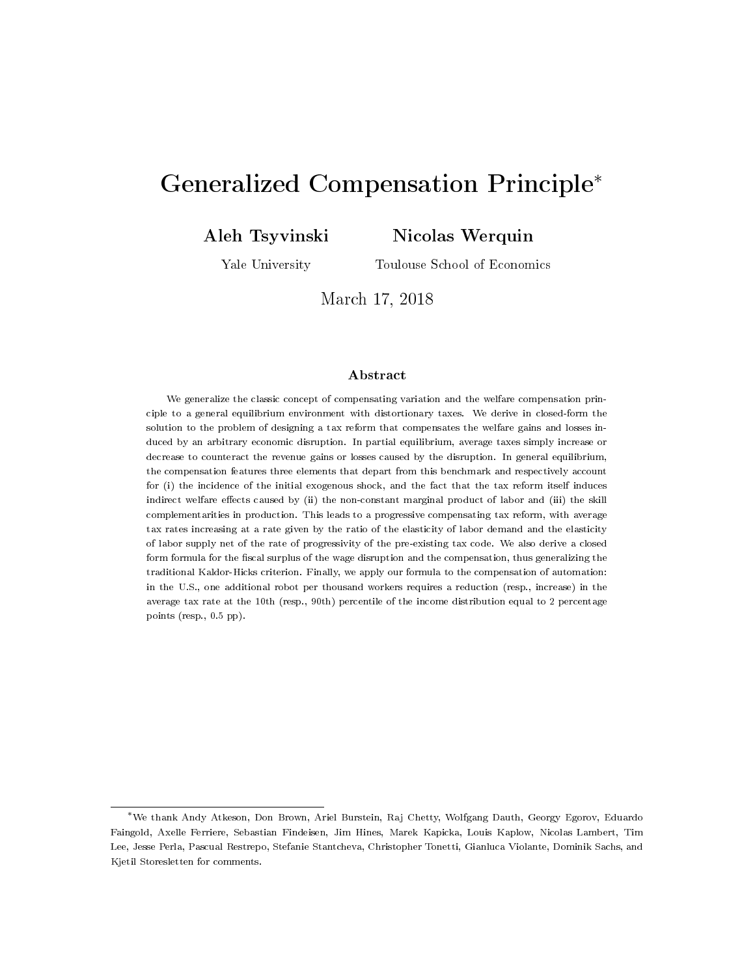# <span id="page-0-0"></span>Generalized Compensation Principle<sup>∗</sup>

Aleh Tsyvinski

Nicolas Werquin

Yale University

Toulouse School of Economics

March 17, 2018

#### Abstract

We generalize the classic concept of compensating variation and the welfare compensation principle to a general equilibrium environment with distortionary taxes. We derive in closed-form the solution to the problem of designing a tax reform that compensates the welfare gains and losses induced by an arbitrary economic disruption. In partial equilibrium, average taxes simply increase or decrease to counteract the revenue gains or losses caused by the disruption. In general equilibrium, the compensation features three elements that depart from this benchmark and respectively account for (i) the incidence of the initial exogenous shock, and the fact that the tax reform itself induces indirect welfare effects caused by (ii) the non-constant marginal product of labor and (iii) the skill complementarities in production. This leads to a progressive compensating tax reform, with average tax rates increasing at a rate given by the ratio of the elasticity of labor demand and the elasticity of labor supply net of the rate of progressivity of the pre-existing tax code. We also derive a closed form formula for the fiscal surplus of the wage disruption and the compensation, thus generalizing the traditional Kaldor-Hicks criterion. Finally, we apply our formula to the compensation of automation: in the U.S., one additional robot per thousand workers requires a reduction (resp., increase) in the average tax rate at the 10th (resp., 90th) percentile of the income distribution equal to 2 percentage points (resp., 0.5 pp).

<sup>∗</sup>We thank Andy Atkeson, Don Brown, Ariel Burstein, Raj Chetty, Wolfgang Dauth, Georgy Egorov, Eduardo Faingold, Axelle Ferriere, Sebastian Findeisen, Jim Hines, Marek Kapicka, Louis Kaplow, Nicolas Lambert, Tim Lee, Jesse Perla, Pascual Restrepo, Stefanie Stantcheva, Christopher Tonetti, Gianluca Violante, Dominik Sachs, and Kjetil Storesletten for comments.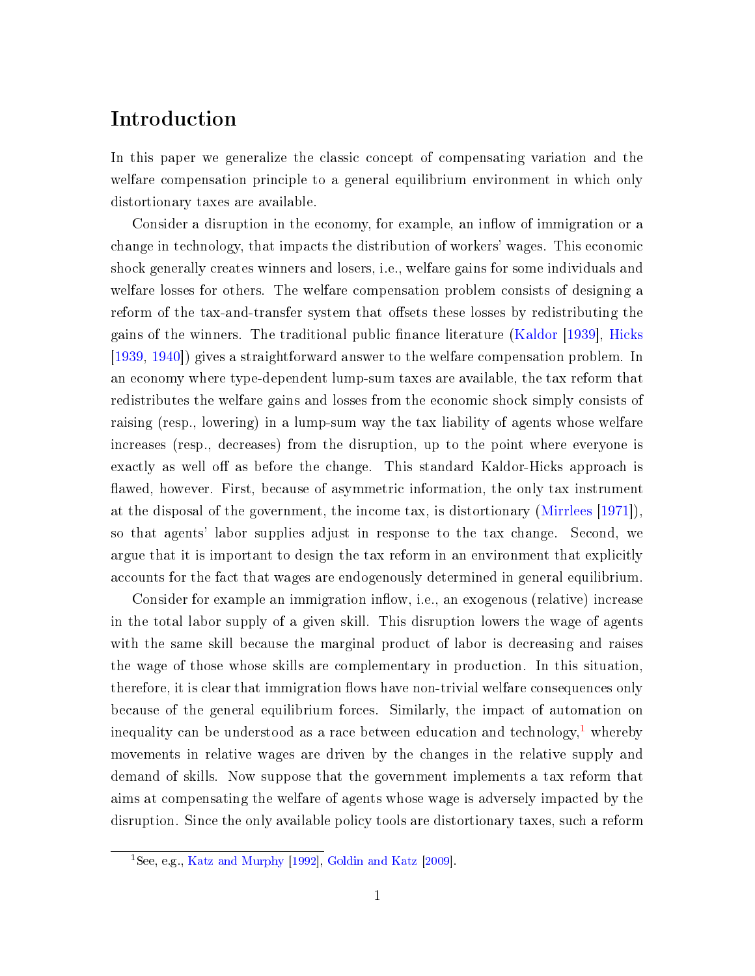## Introduction

In this paper we generalize the classic concept of compensating variation and the welfare compensation principle to a general equilibrium environment in which only distortionary taxes are available.

Consider a disruption in the economy, for example, an inflow of immigration or a change in technology, that impacts the distribution of workers' wages. This economic shock generally creates winners and losers, i.e., welfare gains for some individuals and welfare losses for others. The welfare compensation problem consists of designing a reform of the tax-and-transfer system that offsets these losses by redistributing the gains of the winners. The traditional public finance literature [\(Kaldor](#page-37-0) [\[1939\]](#page-37-0), [Hicks](#page-37-1) [\[1939,](#page-37-1) [1940\]](#page-37-2)) gives a straightforward answer to the welfare compensation problem. In an economy where type-dependent lump-sum taxes are available, the tax reform that redistributes the welfare gains and losses from the economic shock simply consists of raising (resp., lowering) in a lump-sum way the tax liability of agents whose welfare increases (resp., decreases) from the disruption, up to the point where everyone is exactly as well off as before the change. This standard Kaldor-Hicks approach is flawed, however. First, because of asymmetric information, the only tax instrument at the disposal of the government, the income tax, is distortionary [\(Mirrlees](#page-38-0) [\[1971\]](#page-38-0)), so that agents' labor supplies adjust in response to the tax change. Second, we argue that it is important to design the tax reform in an environment that explicitly accounts for the fact that wages are endogenously determined in general equilibrium.

Consider for example an immigration inflow, i.e., an exogenous (relative) increase in the total labor supply of a given skill. This disruption lowers the wage of agents with the same skill because the marginal product of labor is decreasing and raises the wage of those whose skills are complementary in production. In this situation, therefore, it is clear that immigration flows have non-trivial welfare consequences only because of the general equilibrium forces. Similarly, the impact of automation on inequality can be understood as a race between education and technology,<sup>[1](#page-0-0)</sup> whereby movements in relative wages are driven by the changes in the relative supply and demand of skills. Now suppose that the government implements a tax reform that aims at compensating the welfare of agents whose wage is adversely impacted by the disruption. Since the only available policy tools are distortionary taxes, such a reform

 $\frac{1}{1}$ See, e.g., [Katz and Murphy](#page-37-3) [\[1992\]](#page-37-3), [Goldin and Katz](#page-37-4) [\[2009\]](#page-37-4).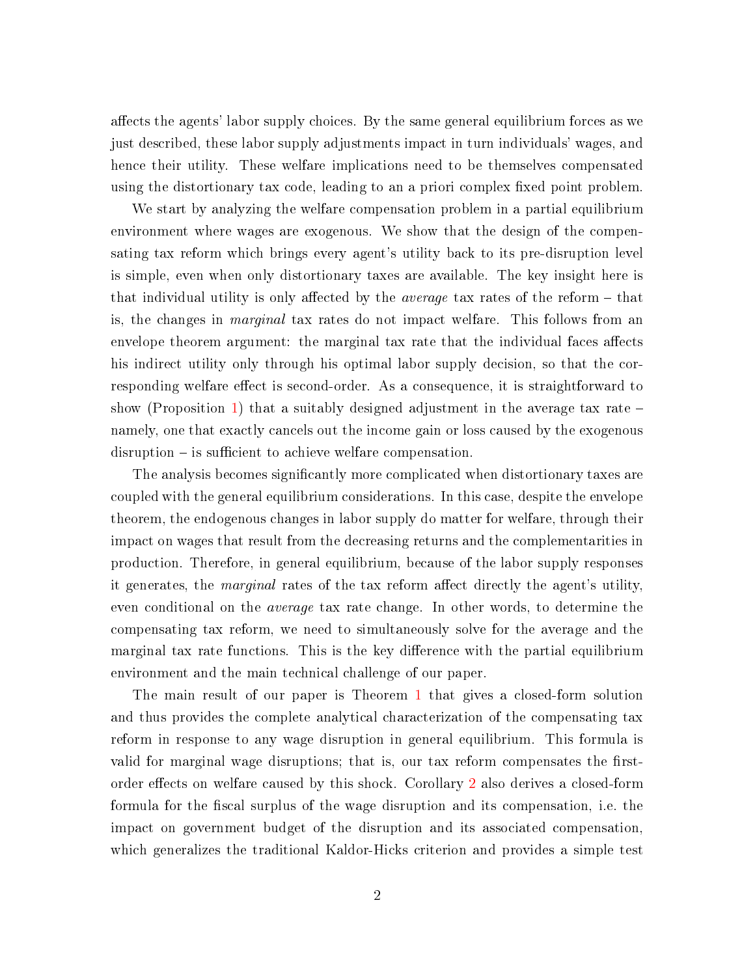affects the agents' labor supply choices. By the same general equilibrium forces as we just described, these labor supply adjustments impact in turn individuals' wages, and hence their utility. These welfare implications need to be themselves compensated using the distortionary tax code, leading to an a priori complex fixed point problem.

We start by analyzing the welfare compensation problem in a partial equilibrium environment where wages are exogenous. We show that the design of the compensating tax reform which brings every agent's utility back to its pre-disruption level is simple, even when only distortionary taxes are available. The key insight here is that individual utility is only affected by the *average* tax rates of the reform  $-$  that is, the changes in marginal tax rates do not impact welfare. This follows from an envelope theorem argument: the marginal tax rate that the individual faces affects his indirect utility only through his optimal labor supply decision, so that the corresponding welfare effect is second-order. As a consequence, it is straightforward to show (Proposition [1\)](#page-13-0) that a suitably designed adjustment in the average tax rate  $$ namely, one that exactly cancels out the income gain or loss caused by the exogenous  $disruption - is sufficient to achieve welfare compensation.$ 

The analysis becomes significantly more complicated when distortionary taxes are coupled with the general equilibrium considerations. In this case, despite the envelope theorem, the endogenous changes in labor supply do matter for welfare, through their impact on wages that result from the decreasing returns and the complementarities in production. Therefore, in general equilibrium, because of the labor supply responses it generates, the *marginal* rates of the tax reform affect directly the agent's utility, even conditional on the *average* tax rate change. In other words, to determine the compensating tax reform, we need to simultaneously solve for the average and the marginal tax rate functions. This is the key difference with the partial equilibrium environment and the main technical challenge of our paper.

The main result of our paper is Theorem [1](#page-30-0) that gives a closed-form solution and thus provides the complete analytical characterization of the compensating tax reform in response to any wage disruption in general equilibrium. This formula is valid for marginal wage disruptions; that is, our tax reform compensates the first-order effects on welfare caused by this shock. Corollary [2](#page-50-0) also derives a closed-form formula for the fiscal surplus of the wage disruption and its compensation, i.e. the impact on government budget of the disruption and its associated compensation, which generalizes the traditional Kaldor-Hicks criterion and provides a simple test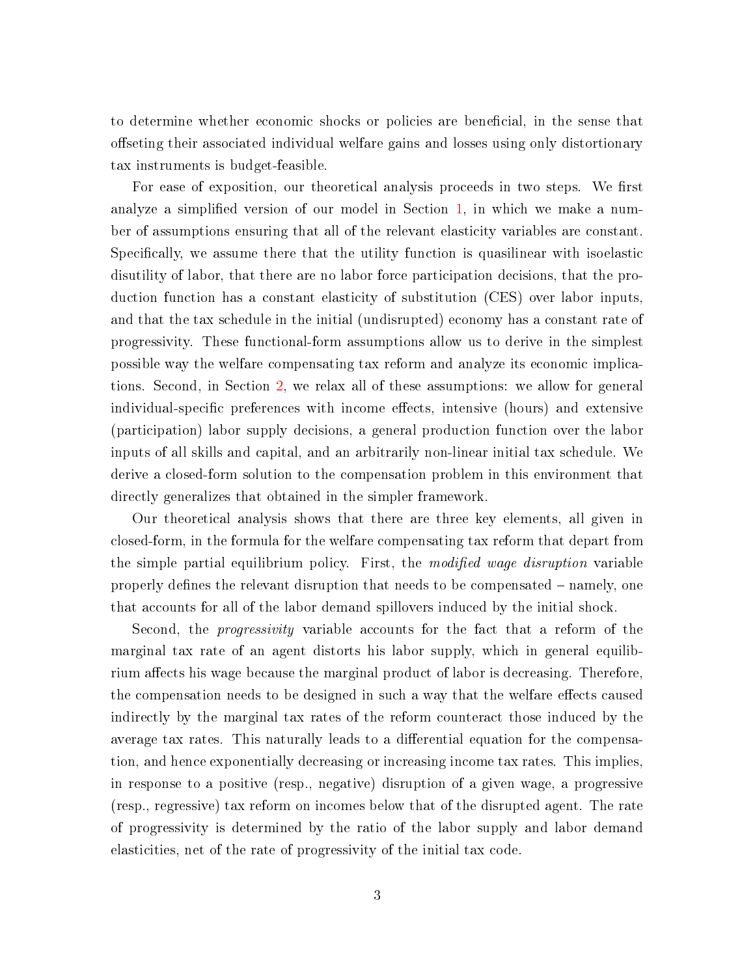to determine whether economic shocks or policies are beneficial, in the sense that offseting their associated individual welfare gains and losses using only distortionary tax instruments is budget-feasible.

For ease of exposition, our theoretical analysis proceeds in two steps. We first analyze a simplified version of our model in Section [1,](#page-6-0) in which we make a number of assumptions ensuring that all of the relevant elasticity variables are constant. Specifically, we assume there that the utility function is quasilinear with isoelastic disutility of labor, that there are no labor force participation decisions, that the production function has a constant elasticity of substitution (CES) over labor inputs, and that the tax schedule in the initial (undisrupted) economy has a constant rate of progressivity. These functional-form assumptions allow us to derive in the simplest possible way the welfare compensating tax reform and analyze its economic implications. Second, in Section [2,](#page-23-0) we relax all of these assumptions: we allow for general individual-specific preferences with income effects, intensive (hours) and extensive (participation) labor supply decisions, a general production function over the labor inputs of all skills and capital, and an arbitrarily non-linear initial tax schedule. We derive a closed-form solution to the compensation problem in this environment that directly generalizes that obtained in the simpler framework.

Our theoretical analysis shows that there are three key elements, all given in closed-form, in the formula for the welfare compensating tax reform that depart from the simple partial equilibrium policy. First, the modified wage disruption variable properly defines the relevant disruption that needs to be compensated  $-$  namely, one that accounts for all of the labor demand spillovers induced by the initial shock.

Second, the progressivity variable accounts for the fact that a reform of the marginal tax rate of an agent distorts his labor supply, which in general equilibrium affects his wage because the marginal product of labor is decreasing. Therefore, the compensation needs to be designed in such a way that the welfare effects caused indirectly by the marginal tax rates of the reform counteract those induced by the average tax rates. This naturally leads to a differential equation for the compensation, and hence exponentially decreasing or increasing income tax rates. This implies, in response to a positive (resp., negative) disruption of a given wage, a progressive (resp., regressive) tax reform on incomes below that of the disrupted agent. The rate of progressivity is determined by the ratio of the labor supply and labor demand elasticities, net of the rate of progressivity of the initial tax code.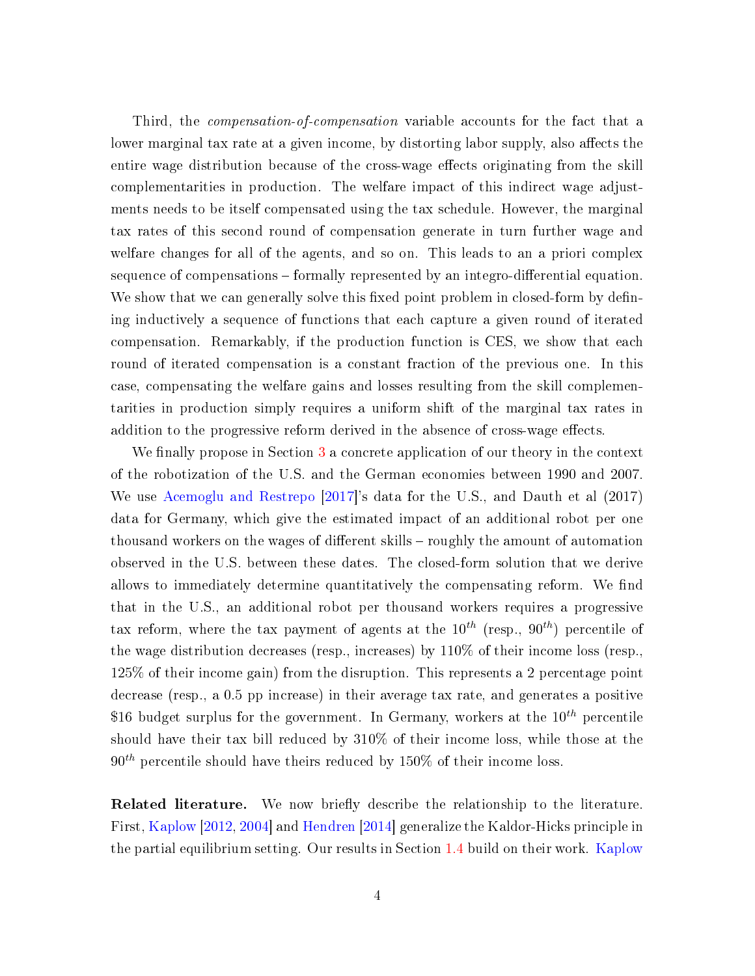Third, the compensation-of-compensation variable accounts for the fact that a lower marginal tax rate at a given income, by distorting labor supply, also affects the entire wage distribution because of the cross-wage effects originating from the skill complementarities in production. The welfare impact of this indirect wage adjustments needs to be itself compensated using the tax schedule. However, the marginal tax rates of this second round of compensation generate in turn further wage and welfare changes for all of the agents, and so on. This leads to an a priori complex sequence of compensations – formally represented by an integro-differential equation. We show that we can generally solve this fixed point problem in closed-form by defining inductively a sequence of functions that each capture a given round of iterated compensation. Remarkably, if the production function is CES, we show that each round of iterated compensation is a constant fraction of the previous one. In this case, compensating the welfare gains and losses resulting from the skill complementarities in production simply requires a uniform shift of the marginal tax rates in addition to the progressive reform derived in the absence of cross-wage effects.

We finally propose in Section  $3$  a concrete application of our theory in the context of the robotization of the U.S. and the German economies between 1990 and 2007. We use [Acemoglu and Restrepo](#page-36-0) [\[2017\]](#page-36-0)'s data for the U.S., and Dauth et al (2017) data for Germany, which give the estimated impact of an additional robot per one thousand workers on the wages of different skills – roughly the amount of automation observed in the U.S. between these dates. The closed-form solution that we derive allows to immediately determine quantitatively the compensating reform. We find that in the U.S., an additional robot per thousand workers requires a progressive tax reform, where the tax payment of agents at the  $10^{th}$  (resp.,  $90^{th}$ ) percentile of the wage distribution decreases (resp., increases) by 110% of their income loss (resp., 125% of their income gain) from the disruption. This represents a 2 percentage point decrease (resp., a 0.5 pp increase) in their average tax rate, and generates a positive \$16 budget surplus for the government. In Germany, workers at the  $10^{th}$  percentile should have their tax bill reduced by 310% of their income loss, while those at the  $90<sup>th</sup>$  percentile should have theirs reduced by 150% of their income loss.

**Related literature.** We now briefly describe the relationship to the literature. First, [Kaplow](#page-37-5) [\[2012,](#page-37-5) [2004\]](#page-37-6) and [Hendren](#page-37-7) [\[2014\]](#page-37-7) generalize the Kaldor-Hicks principle in the partial equilibrium setting. Our results in Section [1.4](#page-11-0) build on their work. [Kaplow](#page-37-8)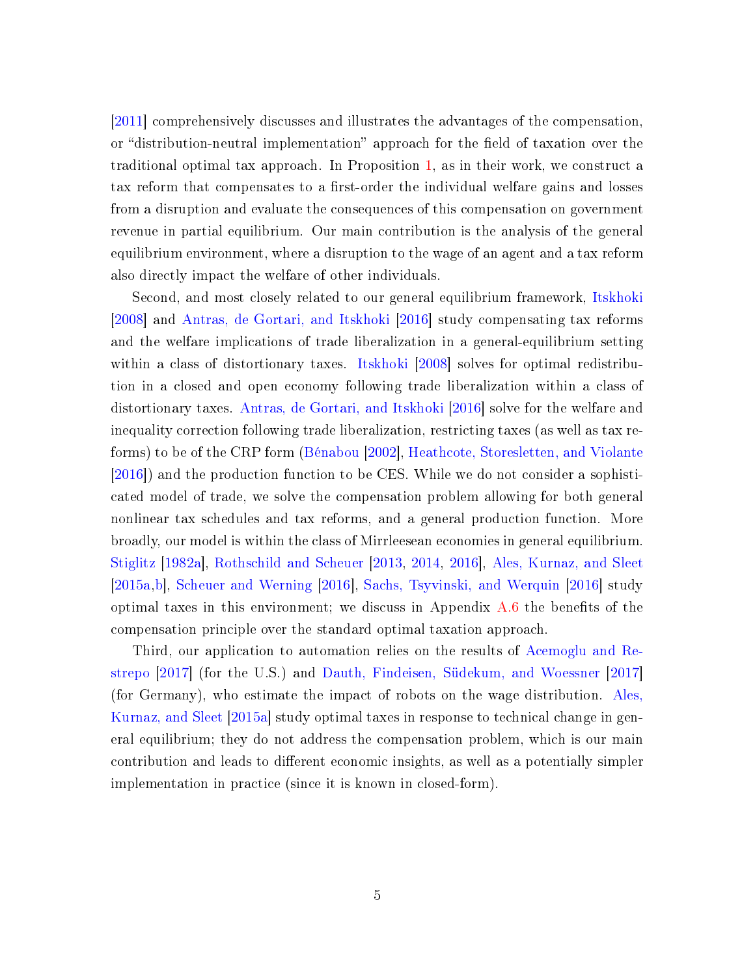[\[2011\]](#page-37-8) comprehensively discusses and illustrates the advantages of the compensation, or "distribution-neutral implementation" approach for the field of taxation over the traditional optimal tax approach. In Proposition [1,](#page-13-0) as in their work, we construct a tax reform that compensates to a first-order the individual welfare gains and losses from a disruption and evaluate the consequences of this compensation on government revenue in partial equilibrium. Our main contribution is the analysis of the general equilibrium environment, where a disruption to the wage of an agent and a tax reform also directly impact the welfare of other individuals.

Second, and most closely related to our general equilibrium framework, [Itskhoki](#page-37-9) [\[2008\]](#page-37-9) and [Antras, de Gortari, and Itskhoki](#page-36-1) [\[2016\]](#page-36-1) study compensating tax reforms and the welfare implications of trade liberalization in a general-equilibrium setting within a class of distortionary taxes. [Itskhoki](#page-37-9) [\[2008\]](#page-37-9) solves for optimal redistribution in a closed and open economy following trade liberalization within a class of distortionary taxes. [Antras, de Gortari, and Itskhoki](#page-36-1) [\[2016\]](#page-36-1) solve for the welfare and inequality correction following trade liberalization, restricting taxes (as well as tax reforms) to be of the CRP form [\(Bénabou](#page-36-2) [\[2002\]](#page-36-2), [Heathcote, Storesletten, and Violante](#page-37-10) [\[2016\]](#page-37-10)) and the production function to be CES. While we do not consider a sophisticated model of trade, we solve the compensation problem allowing for both general nonlinear tax schedules and tax reforms, and a general production function. More broadly, our model is within the class of Mirrleesean economies in general equilibrium. [Stiglitz](#page-39-0) [\[1982a\]](#page-39-0), [Rothschild and Scheuer](#page-38-1) [\[2013,](#page-38-1) [2014,](#page-38-2) [2016\]](#page-38-3), [Ales, Kurnaz, and Sleet](#page-36-3) [\[2015a,](#page-36-3)[b\]](#page-36-4), [Scheuer and Werning](#page-39-1) [\[2016\]](#page-39-1), [Sachs, Tsyvinski, and Werquin](#page-38-4) [\[2016\]](#page-38-4) study optimal taxes in this environment; we discuss in Appendix  $A.6$  the benefits of the compensation principle over the standard optimal taxation approach.

Third, our application to automation relies on the results of [Acemoglu and Re](#page-36-0)[strepo](#page-36-0) [\[2017\]](#page-36-0) (for the U.S.) and [Dauth, Findeisen, Südekum, and Woessner](#page-36-5) [\[2017\]](#page-36-5) (for Germany), who estimate the impact of robots on the wage distribution. [Ales,](#page-36-3) [Kurnaz, and Sleet](#page-36-3) [\[2015a\]](#page-36-3) study optimal taxes in response to technical change in general equilibrium; they do not address the compensation problem, which is our main contribution and leads to different economic insights, as well as a potentially simpler implementation in practice (since it is known in closed-form).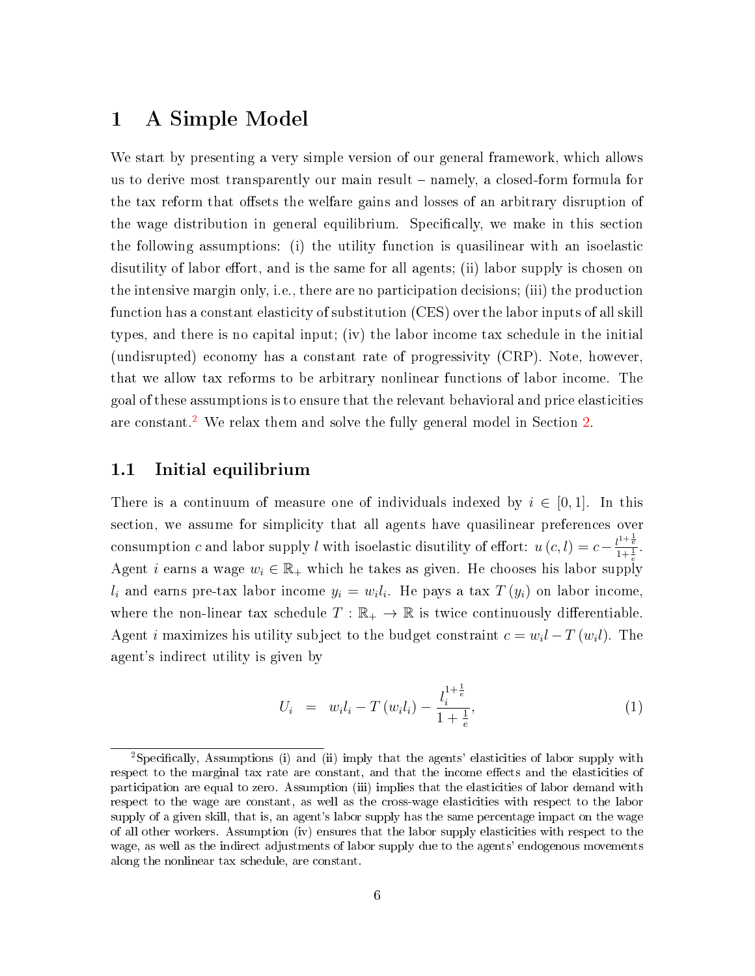## <span id="page-6-0"></span>1 A Simple Model

We start by presenting a very simple version of our general framework, which allows us to derive most transparently our main result namely, a closed-form formula for the tax reform that offsets the welfare gains and losses of an arbitrary disruption of the wage distribution in general equilibrium. Specifically, we make in this section the following assumptions: (i) the utility function is quasilinear with an isoelastic disutility of labor effort, and is the same for all agents; (ii) labor supply is chosen on the intensive margin only, i.e., there are no participation decisions; (iii) the production function has a constant elasticity of substitution (CES) over the labor inputs of all skill types, and there is no capital input; (iv) the labor income tax schedule in the initial (undisrupted) economy has a constant rate of progressivity (CRP). Note, however, that we allow tax reforms to be arbitrary nonlinear functions of labor income. The goal of these assumptions is to ensure that the relevant behavioral and price elasticities are constant.<sup>[2](#page-0-0)</sup> We relax them and solve the fully general model in Section [2.](#page-23-0)

#### <span id="page-6-1"></span>1.1 Initial equilibrium

There is a continuum of measure one of individuals indexed by  $i \in [0,1]$ . In this section, we assume for simplicity that all agents have quasilinear preferences over consumption c and labor supply l with isoelastic disutility of effort:  $u(c, l) = c - \frac{l^{1 + \frac{1}{e}}}{1 + \frac{1}{e}}$ . Agent *i* earns a wage  $w_i \in \mathbb{R}_+$  which he takes as given. He chooses his labor supply  $l_i$  and earns pre-tax labor income  $y_i = w_i l_i$ . He pays a tax  $T(y_i)$  on labor income, where the non-linear tax schedule  $T : \mathbb{R}_+ \to \mathbb{R}$  is twice continuously differentiable. Agent *i* maximizes his utility subject to the budget constraint  $c = w_i l - T(w_i l)$ . The agent's indirect utility is given by

$$
U_i = w_i l_i - T(w_i l_i) - \frac{l_i^{1 + \frac{1}{e}}}{1 + \frac{1}{e}}, \tag{1}
$$

<sup>&</sup>lt;sup>2</sup>Specifically, Assumptions (i) and (ii) imply that the agents' elasticities of labor supply with respect to the marginal tax rate are constant, and that the income effects and the elasticities of participation are equal to zero. Assumption (iii) implies that the elasticities of labor demand with respect to the wage are constant, as well as the cross-wage elasticities with respect to the labor supply of a given skill, that is, an agent's labor supply has the same percentage impact on the wage of all other workers. Assumption (iv) ensures that the labor supply elasticities with respect to the wage, as well as the indirect adjustments of labor supply due to the agents' endogenous movements along the nonlinear tax schedule, are constant.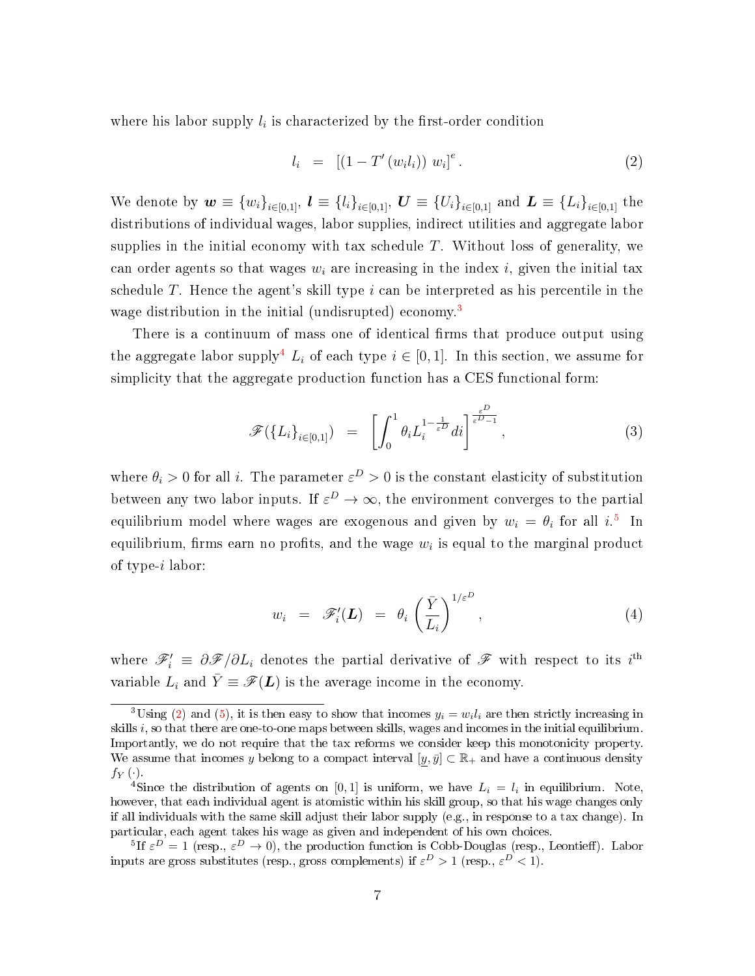where his labor supply  $l_i$  is characterized by the first-order condition

<span id="page-7-0"></span>
$$
l_i = [(1 - T'(w_i l_i)) w_i]^e.
$$
 (2)

We denote by  $w \equiv \{w_i\}_{i \in [0,1]}, l \equiv \{l_i\}_{i \in [0,1]}, U \equiv \{U_i\}_{i \in [0,1]}$  and  $L \equiv \{L_i\}_{i \in [0,1]}$  the distributions of individual wages, labor supplies, indirect utilities and aggregate labor supplies in the initial economy with tax schedule  $T$ . Without loss of generality, we can order agents so that wages  $w_i$  are increasing in the index i, given the initial tax schedule T. Hence the agent's skill type  $i$  can be interpreted as his percentile in the wage distribution in the initial (undisrupted) economy.<sup>[3](#page-0-0)</sup>

There is a continuum of mass one of identical firms that produce output using the aggregate labor supply<sup>[4](#page-0-0)</sup>  $L_i$  of each type  $i \in [0, 1]$ . In this section, we assume for simplicity that the aggregate production function has a CES functional form:

<span id="page-7-1"></span>
$$
\mathscr{F}(\lbrace L_i \rbrace_{i \in [0,1]}) = \left[ \int_0^1 \theta_i L_i^{1 - \frac{1}{\varepsilon^D}} di \right]^{\frac{\varepsilon^D}{\varepsilon^D - 1}}, \tag{3}
$$

where  $\theta_i > 0$  for all i. The parameter  $\varepsilon^D > 0$  is the constant elasticity of substitution between any two labor inputs. If  $\varepsilon^D \to \infty$ , the environment converges to the partial equilibrium model where wages are exogenous and given by  $w_i = \theta_i$  for all  $i$ <sup>[5](#page-0-0)</sup>. In equilibrium, firms earn no profits, and the wage  $w_i$  is equal to the marginal product of type-i labor:

$$
w_i = \mathscr{F}'_i(\boldsymbol{L}) = \theta_i \left( \frac{\bar{Y}}{L_i} \right)^{1/\varepsilon^D}, \qquad (4)
$$

where  $\mathscr{F}'_i \equiv \partial \mathscr{F}/\partial L_i$  denotes the partial derivative of  $\mathscr{F}$  with respect to its i<sup>th</sup> variable  $L_i$  and  $\bar{Y} \equiv \mathscr{F}(L)$  is the average income in the economy.

<sup>&</sup>lt;sup>3</sup>Using [\(2\)](#page-7-0) and [\(5\)](#page-8-0), it is then easy to show that incomes  $y_i = w_i l_i$  are then strictly increasing in skills  $i$ , so that there are one-to-one maps between skills, wages and incomes in the initial equilibrium. Importantly, we do not require that the tax reforms we consider keep this monotonicity property. We assume that incomes y belong to a compact interval  $[y, \bar{y}] \subset \mathbb{R}_+$  and have a continuous density  $f_Y(\cdot)$ .

<sup>&</sup>lt;sup>4</sup>Since the distribution of agents on [0,1] is uniform, we have  $L_i = l_i$  in equilibrium. Note, however, that each individual agent is atomistic within his skill group, so that his wage changes only if all individuals with the same skill adjust their labor supply (e.g., in response to a tax change). In particular, each agent takes his wage as given and independent of his own choices.

<sup>&</sup>lt;sup>5</sup>If  $\varepsilon^D = 1$  (resp.,  $\varepsilon^D \to 0$ ), the production function is Cobb-Douglas (resp., Leontieff). Labor inputs are gross substitutes (resp., gross complements) if  $\varepsilon^D > 1$  (resp.,  $\varepsilon^D < 1$ ).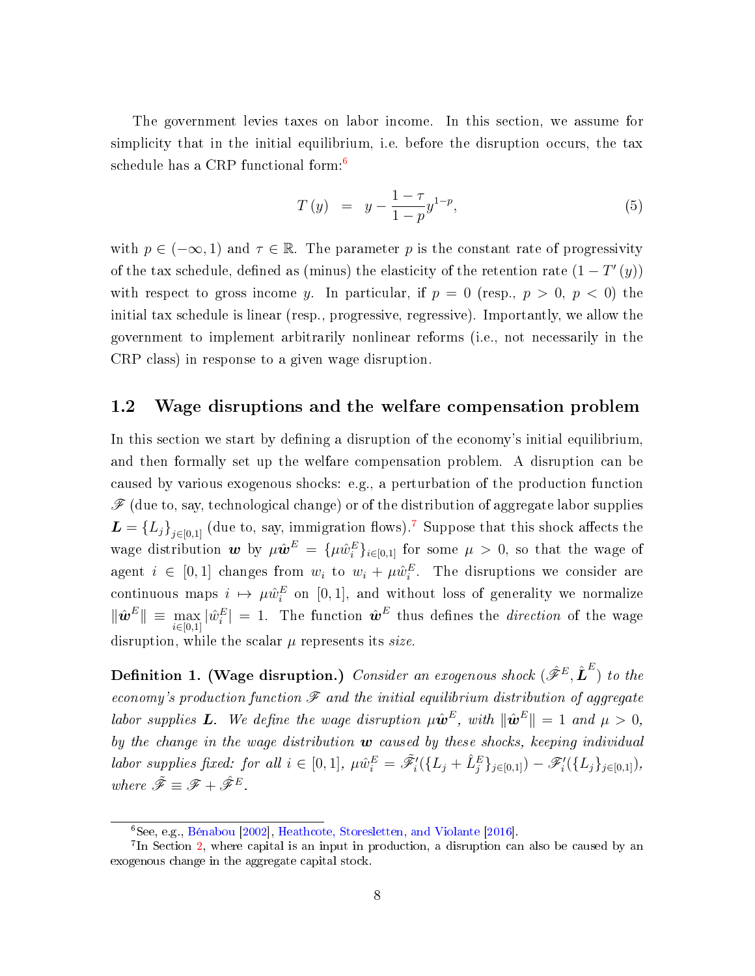The government levies taxes on labor income. In this section, we assume for simplicity that in the initial equilibrium, i.e. before the disruption occurs, the tax schedule has a CRP functional form:[6](#page-0-0)

<span id="page-8-0"></span>
$$
T(y) = y - \frac{1 - \tau}{1 - p} y^{1 - p}, \tag{5}
$$

with  $p \in (-\infty, 1)$  and  $\tau \in \mathbb{R}$ . The parameter p is the constant rate of progressivity of the tax schedule, defined as (minus) the elasticity of the retention rate  $(1-T'(y))$ with respect to gross income y. In particular, if  $p = 0$  (resp.,  $p > 0$ ,  $p < 0$ ) the initial tax schedule is linear (resp., progressive, regressive). Importantly, we allow the government to implement arbitrarily nonlinear reforms (i.e., not necessarily in the CRP class) in response to a given wage disruption.

#### <span id="page-8-1"></span>1.2 Wage disruptions and the welfare compensation problem

In this section we start by defining a disruption of the economy's initial equilibrium, and then formally set up the welfare compensation problem. A disruption can be caused by various exogenous shocks: e.g., a perturbation of the production function  $\mathscr F$  (due to, say, technological change) or of the distribution of aggregate labor supplies  $\boldsymbol{L} = \{L_j\}_{j \in [0,1]}$  (due to, say, immigration flows).<sup>[7](#page-0-0)</sup> Suppose that this shock affects the wage distribution  $w$  by  $\mu \hat{w}^E = {\mu \hat{w}_i^E}_{i \in [0,1]}$  for some  $\mu > 0$ , so that the wage of agent  $i \in [0,1]$  changes from  $w_i$  to  $w_i + \mu \hat{w}_i^E$ . The disruptions we consider are continuous maps  $i \mapsto \mu \hat{w}_i^E$  on [0, 1], and without loss of generality we normalize  $\|\hat{\bm{w}}^E\| \, \equiv \, \max_{i \in [0,1]} |\hat{w}_i^E| \, = \, 1.$  The function  $\hat{\bm{w}}^E$  thus defines the *direction* of the wage disruption, while the scalar  $\mu$  represents its size.

**Definition 1. (Wage disruption.)** Consider an exogenous shock  $(\hat{\mathscr{F}}^E, \hat{\bm{L}}^E)$  to the economy's production function  $\mathscr F$  and the initial equilibrium distribution of aggregate labor supplies **L**. We define the wage disruption  $\mu \hat{\boldsymbol{w}}^E$ , with  $\|\hat{\boldsymbol{w}}^E\| = 1$  and  $\mu > 0$ , by the change in the wage distribution  $\boldsymbol{w}$  caused by these shocks, keeping individual labor supplies fixed: for all  $i \in [0,1]$ ,  $\mu \hat{w}_i^E = \tilde{\mathscr{F}}'_i(\{L_j + \hat{L}_j^E\}_{j \in [0,1]}) - \mathscr{F}'_i(\{L_j\}_{j \in [0,1]}),$ where  $\tilde{\mathscr{F}} \equiv \mathscr{F} + \hat{\mathscr{F}}^E$ 

 $\overline{6}$ See, e.g., [Bénabou](#page-36-2) [\[2002\]](#page-36-2), [Heathcote, Storesletten, and Violante](#page-37-10) [\[2016\]](#page-37-10).

<sup>&</sup>lt;sup>7</sup>In Section [2,](#page-23-0) where capital is an input in production, a disruption can also be caused by an exogenous change in the aggregate capital stock.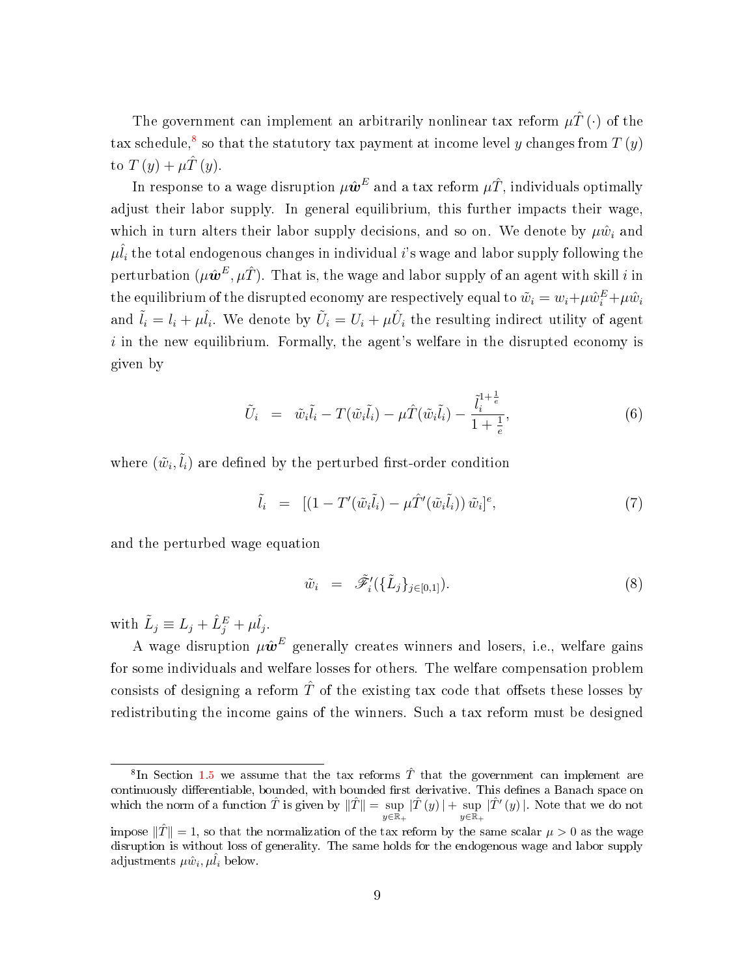The government can implement an arbitrarily nonlinear tax reform  $\mu \hat{T}(\cdot)$  of the tax schedule,<sup>[8](#page-0-0)</sup> so that the statutory tax payment at income level y changes from  $T\left(y\right)$ to  $T(y) + \mu \hat{T}(y)$ .

In response to a wage disruption  $\mu \hat{\bm{w}}^E$  and a tax reform  $\mu \hat{T}$ , individuals optimally adjust their labor supply. In general equilibrium, this further impacts their wage, which in turn alters their labor supply decisions, and so on. We denote by  $\mu \hat{w}_i$  and  $\mu \hat{l}_i$  the total endogenous changes in individual i's wage and labor supply following the perturbation  $(\mu \hat{\bm{w}}^E, \mu \hat{T})$ . That is, the wage and labor supply of an agent with skill  $i$  in the equilibrium of the disrupted economy are respectively equal to  $\tilde{w}_i = w_i + \mu \hat{w}_i^E + \mu \hat{w}_i$ and  $\tilde{l}_i = l_i + \mu \hat{l}_i$ . We denote by  $\tilde{U}_i = U_i + \mu \hat{U}_i$  the resulting indirect utility of agent  $i$  in the new equilibrium. Formally, the agent's welfare in the disrupted economy is given by

<span id="page-9-0"></span>
$$
\tilde{U}_i = \tilde{w}_i \tilde{l}_i - T(\tilde{w}_i \tilde{l}_i) - \mu \hat{T}(\tilde{w}_i \tilde{l}_i) - \frac{\tilde{l}_i^{1 + \frac{1}{e}}}{1 + \frac{1}{e}},\tag{6}
$$

where  $(\tilde{w}_i, \tilde{l}_i)$  are defined by the perturbed first-order condition

<span id="page-9-1"></span>
$$
\tilde{l}_i = \left[ \left( 1 - T'(\tilde{w}_i \tilde{l}_i) - \mu \hat{T}'(\tilde{w}_i \tilde{l}_i) \right) \tilde{w}_i \right]^e, \tag{7}
$$

and the perturbed wage equation

<span id="page-9-2"></span>
$$
\tilde{w}_i = \tilde{\mathscr{F}}'_i(\{\tilde{L}_j\}_{j \in [0,1]}). \tag{8}
$$

with  $\tilde{L}_j \equiv L_j + \hat{L}_j^E + \mu \hat{l}_j$ .

A wage disruption  $\mu \hat{\bm{w}}^E$  generally creates winners and losers, i.e., welfare gains for some individuals and welfare losses for others. The welfare compensation problem consists of designing a reform  $\hat{T}$  of the existing tax code that offsets these losses by redistributing the income gains of the winners. Such a tax reform must be designed

 ${}^{8}$ In Section [1.5](#page-13-1) we assume that the tax reforms  $\hat{T}$  that the government can implement are continuously differentiable, bounded, with bounded first derivative. This defines a Banach space on which the norm of a function  $\hat{T}$  is given by  $\|\hat{T}\| = \text{sup}$  $y\in\bar{\mathbb{R}}_+$  $|\hat{T}(y)| + \sup$  $y\in\bar{\mathbb{R}_+}$  $|\hat{T}'(y)|$ . Note that we do not

impose  $\|\hat{T}\|=1$ , so that the normalization of the tax reform by the same scalar  $\mu > 0$  as the wage disruption is without loss of generality. The same holds for the endogenous wage and labor supply adjustments  $\mu \hat{w}_i, \mu \hat{l}_i$  below.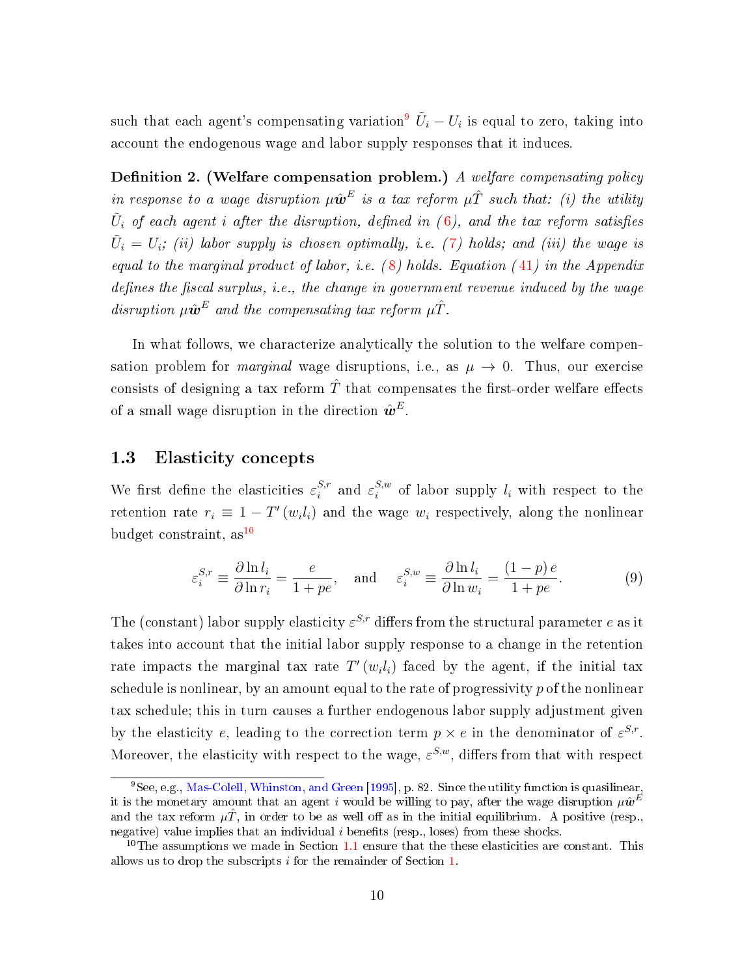such that each agent's compensating variation $^9$  $^9$   $\tilde{U}_i - U_i$  is equal to zero, taking into account the endogenous wage and labor supply responses that it induces.

**Definition 2.** (Welfare compensation problem.) A welfare compensating policy in response to a wage disruption  $\mu \hat{\bm{w}}^E$  is a tax reform  $\mu \hat{T}$  such that: (i) the utility  $\tilde{U}_i$  of each agent i after the disruption, defined in ([6\)](#page-9-0), and the tax reform satisfies  $\tilde{U}_i$  =  $U_i$ ; (ii) labor supply is chosen optimally, i.e. ([7\)](#page-9-1) holds; and (iii) the wage is equal to the marginal product of labor, i.e.  $(8)$  $(8)$  holds. Equation  $(41)$  $(41)$  in the Appendix defines the fiscal surplus, i.e., the change in government revenue induced by the wage disruption  $\mu \hat{\bm{w}}^E$  and the compensating tax reform  $\mu \hat{T}$ .

In what follows, we characterize analytically the solution to the welfare compensation problem for *marginal* wage disruptions, i.e., as  $\mu \to 0$ . Thus, our exercise consists of designing a tax reform  $\hat{T}$  that compensates the first-order welfare effects of a small wage disruption in the direction  $\hat{\bm{w}}^E.$ 

#### 1.3 Elasticity concepts

We first define the elasticities  $\varepsilon_i^{S,r}$  $s_i^{S,r}$  and  $\varepsilon_i^{S,w}$  $i_i^{s,w}$  of labor supply  $l_i$  with respect to the retention rate  $r_i \equiv 1 - T'(w_i l_i)$  and the wage  $w_i$  respectively, along the nonlinear budget constraint,  $as^{10}$  $as^{10}$  $as^{10}$ 

$$
\varepsilon_i^{S,r} \equiv \frac{\partial \ln l_i}{\partial \ln r_i} = \frac{e}{1 + pe}, \quad \text{and} \quad \varepsilon_i^{S,w} \equiv \frac{\partial \ln l_i}{\partial \ln w_i} = \frac{(1 - p)e}{1 + pe}.
$$
 (9)

The (constant) labor supply elasticity  $\varepsilon^{S,r}$  differs from the structural parameter e as it takes into account that the initial labor supply response to a change in the retention rate impacts the marginal tax rate  $T'(w_i l_i)$  faced by the agent, if the initial tax schedule is nonlinear, by an amount equal to the rate of progressivity  $p$  of the nonlinear tax schedule; this in turn causes a further endogenous labor supply adjustment given by the elasticity e, leading to the correction term  $p \times e$  in the denominator of  $\varepsilon^{S,r}$ . Moreover, the elasticity with respect to the wage,  $\varepsilon^{S,w}$ , differs from that with respect

 $^{9}$ See, e.g., [Mas-Colell, Whinston, and Green](#page-38-5) [\[1995\]](#page-38-5), p. 82. Since the utility function is quasilinear. it is the monetary amount that an agent  $i$  would be willing to pay, after the wage disruption  $\mu\hat{\bm{w}}^E$ and the tax reform  $\mu \hat{T}$ , in order to be as well off as in the initial equilibrium. A positive (resp., negative) value implies that an individual  $i$  benefits (resp., loses) from these shocks.

<sup>&</sup>lt;sup>10</sup>The assumptions we made in Section [1.1](#page-6-1) ensure that the these elasticities are constant. This allows us to drop the subscripts i for the remainder of Section [1.](#page-6-0)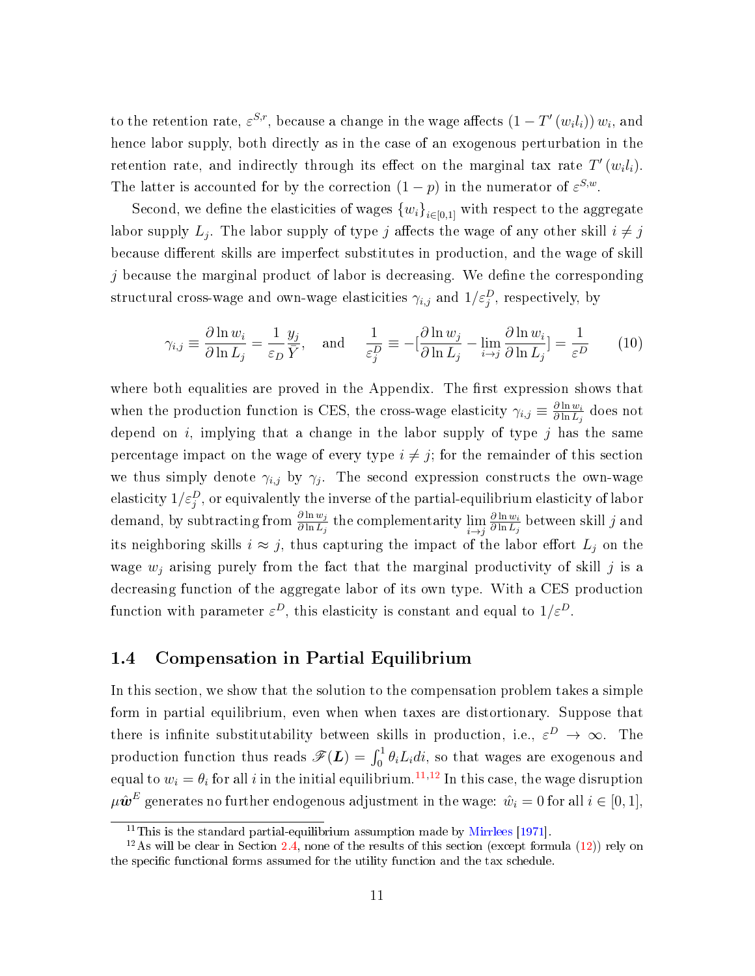to the retention rate,  $\varepsilon^{S,r}$ , because a change in the wage affects  $(1-T'(w_il_i))w_i$ , and hence labor supply, both directly as in the case of an exogenous perturbation in the retention rate, and indirectly through its effect on the marginal tax rate  $T'(w_i l_i)$ . The latter is accounted for by the correction  $(1-p)$  in the numerator of  $\varepsilon^{S,w}$ .

Second, we define the elasticities of wages  ${w_i}_{i\in{0,1}}$  with respect to the aggregate labor supply  $L_j$ . The labor supply of type  $j$  affects the wage of any other skill  $i\neq j$ because different skills are imperfect substitutes in production, and the wage of skill j because the marginal product of labor is decreasing. We define the corresponding structural cross-wage and own-wage elasticities  $\gamma_{i,j}$  and  $1/\varepsilon_j^D,$  respectively, by

<span id="page-11-1"></span>
$$
\gamma_{i,j} \equiv \frac{\partial \ln w_i}{\partial \ln L_j} = \frac{1}{\varepsilon_D} \frac{y_j}{\bar{Y}}, \quad \text{and} \quad \frac{1}{\varepsilon_j^D} \equiv -[\frac{\partial \ln w_j}{\partial \ln L_j} - \lim_{i \to j} \frac{\partial \ln w_i}{\partial \ln L_j}] = \frac{1}{\varepsilon^D} \tag{10}
$$

where both equalities are proved in the Appendix. The first expression shows that when the production function is CES, the cross-wage elasticity  $\gamma_{i,j} \equiv \frac{\partial \ln w_i}{\partial \ln L_i}$  $\frac{\partial \ln w_i}{\partial \ln L_j}$  does not depend on  $i$ , implying that a change in the labor supply of type  $j$  has the same percentage impact on the wage of every type  $i \neq j$ ; for the remainder of this section we thus simply denote  $\gamma_{i,j}$  by  $\gamma_j$ . The second expression constructs the own-wage elasticity  $1/\varepsilon_j^D$  , or equivalently the inverse of the partial-equilibrium elasticity of labor demand, by subtracting from  $\frac{\partial \ln w_j}{\partial \ln L_j}$  the complementarity  $\lim_{i \to j}$  $\partial \ln w_i$  $\frac{\partial \ln w_i}{\partial \ln L_j}$  between skill  $j$  and its neighboring skills  $i \approx j$ , thus capturing the impact of the labor effort  $L_j$  on the wage  $w_j$  arising purely from the fact that the marginal productivity of skill j is a decreasing function of the aggregate labor of its own type. With a CES production function with parameter  $\varepsilon^D$ , this elasticity is constant and equal to  $1/\varepsilon^D$ .

### <span id="page-11-0"></span>1.4 Compensation in Partial Equilibrium

In this section, we show that the solution to the compensation problem takes a simple form in partial equilibrium, even when when taxes are distortionary. Suppose that there is infinite substitutability between skills in production, i.e.,  $\varepsilon^D \to \infty$ . The production function thus reads  $\mathscr{F}(\boldsymbol{L}) = \int_0^1 \theta_i L_i di$ , so that wages are exogenous and equal to  $w_i = \theta_i$  for all  $i$  in the initial equilibrium.<sup>[11](#page-0-0),[12](#page-0-0)</sup> In this case, the wage disruption  $\mu\hat{\bm{w}}^E$  generates no further endogenous adjustment in the wage:  $\hat{w}_i=0$  for all  $i\in[0,1],$ 

<sup>&</sup>lt;sup>11</sup>This is the standard partial-equilibrium assumption made by [Mirrlees](#page-38-0) [\[1971\]](#page-38-0).

<sup>&</sup>lt;sup>12</sup>As will be clear in Section [2.4,](#page-27-0) none of the results of this section (except formula [\(12\)](#page-12-0)) rely on the specific functional forms assumed for the utility function and the tax schedule.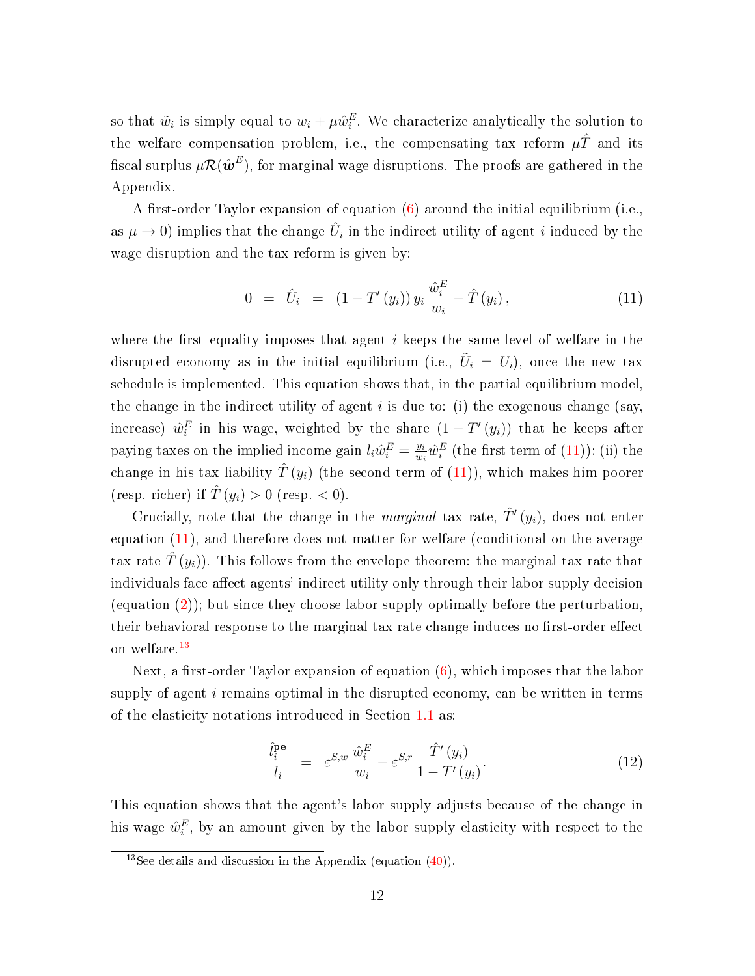so that  $\tilde{w}_i$  is simply equal to  $w_i + \mu \hat{w}_i^E$ . We characterize analytically the solution to the welfare compensation problem, i.e., the compensating tax reform  $\mu\hat{T}$  and its fiscal surplus  $\mu\mathcal{R}(\hat{\bm{w}}^E)$ , for marginal wage disruptions. The proofs are gathered in the Appendix.

A first-order Taylor expansion of equation  $(6)$  around the initial equilibrium (i.e., as  $\mu \to 0$ ) implies that the change  $\hat{U}_i$  in the indirect utility of agent i induced by the wage disruption and the tax reform is given by:

<span id="page-12-1"></span>
$$
0 = \hat{U}_i = (1 - T'(y_i)) y_i \frac{\hat{w}_i^E}{w_i} - \hat{T}(y_i), \qquad (11)
$$

where the first equality imposes that agent  $i$  keeps the same level of welfare in the disrupted economy as in the initial equilibrium (i.e.,  $\tilde{U}_i = U_i$ ), once the new tax schedule is implemented. This equation shows that, in the partial equilibrium model, the change in the indirect utility of agent  $i$  is due to: (i) the exogenous change (say, increase)  $\hat{w}_i^E$  in his wage, weighted by the share  $(1-T'(y_i))$  that he keeps after paying taxes on the implied income gain  $l_i \hat{w}_i^E = \frac{y_i}{w_i}$  $\frac{y_i}{w_i}\hat{w}_i^E$  (the first term of  $(11)$ ); (ii) the change in his tax liability  $\hat{T}(y_i)$  (the second term of  $(11)$ ), which makes him poorer (resp. richer) if  $\hat{T}(y_i) > 0$  (resp. < 0).

Crucially, note that the change in the *marginal* tax rate,  $\hat{T}'(y_i)$ , does not enter equation [\(11\)](#page-12-1), and therefore does not matter for welfare (conditional on the average tax rate  $\hat{T}(y_i)$ . This follows from the envelope theorem: the marginal tax rate that individuals face affect agents' indirect utility only through their labor supply decision (equation [\(2\)](#page-7-0)); but since they choose labor supply optimally before the perturbation, their behavioral response to the marginal tax rate change induces no first-order effect on welfare.[13](#page-0-0)

Next, a first-order Taylor expansion of equation  $(6)$ , which imposes that the labor supply of agent  $i$  remains optimal in the disrupted economy, can be written in terms of the elasticity notations introduced in Section [1.1](#page-6-1) as:

<span id="page-12-0"></span>
$$
\frac{\hat{l}_i^{\mathbf{pe}}}{l_i} = \varepsilon^{S,w} \frac{\hat{w}_i^E}{w_i} - \varepsilon^{S,r} \frac{\hat{T}'(y_i)}{1 - T'(y_i)}.
$$
\n(12)

This equation shows that the agent's labor supply adjusts because of the change in his wage  $\hat{w}_i^E$ , by an amount given by the labor supply elasticity with respect to the

<sup>&</sup>lt;sup>13</sup>See details and discussion in the Appendix (equation [\(40\)](#page-40-1)).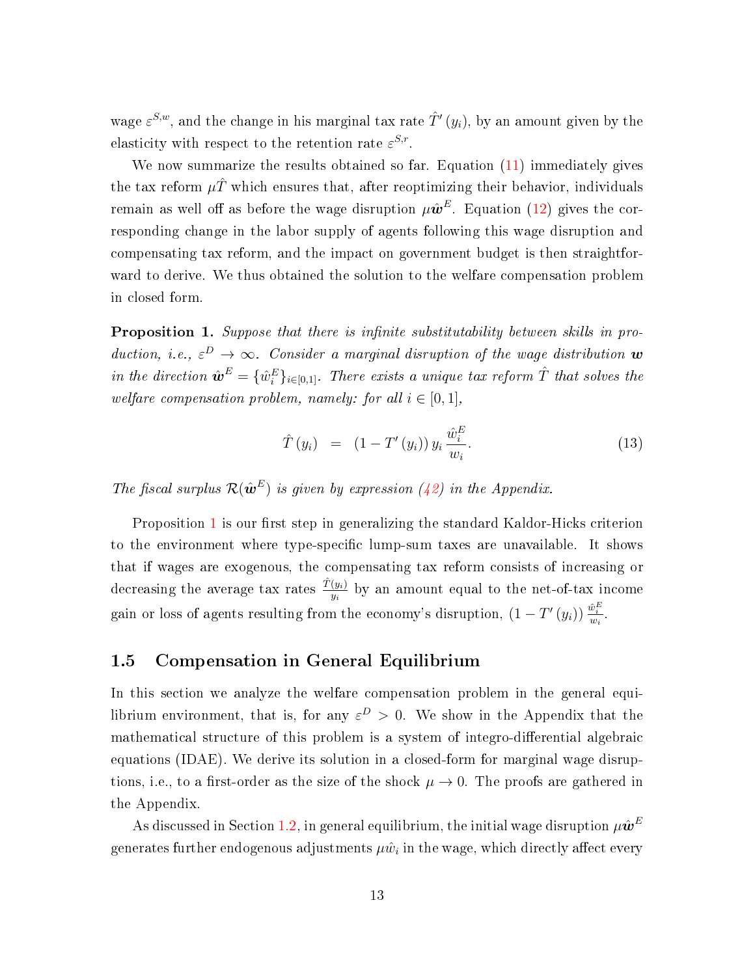wage  $\varepsilon^{S,w}$ , and the change in his marginal tax rate  $\hat{T}'(y_i)$ , by an amount given by the elasticity with respect to the retention rate  $\varepsilon^{S,r}$ .

We now summarize the results obtained so far. Equation  $(11)$  immediately gives the tax reform  $\mu \hat{T}$  which ensures that, after reoptimizing their behavior, individuals remain as well off as before the wage disruption  $\mu\hat{\bm{w}}^E$ . Equation [\(12\)](#page-12-0) gives the corresponding change in the labor supply of agents following this wage disruption and compensating tax reform, and the impact on government budget is then straightforward to derive. We thus obtained the solution to the welfare compensation problem in closed form.

<span id="page-13-0"></span>**Proposition 1.** Suppose that there is infinite substitutability between skills in production, i.e.,  $\varepsilon^D \to \infty$ . Consider a marginal disruption of the wage distribution  $\boldsymbol{w}$ in the direction  $\hat{\bm{w}}^E = \{\hat{w}_i^E\}_{i \in [0,1]}$ . There exists a unique tax reform  $\hat{T}$  that solves the welfare compensation problem, namely: for all  $i \in [0,1]$ ,

<span id="page-13-2"></span>
$$
\hat{T}(y_i) = (1 - T'(y_i)) y_i \frac{\hat{w}_i^E}{w_i}.
$$
\n(13)

The fiscal surplus  $\mathcal{R}(\hat{\boldsymbol{\omega}}^E)$  is given by expression [\(42\)](#page-40-2) in the Appendix.

Proposition [1](#page-13-0) is our first step in generalizing the standard Kaldor-Hicks criterion to the environment where type-specific lump-sum taxes are unavailable. It shows that if wages are exogenous, the compensating tax reform consists of increasing or decreasing the average tax rates  $\frac{\hat{T}(y_i)}{y_i}$  by an amount equal to the net-of-tax income gain or loss of agents resulting from the economy's disruption,  $(1 - T'(y_i)) \frac{\hat{w}_i^E}{w_i}$ .

#### <span id="page-13-1"></span>1.5 Compensation in General Equilibrium

In this section we analyze the welfare compensation problem in the general equilibrium environment, that is, for any  $\varepsilon^D > 0$ . We show in the Appendix that the mathematical structure of this problem is a system of integro-differential algebraic equations (IDAE). We derive its solution in a closed-form for marginal wage disruptions, i.e., to a first-order as the size of the shock  $\mu \to 0$ . The proofs are gathered in the Appendix.

As discussed in Section [1.2,](#page-8-1) in general equilibrium, the initial wage disruption  $\mu\hat{\bm{w}}^E$ generates further endogenous adjustments  $\mu\hat{w}_i$  in the wage, which directly affect every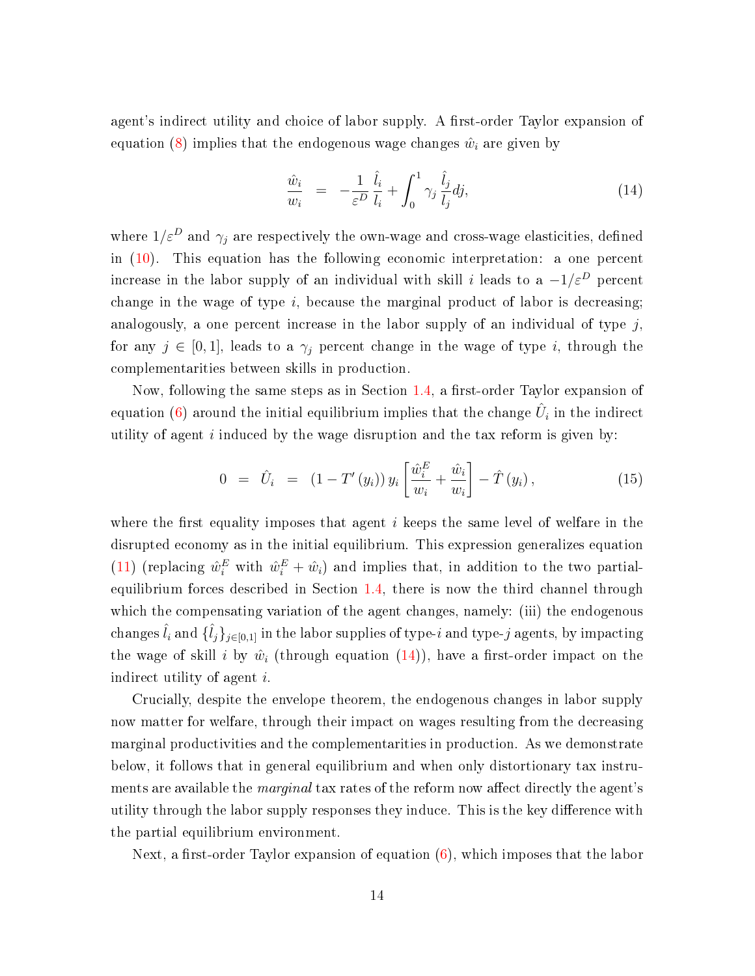agent's indirect utility and choice of labor supply. A first-order Taylor expansion of equation [\(8\)](#page-9-2) implies that the endogenous wage changes  $\hat{w}_i$  are given by

<span id="page-14-0"></span>
$$
\frac{\hat{w}_i}{w_i} = -\frac{1}{\varepsilon^D} \frac{\hat{l}_i}{l_i} + \int_0^1 \gamma_j \frac{\hat{l}_j}{l_j} dj,\tag{14}
$$

where  $1/\varepsilon^D$  and  $\gamma_j$  are respectively the own-wage and cross-wage elasticities, defined in [\(10\)](#page-11-1). This equation has the following economic interpretation: a one percent increase in the labor supply of an individual with skill i leads to a  $-1/\varepsilon^D$  percent change in the wage of type  $i$ , because the marginal product of labor is decreasing; analogously, a one percent increase in the labor supply of an individual of type  $j$ , for any  $j \in [0,1]$ , leads to a  $\gamma_j$  percent change in the wage of type i, through the complementarities between skills in production.

Now, following the same steps as in Section  $1.4$ , a first-order Taylor expansion of equation [\(6\)](#page-9-0) around the initial equilibrium implies that the change  $\hat{U}_i$  in the indirect utility of agent  $i$  induced by the wage disruption and the tax reform is given by:

<span id="page-14-1"></span>
$$
0 = \hat{U}_i = (1 - T'(y_i)) y_i \left[ \frac{\hat{w}_i^E}{w_i} + \frac{\hat{w}_i}{w_i} \right] - \hat{T}(y_i), \qquad (15)
$$

where the first equality imposes that agent  $i$  keeps the same level of welfare in the disrupted economy as in the initial equilibrium. This expression generalizes equation [\(11\)](#page-12-1) (replacing  $\hat{w}_i^E$  with  $\hat{w}_i^E + \hat{w}_i$ ) and implies that, in addition to the two partialequilibrium forces described in Section [1.4,](#page-11-0) there is now the third channel through which the compensating variation of the agent changes, namely: (iii) the endogenous  $\hat{l}_i$  and  $\{ \hat{l}_j \}_{j \in [0,1]}$  in the labor supplies of type- $i$  and type- $j$  agents, by impacting the wage of skill i by  $\hat{w}_i$  (through equation  $(14)$ ), have a first-order impact on the indirect utility of agent i.

Crucially, despite the envelope theorem, the endogenous changes in labor supply now matter for welfare, through their impact on wages resulting from the decreasing marginal productivities and the complementarities in production. As we demonstrate below, it follows that in general equilibrium and when only distortionary tax instruments are available the *marginal* tax rates of the reform now affect directly the agent's utility through the labor supply responses they induce. This is the key difference with the partial equilibrium environment.

Next, a first-order Taylor expansion of equation  $(6)$ , which imposes that the labor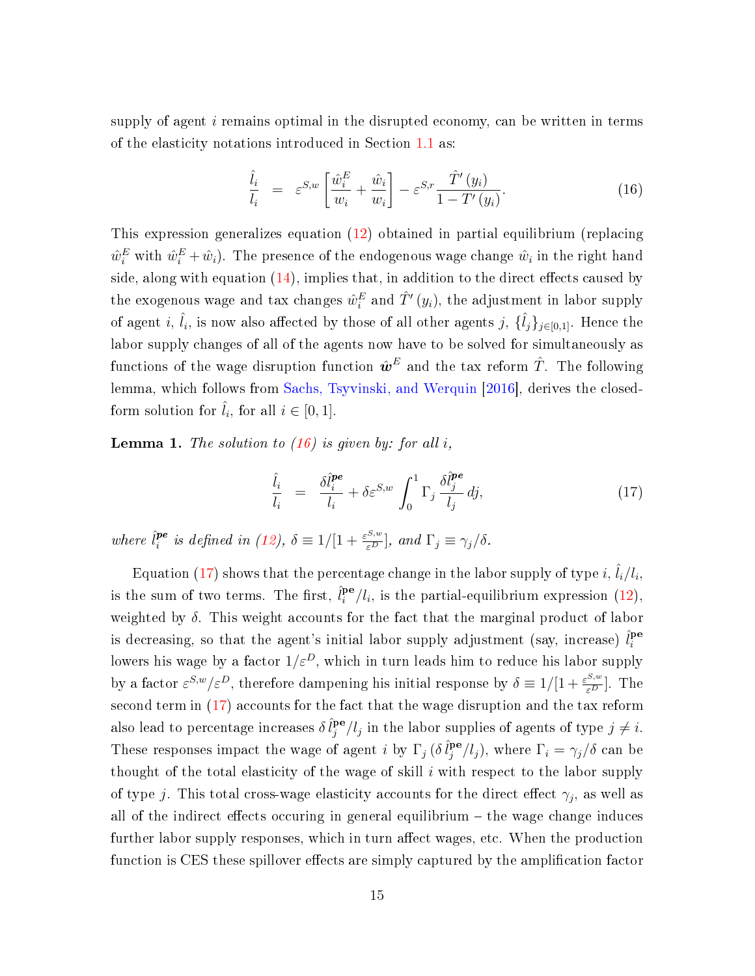supply of agent  $i$  remains optimal in the disrupted economy, can be written in terms of the elasticity notations introduced in Section [1.1](#page-6-1) as:

<span id="page-15-0"></span>
$$
\frac{\hat{l}_i}{l_i} = \varepsilon^{S,w} \left[ \frac{\hat{w}_i^E}{w_i} + \frac{\hat{w}_i}{w_i} \right] - \varepsilon^{S,r} \frac{\hat{T}'(y_i)}{1 - T'(y_i)}.
$$
\n(16)

This expression generalizes equation [\(12\)](#page-12-0) obtained in partial equilibrium (replacing  $\hat{w}_i^E$  with  $\hat{w}_i^E + \hat{w}_i$ ). The presence of the endogenous wage change  $\hat{w}_i$  in the right hand side, along with equation  $(14)$ , implies that, in addition to the direct effects caused by the exogenous wage and tax changes  $\hat{w}_i^E$  and  $\hat{T}'(y_i)$ , the adjustment in labor supply of agent i,  $\hat{l}_i$ , is now also affected by those of all other agents j,  $\{\hat{l}_j\}_{j\in[0,1]}$ . Hence the labor supply changes of all of the agents now have to be solved for simultaneously as functions of the wage disruption function  $\hat{\bm{w}}^E$  and the tax reform  $\hat{T}$ . The following lemma, which follows from [Sachs, Tsyvinski, and Werquin](#page-38-4) [\[2016\]](#page-38-4), derives the closedform solution for  $\hat{l}_i$ , for all  $i \in [0, 1]$ .

<span id="page-15-2"></span>**Lemma 1.** The solution to  $(16)$  is given by: for all i,

<span id="page-15-1"></span>
$$
\frac{\hat{l}_i}{l_i} = \frac{\delta \hat{l}_i^{\text{pe}}}{l_i} + \delta \varepsilon^{S,w} \int_0^1 \Gamma_j \frac{\delta \hat{l}_j^{\text{pe}}}{l_j} dj,\tag{17}
$$

where  $\hat{l}^{pe}_i$  $i^{\text{pe}}$  is defined in [\(12\)](#page-12-0),  $\delta \equiv 1/[1 + \frac{\varepsilon^{S,w}}{\varepsilon^D}]$ , and  $\Gamma_j \equiv \gamma_j/\delta$ .

Equation [\(17\)](#page-15-1) shows that the percentage change in the labor supply of type  $i, \hat{l}_i/l_i,$ is the sum of two terms. The first,  $\hat{l}_i^{\mathbf{pe}}$  $i^{\mathbf{p}\mathbf{e}}/l_i$ , is the partial-equilibrium expression [\(12\)](#page-12-0), weighted by  $\delta$ . This weight accounts for the fact that the marginal product of labor is decreasing, so that the agent's initial labor supply adjustment (say, increase)  $\hat{l}^{\mathbf{pe}}_i$ i lowers his wage by a factor  $1/\varepsilon^D$ , which in turn leads him to reduce his labor supply by a factor  $\varepsilon^{S,w}/\varepsilon^D$ , therefore dampening his initial response by  $\delta \equiv 1/[1 + \frac{\varepsilon^{S,w}}{\varepsilon^D}]$ . The second term in  $(17)$  accounts for the fact that the wage disruption and the tax reform also lead to percentage increases  $\delta \hat{l}^{\mathbf{pe}}_i$  $j^{\mathbf{p}\mathbf{e}}/l_j$  in the labor supplies of agents of type  $j\neq i$ . These responses impact the wage of agent *i* by  $\Gamma_j$  ( $\delta \hat{l}_j^{\text{pe}}$  $j^{\mathbf{pe}}/l_j$ ), where  $\Gamma_i = \gamma_j/\delta$  can be thought of the total elasticity of the wage of skill  $i$  with respect to the labor supply of type j. This total cross-wage elasticity accounts for the direct effect  $\gamma_j$ , as well as all of the indirect effects occuring in general equilibrium  $-$  the wage change induces further labor supply responses, which in turn affect wages, etc. When the production function is CES these spillover effects are simply captured by the amplification factor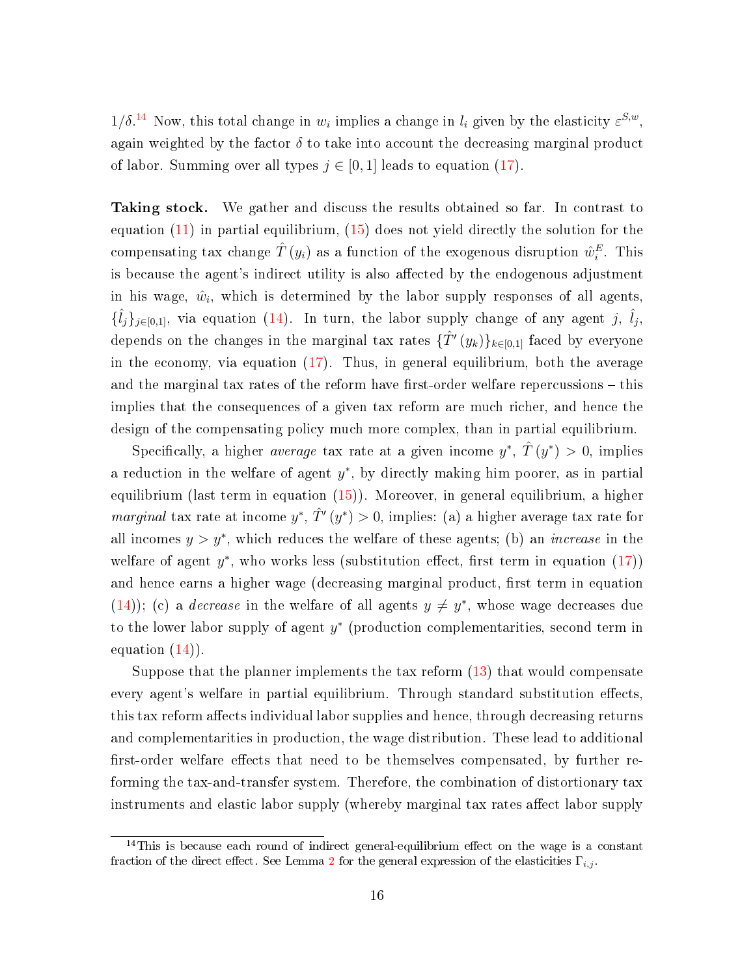$1/\delta$ <sup>[14](#page-0-0)</sup> Now, this total change in  $w_i$  implies a change in  $l_i$  given by the elasticity  $\varepsilon^{S,w}$ , again weighted by the factor  $\delta$  to take into account the decreasing marginal product of labor. Summing over all types  $j \in [0,1]$  leads to equation [\(17\)](#page-15-1).

Taking stock. We gather and discuss the results obtained so far. In contrast to equation  $(11)$  in partial equilibrium,  $(15)$  does not yield directly the solution for the compensating tax change  $\hat{T}(y_i)$  as a function of the exogenous disruption  $\hat{w}_i^E$ . This is because the agent's indirect utility is also affected by the endogenous adjustment in his wage,  $\hat{w}_i$ , which is determined by the labor supply responses of all agents,  $\{\hat{l}_j\}_{j\in[0,1]},$  via equation [\(14\)](#page-14-0). In turn, the labor supply change of any agent j,  $\hat{l}_j$ , depends on the changes in the marginal tax rates  $\{\hat{T}'(y_k)\}_{k\in[0,1]}$  faced by everyone in the economy, via equation  $(17)$ . Thus, in general equilibrium, both the average and the marginal tax rates of the reform have first-order welfare repercussions  $-$  this implies that the consequences of a given tax reform are much richer, and hence the design of the compensating policy much more complex, than in partial equilibrium.

Specifically, a higher *average* tax rate at a given income  $y^*$ ,  $\hat{T}(y^*) > 0$ , implies a reduction in the welfare of agent  $y^*$ , by directly making him poorer, as in partial equilibrium (last term in equation [\(15\)](#page-14-1)). Moreover, in general equilibrium, a higher *marginal* tax rate at income  $y^*$ ,  $\hat{T}'(y^*) > 0$ , implies: (a) a higher average tax rate for all incomes  $y > y^*$ , which reduces the welfare of these agents; (b) an *increase* in the welfare of agent  $y^*$ , who works less (substitution effect, first term in equation  $(17)$ ) and hence earns a higher wage (decreasing marginal product, first term in equation [\(14\)](#page-14-0)); (c) a *decrease* in the welfare of all agents  $y \neq y^*$ , whose wage decreases due to the lower labor supply of agent  $y^*$  (production complementarities, second term in equation  $(14)$ .

Suppose that the planner implements the tax reform [\(13\)](#page-13-2) that would compensate every agent's welfare in partial equilibrium. Through standard substitution effects, this tax reform affects individual labor supplies and hence, through decreasing returns and complementarities in production, the wage distribution. These lead to additional first-order welfare effects that need to be themselves compensated, by further reforming the tax-and-transfer system. Therefore, the combination of distortionary tax instruments and elastic labor supply (whereby marginal tax rates affect labor supply

 $14$ This is because each round of indirect general-equilibrium effect on the wage is a constant fraction of the direct effect. See Lemma [2](#page-29-0) for the general expression of the elasticities  $\Gamma_{i,j}$ .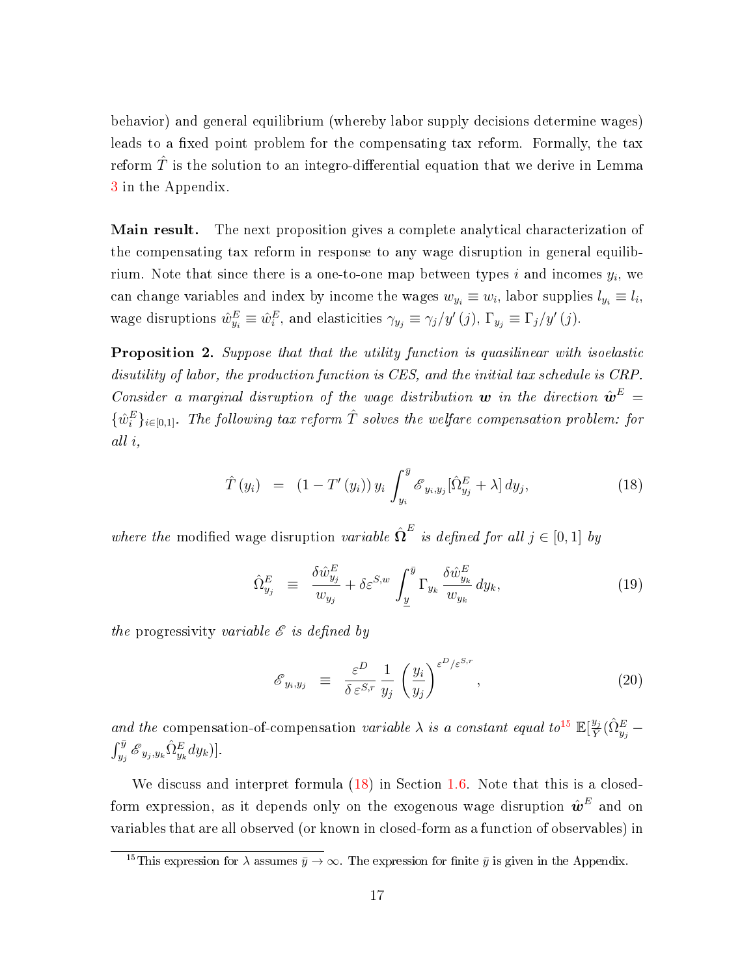behavior) and general equilibrium (whereby labor supply decisions determine wages) leads to a fixed point problem for the compensating tax reform. Formally, the tax reform  $\hat{T}$  is the solution to an integro-differential equation that we derive in Lemma [3](#page-47-0) in the Appendix.

**Main result.** The next proposition gives a complete analytical characterization of the compensating tax reform in response to any wage disruption in general equilibrium. Note that since there is a one-to-one map between types  $i$  and incomes  $y_i$ , we can change variables and index by income the wages  $w_{y_i} \equiv w_i$ , labor supplies  $l_{y_i} \equiv l_i$ , wage disruptions  $\hat{w}_{y_i}^E \equiv \hat{w}_i^E$ , and elasticities  $\gamma_{y_j} \equiv \gamma_j/y'(j)$ ,  $\Gamma_{y_j} \equiv \Gamma_j/y'(j)$ .

<span id="page-17-1"></span>**Proposition 2.** Suppose that that the utility function is quasilinear with isoelastic disutility of labor, the production function is CES, and the initial tax schedule is CRP. Consider a marginal disruption of the wage distribution  $\boldsymbol{w}$  in the direction  $\hat{\boldsymbol{w}}^E$  =  $\{\hat{w}_i^E\}_{i\in[0,1]}$ . The following tax reform  $\hat{T}$  solves the welfare compensation problem: for all i,

<span id="page-17-0"></span>
$$
\hat{T}(y_i) = (1 - T'(y_i)) y_i \int_{y_i}^{\bar{y}} \mathcal{E}_{y_i, y_j}[\hat{\Omega}_{y_j}^E + \lambda] dy_j, \qquad (18)
$$

where the modified wage disruption variable  $\hat{\Omega}^{E}$  is defined for all  $j \in [0,1]$  by

<span id="page-17-2"></span>
$$
\hat{\Omega}_{y_j}^E \equiv \frac{\delta \hat{w}_{y_j}^E}{w_{y_j}} + \delta \varepsilon^{S,w} \int_{\underline{y}}^{\overline{y}} \Gamma_{y_k} \frac{\delta \hat{w}_{y_k}^E}{w_{y_k}} dy_k, \tag{19}
$$

the progressivity variable  $\mathscr E$  is defined by

<span id="page-17-3"></span>
$$
\mathcal{E}_{y_i, y_j} \equiv \frac{\varepsilon^D}{\delta \varepsilon^{S,r}} \frac{1}{y_j} \left(\frac{y_i}{y_j}\right)^{\varepsilon^{D/\varepsilon^{S,r}}}, \qquad (20)
$$

and the compensation-of-compensation variable  $\lambda$  is a constant equal to<sup>[15](#page-0-0)</sup>  $\mathbb{E}[\frac{y_j}{\nabla}]$  $\frac{y_j}{\bar{Y}} ( \hat{\Omega}_{y_j}^E$  —  $\int_{y_j}^{\bar{y}} \mathscr{E}_{y_j, y_k} \hat{\Omega}^{E}_{y_k} dy_k)].$ 

We discuss and interpret formula  $(18)$  in Section [1.6.](#page-18-0) Note that this is a closedform expression, as it depends only on the exogenous wage disruption  $\hat{\bm{w}}^E$  and on variables that are all observed (or known in closed-form as a function of observables) in

<sup>&</sup>lt;sup>15</sup>This expression for  $\lambda$  assumes  $\bar{y} \to \infty$ . The expression for finite  $\bar{y}$  is given in the Appendix.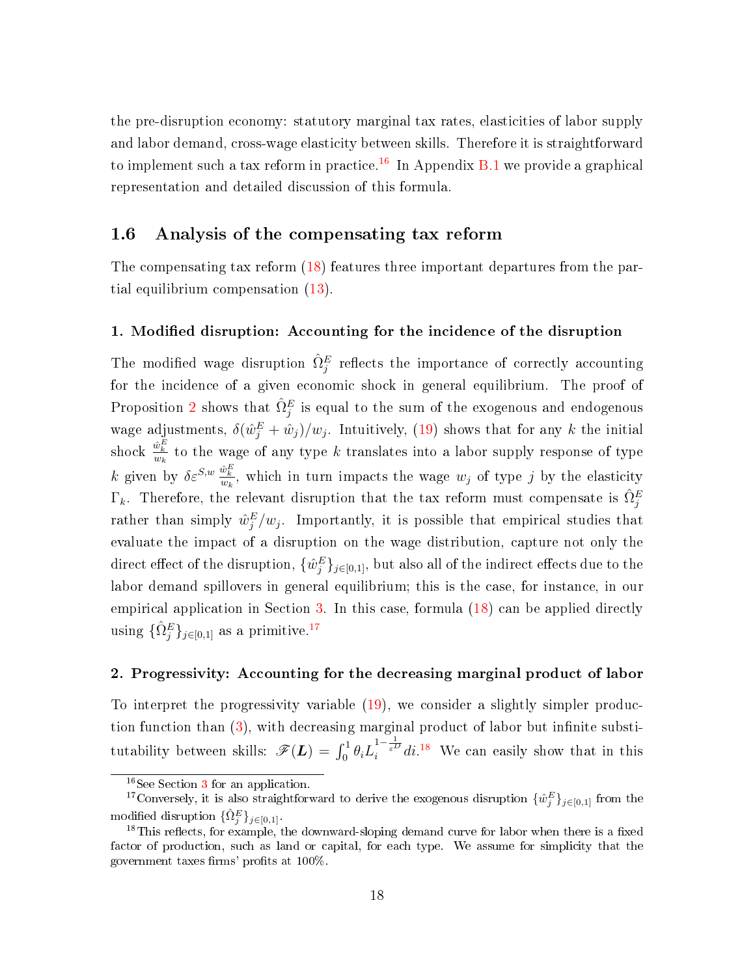the pre-disruption economy: statutory marginal tax rates, elasticities of labor supply and labor demand, cross-wage elasticity between skills. Therefore it is straightforward to implement such a tax reform in practice.<sup>[16](#page-0-0)</sup> In Appendix  $B.1$  we provide a graphical representation and detailed discussion of this formula.

#### <span id="page-18-0"></span>1.6 Analysis of the compensating tax reform

The compensating tax reform [\(18\)](#page-17-0) features three important departures from the partial equilibrium compensation [\(13\)](#page-13-2).

#### 1. Modified disruption: Accounting for the incidence of the disruption

The modified wage disruption  $\hat{\Omega}_{j}^{E}$  reflects the importance of correctly accounting for the incidence of a given economic shock in general equilibrium. The proof of Proposition [2](#page-17-1) shows that  $\hat{\Omega}_{j}^{E}$  is equal to the sum of the exogenous and endogenous wage adjustments,  $\delta(\hat{w}_j^E + \hat{w}_j)/w_j$ . Intuitively, [\(19\)](#page-17-2) shows that for any k the initial shock  $\frac{\hat{w}_k^E}{w_k}$  to the wage of any type k translates into a labor supply response of type k given by  $\delta \varepsilon^{S,w} \frac{\hat{w}_k^E}{w_k}$ , which in turn impacts the wage  $w_j$  of type j by the elasticity  $\Gamma_k$ . Therefore, the relevant disruption that the tax reform must compensate is  $\hat{\Omega}_{j}^E$ rather than simply  $\hat{w}_j^E/w_j$ . Importantly, it is possible that empirical studies that evaluate the impact of a disruption on the wage distribution, capture not only the direct effect of the disruption,  $\{\hat{w}^E_j\}_{j\in[0,1]},$  but also all of the indirect effects due to the labor demand spillovers in general equilibrium; this is the case, for instance, in our empirical application in Section [3.](#page-32-0) In this case, formula [\(18\)](#page-17-0) can be applied directly using  $\{\hat{\Omega}_{j}^{E}\}_{j\in[0,1]}$  as a primitive.<sup>[17](#page-0-0)</sup>

#### 2. Progressivity: Accounting for the decreasing marginal product of labor

To interpret the progressivity variable [\(19\)](#page-17-2), we consider a slightly simpler production function than  $(3)$ , with decreasing marginal product of labor but infinite substitutability between skills:  $\mathscr{F}(\boldsymbol{L}) = \int_0^1 \theta_i L_i^{1-\frac{1}{\varepsilon^D}} di^{18}$  $\mathscr{F}(\boldsymbol{L}) = \int_0^1 \theta_i L_i^{1-\frac{1}{\varepsilon^D}} di^{18}$  $\mathscr{F}(\boldsymbol{L}) = \int_0^1 \theta_i L_i^{1-\frac{1}{\varepsilon^D}} di^{18}$  We can easily show that in this

<sup>&</sup>lt;sup>16</sup>See Section [3](#page-32-0) for an application.

<sup>&</sup>lt;sup>17</sup>Conversely, it is also straightforward to derive the exogenous disruption  $\{\hat{w}_j^E\}_{j\in[0,1]}$  from the modified disruption  $\{\hat{\Omega}_{j}^{E}\}_{j\in[0,1]}.$ 

 $18$ This reflects, for example, the downward-sloping demand curve for labor when there is a fixed factor of production, such as land or capital, for each type. We assume for simplicity that the government taxes firms' profits at  $100\%$ .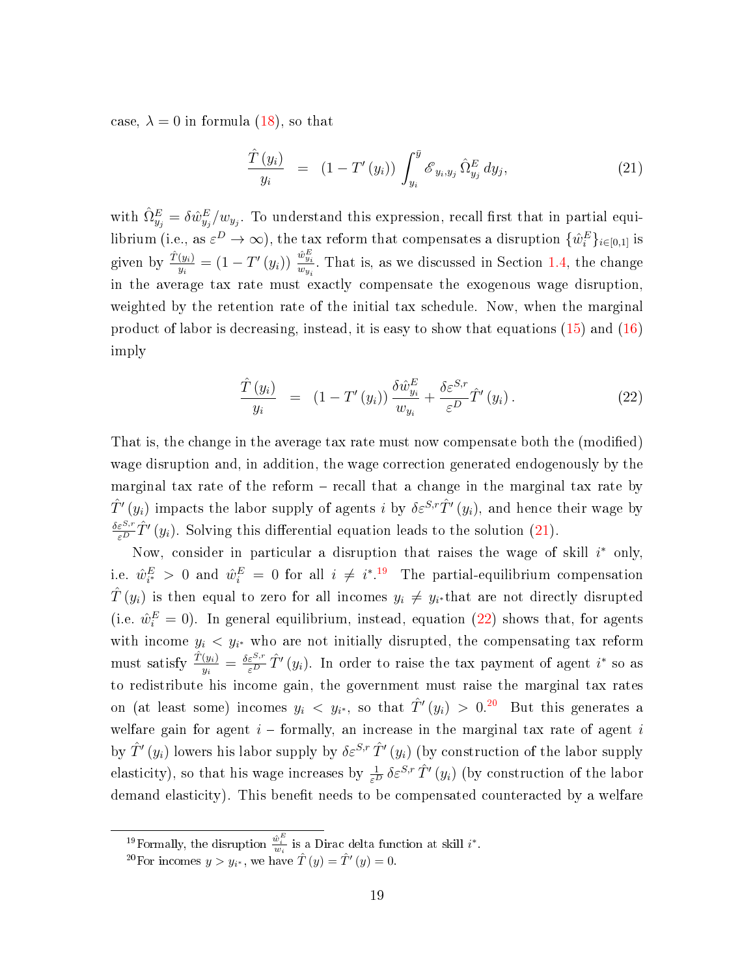case,  $\lambda = 0$  in formula [\(18\)](#page-17-0), so that

<span id="page-19-0"></span>
$$
\frac{\hat{T}(y_i)}{y_i} = (1 - T'(y_i)) \int_{y_i}^{\bar{y}} \mathcal{E}_{y_i, y_j} \hat{\Omega}_{y_j}^E dy_j, \qquad (21)
$$

with  $\hat{\Omega}_{y_j}^E = \delta \hat{w}_{y_j}^E/w_{y_j}$ . To understand this expression, recall first that in partial equilibrium (i.e., as  $\varepsilon^D\to\infty$ ), the tax reform that compensates a disruption  $\{\hat{w}_i^E\}_{i\in[0,1]}$  is given by  $\frac{\hat{T}(y_i)}{y_i} = (1 - T'(y_i)) \frac{\hat{w}_{y_i}^E}{w_{y_i}}$  $\frac{w_{y_i}}{w_{y_i}}$ . That is, as we discussed in Section [1.4,](#page-11-0) the change in the average tax rate must exactly compensate the exogenous wage disruption, weighted by the retention rate of the initial tax schedule. Now, when the marginal product of labor is decreasing, instead, it is easy to show that equations [\(15\)](#page-14-1) and [\(16\)](#page-15-0) imply

<span id="page-19-1"></span>
$$
\frac{\hat{T}(y_i)}{y_i} = (1 - T'(y_i)) \frac{\delta \hat{w}_{y_i}^E}{w_{y_i}} + \frac{\delta \varepsilon^{S,r}}{\varepsilon^D} \hat{T}'(y_i).
$$
\n(22)

That is, the change in the average tax rate must now compensate both the (modied) wage disruption and, in addition, the wage correction generated endogenously by the marginal tax rate of the reform  $-$  recall that a change in the marginal tax rate by  $\hat{T}'(y_i)$  impacts the labor supply of agents i by  $\delta \varepsilon^{S,r} \hat{T}'(y_i)$ , and hence their wage by  $\frac{\delta \varepsilon^{S,r}}{\varepsilon^D} \hat{T}'(y_i)$ . Solving this differential equation leads to the solution [\(21\)](#page-19-0).

Now, consider in particular a disruption that raises the wage of skill  $i^*$  only, i.e.  $\hat{w}_{i^*}^E > 0$  and  $\hat{w}_i^E = 0$  for all  $i \neq i^{*.19}$  $i \neq i^{*.19}$  $i \neq i^{*.19}$  The partial-equilibrium compensation  $\hat{T}\left(y_i\right)$  is then equal to zero for all incomes  $y_i\,\neq\, y_{i^*}$ that are not directly disrupted (i.e.  $\hat{w}_i^E = 0$ ). In general equilibrium, instead, equation [\(22\)](#page-19-1) shows that, for agents with income  $y_i < y_{i^*}$  who are not initially disrupted, the compensating tax reform must satisfy  $\frac{\hat{T}(y_i)}{y_i} = \frac{\delta \varepsilon^{S,r}}{\varepsilon^D} \hat{T}'(y_i)$ . In order to raise the tax payment of agent  $i^*$  so as to redistribute his income gain, the government must raise the marginal tax rates on (at least some) incomes  $y_i$   $\langle y_{i^*}$ , so that  $\hat{T}'(y_i) > 0.^{20}$  $\hat{T}'(y_i) > 0.^{20}$  $\hat{T}'(y_i) > 0.^{20}$  But this generates a welfare gain for agent  $i$  – formally, an increase in the marginal tax rate of agent i by  $\hat{T}'(y_i)$  lowers his labor supply by  $\delta \varepsilon^{S,r} \hat{T}'(y_i)$  (by construction of the labor supply elasticity), so that his wage increases by  $\frac{1}{\varepsilon^D} \delta \varepsilon^{S,r} \hat{T}'(y_i)$  (by construction of the labor demand elasticity). This benefit needs to be compensated counteracted by a welfare

<sup>&</sup>lt;sup>19</sup>Formally, the disruption  $\frac{\hat{w}_i^E}{w_i}$  is a Dirac delta function at skill  $i^*$ .

<sup>&</sup>lt;sup>20</sup>For incomes  $y > y_{i^*}$ , we have  $\hat{T}(y) = \hat{T}'(y) = 0$ .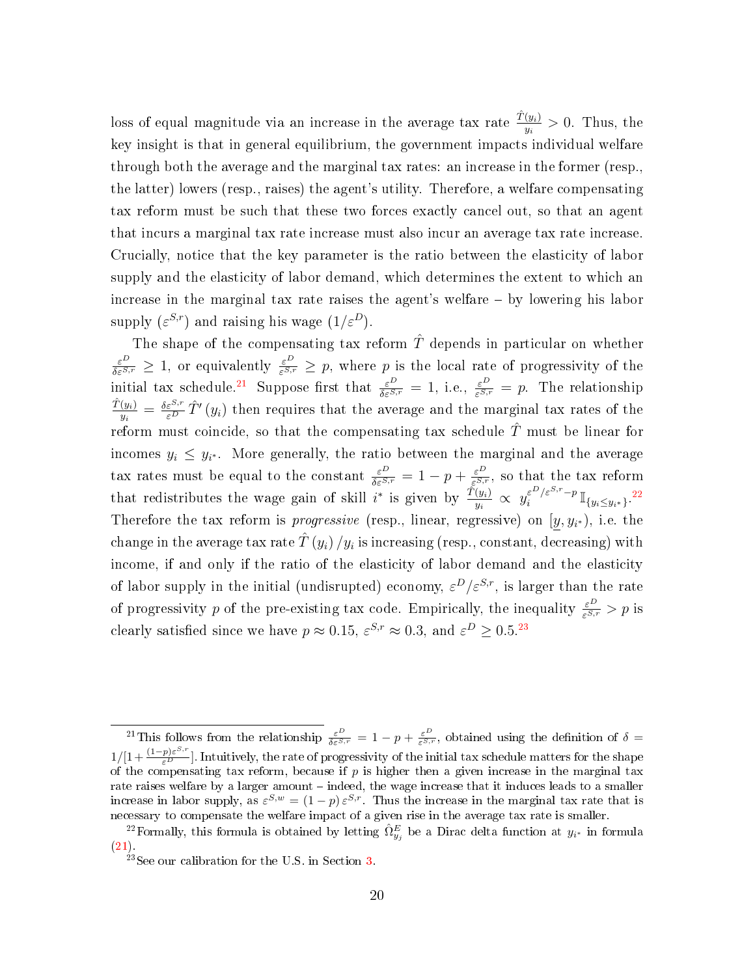loss of equal magnitude via an increase in the average tax rate  $\frac{\hat{T}(y_i)}{y_i} > 0$ . Thus, the key insight is that in general equilibrium, the government impacts individual welfare through both the average and the marginal tax rates: an increase in the former (resp., the latter) lowers (resp., raises) the agent's utility. Therefore, a welfare compensating tax reform must be such that these two forces exactly cancel out, so that an agent that incurs a marginal tax rate increase must also incur an average tax rate increase. Crucially, notice that the key parameter is the ratio between the elasticity of labor supply and the elasticity of labor demand, which determines the extent to which an increase in the marginal tax rate raises the agent's welfare  $-$  by lowering his labor supply  $(\varepsilon^{S,r})$  and raising his wage  $(1/\varepsilon^D)$ .

The shape of the compensating tax reform  $\hat{T}$  depends in particular on whether  $\frac{\varepsilon^D}{\delta\varepsilon^{S,r}} \geq 1$ , or equivalently  $\frac{\varepsilon^D}{\varepsilon^{S,r}} \geq p$ , where p is the local rate of progressivity of the initial tax schedule.<sup>[21](#page-0-0)</sup> Suppose first that  $\frac{\varepsilon^D}{\delta \varepsilon^{S,r}} = 1$ , i.e.,  $\frac{\varepsilon^D}{\varepsilon^{S,r}} = p$ . The relationship  $\hat{T}(y_i)$  $\frac{(y_i)}{y_i} = \frac{\delta \varepsilon^{S,r}}{\varepsilon^D} \hat{T}'(y_i)$  then requires that the average and the marginal tax rates of the reform must coincide, so that the compensating tax schedule  $\hat{T}$  must be linear for incomes  $y_i \leq y_{i^*}$ . More generally, the ratio between the marginal and the average tax rates must be equal to the constant  $\frac{\varepsilon^D}{\delta \varepsilon^{S,r}} = 1 - p + \frac{\varepsilon^D}{\varepsilon^{S,r}}$  $\frac{\varepsilon^D}{\varepsilon^{S,r}}$ , so that the tax reform that redistributes the wage gain of skill  $i^*$  is given by  $\frac{\tilde{T}(y_i)}{y_i} \propto y_i^{\varepsilon^{D}/\varepsilon^{S,r}-p}$  $\int_{i}^{\varepsilon^D/\varepsilon^{S,r}-p} \mathbb{I}_{\{y_i \leq y_{i^*}\}}$ .<sup>[22](#page-0-0)</sup> Therefore the tax reform is *progressive* (resp., linear, regressive) on  $[y, y_{i^*})$ , i.e. the change in the average tax rate  $\hat{T}\left(y_{i}\right)/y_{i}$  is increasing (resp., constant, decreasing) with income, if and only if the ratio of the elasticity of labor demand and the elasticity of labor supply in the initial (undisrupted) economy,  $\varepsilon^{D}/\varepsilon^{S,r}$ , is larger than the rate of progressivity p of the pre-existing tax code. Empirically, the inequality  $\frac{\varepsilon^D}{\varepsilon^{S,r}} > p$  is clearly satisfied since we have  $p \approx 0.15$ ,  $\varepsilon^{S,r} \approx 0.3$ , and  $\varepsilon^{D} \ge 0.5^{23}$  $\varepsilon^{D} \ge 0.5^{23}$  $\varepsilon^{D} \ge 0.5^{23}$ 

<sup>&</sup>lt;sup>21</sup>This follows from the relationship  $\frac{\varepsilon^D}{\delta \varepsilon^{S,r}} = 1 - p + \frac{\varepsilon^D}{\varepsilon^{S,r}}$ , obtained using the definition of  $\delta =$  $1/[1+\frac{(1-p)\varepsilon^{S,r}}{\varepsilon^D}]$ . Intuitively, the rate of progressivity of the initial tax schedule matters for the shape of the compensating tax reform, because if  $p$  is higher then a given increase in the marginal tax rate raises welfare by a larger amount - indeed, the wage increase that it induces leads to a smaller increase in labor supply, as  $\varepsilon^{S,w} = (1-p) \varepsilon^{S,r}$ . Thus the increase in the marginal tax rate that is necessary to compensate the welfare impact of a given rise in the average tax rate is smaller.

<sup>&</sup>lt;sup>22</sup>Formally, this formula is obtained by letting  $\hat{\Omega}_{y_j}^E$  be a Dirac delta function at  $y_{i^*}$  in formula [\(21\)](#page-19-0).

<sup>23</sup>See our calibration for the U.S. in Section [3.](#page-32-0)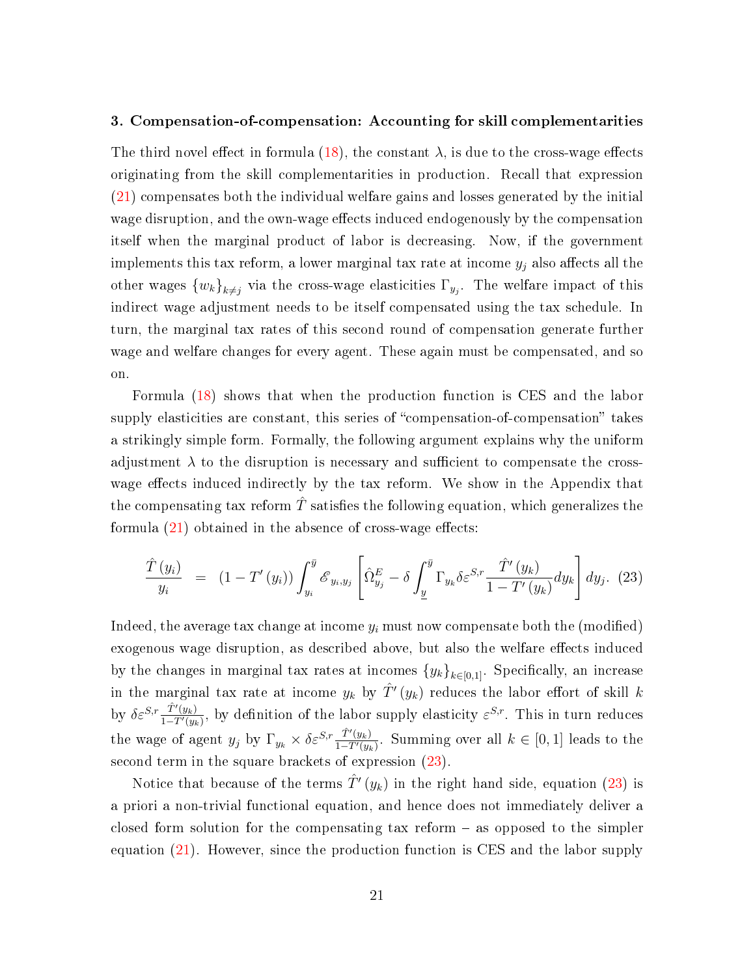#### 3. Compensation-of-compensation: Accounting for skill complementarities

The third novel effect in formula [\(18\)](#page-17-0), the constant  $\lambda$ , is due to the cross-wage effects originating from the skill complementarities in production. Recall that expression [\(21\)](#page-19-0) compensates both the individual welfare gains and losses generated by the initial wage disruption, and the own-wage effects induced endogenously by the compensation itself when the marginal product of labor is decreasing. Now, if the government implements this tax reform, a lower marginal tax rate at income  $y_i$  also affects all the other wages  $\{w_k\}_{k\neq j}$  via the cross-wage elasticities  $\Gamma_{y_j}$ . The welfare impact of this indirect wage adjustment needs to be itself compensated using the tax schedule. In turn, the marginal tax rates of this second round of compensation generate further wage and welfare changes for every agent. These again must be compensated, and so on.

Formula [\(18\)](#page-17-0) shows that when the production function is CES and the labor supply elasticities are constant, this series of "compensation-of-compensation" takes a strikingly simple form. Formally, the following argument explains why the uniform adjustment  $\lambda$  to the disruption is necessary and sufficient to compensate the crosswage effects induced indirectly by the tax reform. We show in the Appendix that the compensating tax reform  $\hat{T}$  satisfies the following equation, which generalizes the formula  $(21)$  obtained in the absence of cross-wage effects:

<span id="page-21-0"></span>
$$
\frac{\hat{T}(y_i)}{y_i} = (1 - T'(y_i)) \int_{y_i}^{\bar{y}} \mathcal{E}_{y_i, y_j} \left[ \hat{\Omega}_{y_j}^E - \delta \int_{\underline{y}}^{\bar{y}} \Gamma_{y_k} \delta \varepsilon^{S, r} \frac{\hat{T}'(y_k)}{1 - T'(y_k)} dy_k \right] dy_j. (23)
$$

Indeed, the average tax change at income  $y_i$  must now compensate both the (modified) exogenous wage disruption, as described above, but also the welfare effects induced by the changes in marginal tax rates at incomes  ${y_k}_{k\in{0,1}}$ . Specifically, an increase in the marginal tax rate at income  $y_k$  by  $\hat{T}'(y_k)$  reduces the labor effort of skill  $k$ by  $\delta \varepsilon^{S,r} \frac{\hat{T}'(y_k)}{1-T'(y_k)}$  $\frac{T'(y_k)}{1-T'(y_k)}$ , by definition of the labor supply elasticity  $\varepsilon^{S,r}$ . This in turn reduces the wage of agent  $y_j$  by  $\Gamma_{y_k} \times \delta \varepsilon^{S,r} \frac{\hat{T}'(y_k)}{1-T'(y_k)}$  $\frac{T'(y_k)}{1-T'(y_k)}$ . Summing over all  $k \in [0,1]$  leads to the second term in the square brackets of expression [\(23\)](#page-21-0).

Notice that because of the terms  $\hat{T}'(y_k)$  in the right hand side, equation [\(23\)](#page-21-0) is a priori a non-trivial functional equation, and hence does not immediately deliver a closed form solution for the compensating tax reform  $-$  as opposed to the simpler equation [\(21\)](#page-19-0). However, since the production function is CES and the labor supply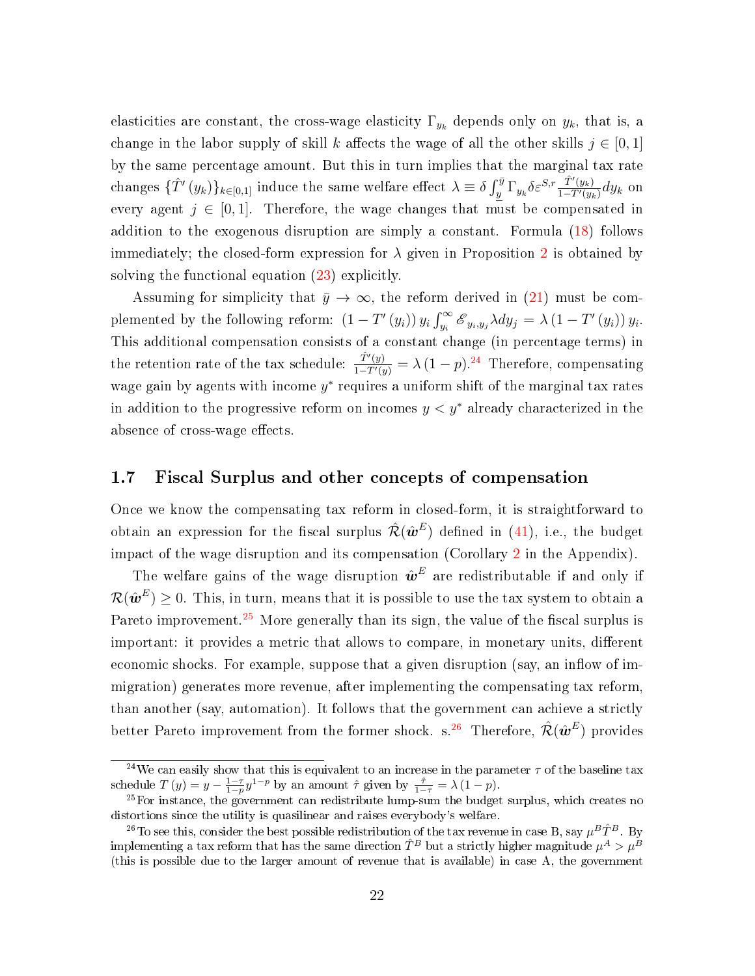elasticities are constant, the cross-wage elasticity  $\Gamma_{y_k}$  depends only on  $y_k$ , that is, a change in the labor supply of skill k affects the wage of all the other skills  $j \in [0,1]$ by the same percentage amount. But this in turn implies that the marginal tax rate changes  $\{\hat{T}'(y_k)\}_{k\in[0,1]}$  induce the same welfare effect  $\lambda \equiv \delta \int_y^{\bar{y}} \Gamma_{y_k} \delta \varepsilon^{S,r} \frac{\hat{T}'(y_k)}{1-\hat{T}'(y_k)}$  $\frac{T'(y_k)}{1-T'(y_k)}dy_k$  on every agent  $j \in [0, 1]$ . Therefore, the wage changes that must be compensated in addition to the exogenous disruption are simply a constant. Formula [\(18\)](#page-17-0) follows immediately; the closed-form expression for  $\lambda$  given in Proposition [2](#page-17-1) is obtained by solving the functional equation [\(23\)](#page-21-0) explicitly.

Assuming for simplicity that  $\bar{y} \to \infty$ , the reform derived in [\(21\)](#page-19-0) must be complemented by the following reform:  $(1 - T'(y_i)) y_i \int_{y_i}^{\infty} \mathcal{E}_{y_i, y_j} \lambda dy_j = \lambda (1 - T'(y_i)) y_i$ . This additional compensation consists of a constant change (in percentage terms) in the retention rate of the tax schedule:  $\frac{\hat{T}'(y)}{1-T'(y)} = \lambda (1-p)^{24}$  $\frac{\hat{T}'(y)}{1-T'(y)} = \lambda (1-p)^{24}$  $\frac{\hat{T}'(y)}{1-T'(y)} = \lambda (1-p)^{24}$  Therefore, compensating wage gain by agents with income  $y^*$  requires a uniform shift of the marginal tax rates in addition to the progressive reform on incomes  $y < y^*$  already characterized in the absence of cross-wage effects.

#### 1.7 Fiscal Surplus and other concepts of compensation

Once we know the compensating tax reform in closed-form, it is straightforward to obtain an expression for the fiscal surplus  $\hat{{\mathcal{R}}}(\hat{\bm{w}}^E)$  defined in [\(41\)](#page-40-0), i.e., the budget impact of the wage disruption and its compensation (Corollary [2](#page-50-0) in the Appendix).

The welfare gains of the wage disruption  $\hat{\boldsymbol{w}}^E$  are redistributable if and only if  $\mathcal{R}(\hat{\bm{w}}^E) \geq 0.$  This, in turn, means that it is possible to use the tax system to obtain a Pareto improvement.<sup>[25](#page-0-0)</sup> More generally than its sign, the value of the fiscal surplus is important: it provides a metric that allows to compare, in monetary units, different economic shocks. For example, suppose that a given disruption (say, an inflow of immigration) generates more revenue, after implementing the compensating tax reform, than another (say, automation). It follows that the government can achieve a strictly better Pareto improvement from the former shock. s. $^{26}$  $^{26}$  $^{26}$  Therefore,  $\hat{\mathcal{R}}(\hat{\bm{w}}^E)$  provides

<sup>&</sup>lt;sup>24</sup>We can easily show that this is equivalent to an increase in the parameter  $\tau$  of the baseline tax schedule  $T(y) = y - \frac{1-\tau}{1-p} y^{1-p}$  by an amount  $\hat{\tau}$  given by  $\frac{\hat{\tau}}{1-\tau} = \lambda (1-p)$ .

 $^{25}$ For instance, the government can redistribute lump-sum the budget surplus, which creates no distortions since the utility is quasilinear and raises everybody's welfare.

<sup>&</sup>lt;sup>26</sup>To see this, consider the best possible redistribution of the tax revenue in case B, say  $\mu^B\hat{T}^B$ . By implementing a tax reform that has the same direction  $\hat{T}^B$  but a strictly higher magnitude  $\mu^A>\mu^B$ (this is possible due to the larger amount of revenue that is available) in case A, the government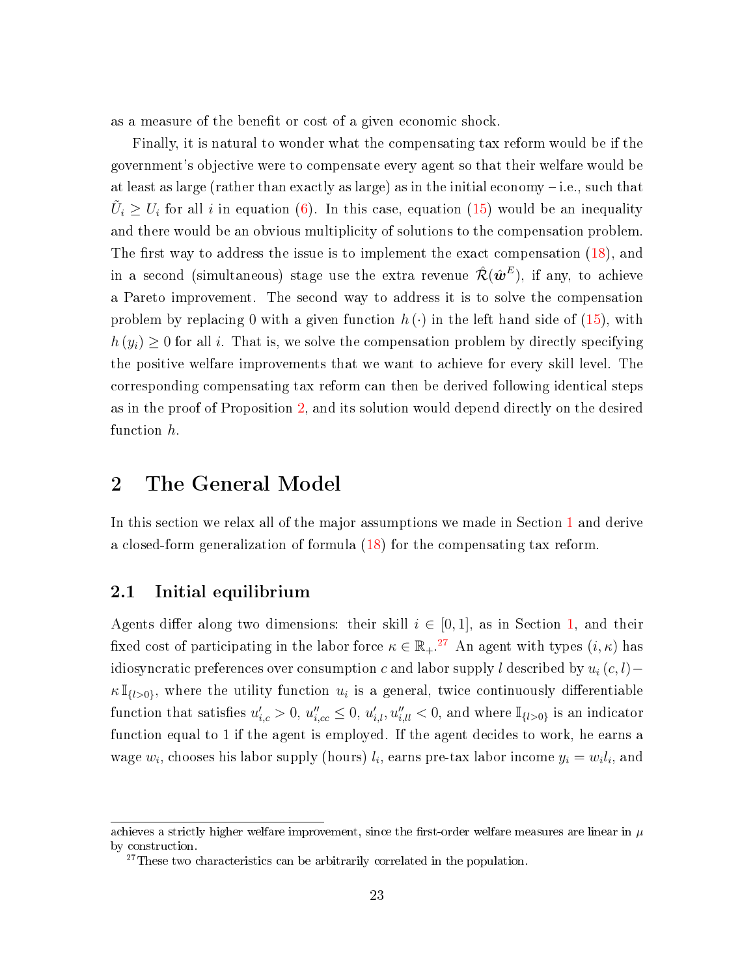as a measure of the benefit or cost of a given economic shock.

Finally, it is natural to wonder what the compensating tax reform would be if the government's objective were to compensate every agent so that their welfare would be at least as large (rather than exactly as large) as in the initial economy  $-i.e.,$  such that  $\tilde{U}_i \geq U_i$  for all i in equation [\(6\)](#page-9-0). In this case, equation [\(15\)](#page-14-1) would be an inequality and there would be an obvious multiplicity of solutions to the compensation problem. The first way to address the issue is to implement the exact compensation  $(18)$ , and in a second (simultaneous) stage use the extra revenue  $\hat{\mathcal{R}}(\hat{\bm{w}}^E),$  if any, to achieve a Pareto improvement. The second way to address it is to solve the compensation problem by replacing 0 with a given function  $h(\cdot)$  in the left hand side of [\(15\)](#page-14-1), with  $h(y_i) \geq 0$  for all i. That is, we solve the compensation problem by directly specifying the positive welfare improvements that we want to achieve for every skill level. The corresponding compensating tax reform can then be derived following identical steps as in the proof of Proposition [2,](#page-17-1) and its solution would depend directly on the desired function h.

### <span id="page-23-0"></span>2 The General Model

In this section we relax all of the major assumptions we made in Section [1](#page-6-0) and derive a closed-form generalization of formula [\(18\)](#page-17-0) for the compensating tax reform.

#### <span id="page-23-1"></span>2.1 Initial equilibrium

Agents differ along two dimensions: their skill  $i \in [0,1]$ , as in Section [1,](#page-6-0) and their fixed cost of participating in the labor force  $\kappa \in \mathbb{R}_+$ .<sup>[27](#page-0-0)</sup> An agent with types  $(i, \kappa)$  has idiosyncratic preferences over consumption c and labor supply l described by  $u_i(c, l)$  –  $\kappa \mathbb{I}_{\{l>0\}}$ , where the utility function  $u_i$  is a general, twice continuously differentiable function that satisfies  $u'_{i,c} > 0$ ,  $u''_{i,cc} \leq 0$ ,  $u'_{i,l}$ ,  $u''_{i,ll} < 0$ , and where  $\mathbb{I}_{\{l>0\}}$  is an indicator function equal to 1 if the agent is employed. If the agent decides to work, he earns a wage  $w_i$ , chooses his labor supply (hours)  $l_i$ , earns pre-tax labor income  $y_i = w_i l_i$ , and

achieves a strictly higher welfare improvement, since the first-order welfare measures are linear in  $\mu$ by construction.

 $27$ These two characteristics can be arbitrarily correlated in the population.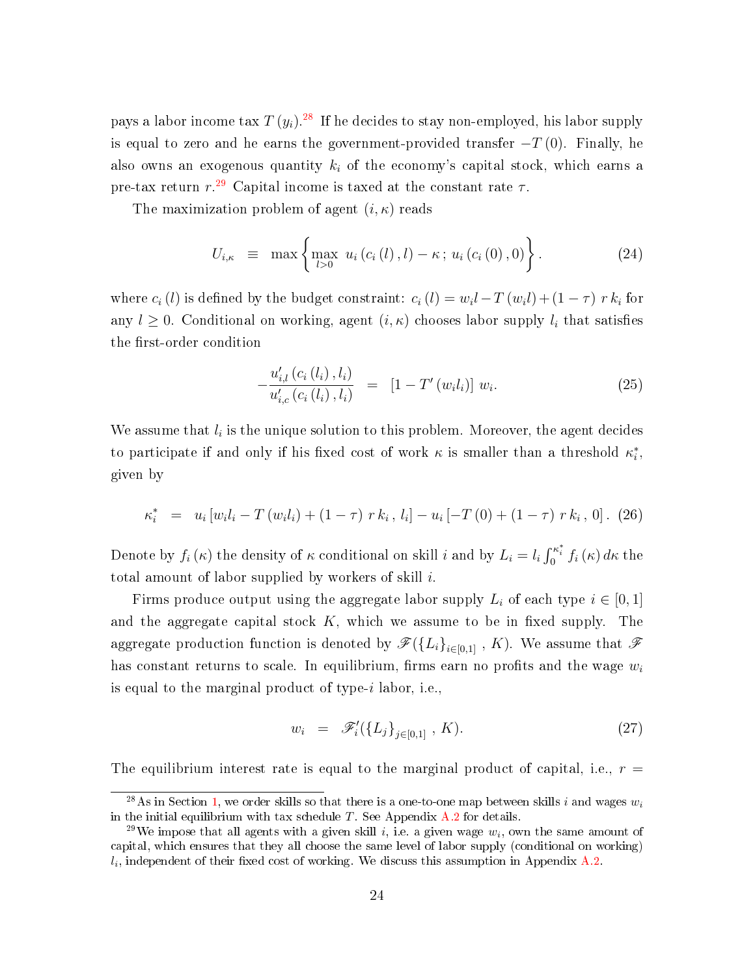pays a labor income tax  $T\left(y_i\right)^{28}$  $T\left(y_i\right)^{28}$  $T\left(y_i\right)^{28}$  If he decides to stay non-employed, his labor supply is equal to zero and he earns the government-provided transfer  $-T(0)$ . Finally, he also owns an exogenous quantity  $k_i$  of the economy's capital stock, which earns a pre-tax return  $r^{29}$  $r^{29}$  $r^{29}$  Capital income is taxed at the constant rate  $\tau$ .

The maximization problem of agent  $(i, \kappa)$  reads

$$
U_{i,\kappa} \equiv \max \left\{ \max_{l>0} u_i(c_i(l),l) - \kappa \, ; \, u_i(c_i(0),0) \right\}.
$$
 (24)

where  $c_i(l)$  is defined by the budget constraint:  $c_i(l) = w_i l - T(w_i l) + (1 - \tau) r k_i$  for any  $l \geq 0$ . Conditional on working, agent  $(i, \kappa)$  chooses labor supply  $l_i$  that satisfies the first-order condition

$$
-\frac{u'_{i,l}(c_i(l_i), l_i)}{u'_{i,c}(c_i(l_i), l_i)} = [1 - T'(w_i l_i)] w_i.
$$
\n(25)

We assume that  $l_i$  is the unique solution to this problem. Moreover, the agent decides to participate if and only if his fixed cost of work  $\kappa$  is smaller than a threshold  $\kappa_i^*$ , given by

<span id="page-24-0"></span>
$$
\kappa_i^* = u_i \left[ w_i l_i - T \left( w_i l_i \right) + (1 - \tau) r k_i, l_i \right] - u_i \left[ -T \left( 0 \right) + (1 - \tau) r k_i, 0 \right]. \tag{26}
$$

Denote by  $f_i(\kappa)$  the density of  $\kappa$  conditional on skill i and by  $L_i = l_i \int_0^{\kappa_i^*} f_i(\kappa) d\kappa$  the total amount of labor supplied by workers of skill  $i$ .

Firms produce output using the aggregate labor supply  $L_i$  of each type  $i \in [0,1]$ and the aggregate capital stock  $K$ , which we assume to be in fixed supply. The aggregate production function is denoted by  $\mathscr{F}(\{L_i\}_{i\in[0,1]}$ , K). We assume that  $\mathscr{F}$ has constant returns to scale. In equilibrium, firms earn no profits and the wage  $w_i$ is equal to the marginal product of type-i labor, i.e.,

$$
w_i = \mathscr{F}'_i(\{L_j\}_{j \in [0,1]}, K). \tag{27}
$$

The equilibrium interest rate is equal to the marginal product of capital, i.e.,  $r =$ 

<sup>&</sup>lt;sup>28</sup>As in Section [1,](#page-6-0) we order skills so that there is a one-to-one map between skills i and wages  $w_i$ in the initial equilibrium with tax schedule  $T$ . See Appendix [A.2](#page-41-0) for details.

<sup>&</sup>lt;sup>29</sup>We impose that all agents with a given skill i, i.e. a given wage  $w_i$ , own the same amount of capital, which ensures that they all choose the same level of labor supply (conditional on working)  $l_i$ , independent of their fixed cost of working. We discuss this assumption in Appendix [A.2.](#page-41-0)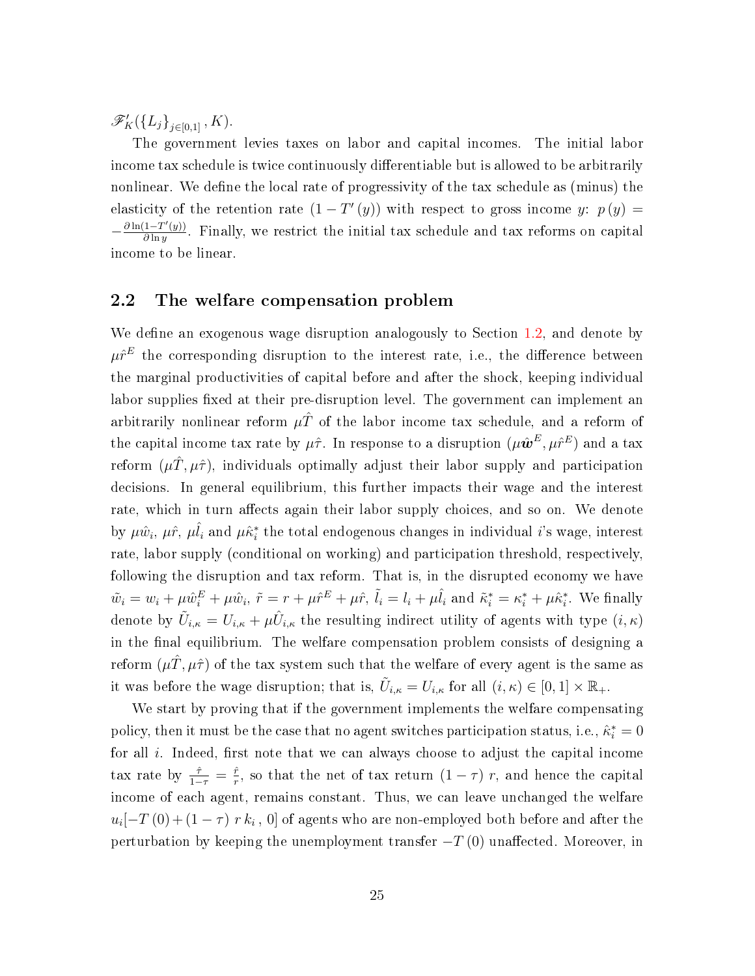$\mathscr{F}'_K(\{L_j\}_{j\in[0,1]}, K).$ 

The government levies taxes on labor and capital incomes. The initial labor income tax schedule is twice continuously differentiable but is allowed to be arbitrarily nonlinear. We define the local rate of progressivity of the tax schedule as (minus) the elasticity of the retention rate  $(1-T'(y))$  with respect to gross income y:  $p(y) =$  $-\frac{\partial \ln(1-T'(y))}{\partial \ln y}$  $\frac{1-T(y)}{\partial \ln y}$ . Finally, we restrict the initial tax schedule and tax reforms on capital income to be linear.

### 2.2 The welfare compensation problem

We define an exogenous wage disruption analogously to Section [1.2,](#page-8-1) and denote by  $\mu \hat{r}^E$  the corresponding disruption to the interest rate, i.e., the difference between the marginal productivities of capital before and after the shock, keeping individual labor supplies fixed at their pre-disruption level. The government can implement an arbitrarily nonlinear reform  $\mu \hat{T}$  of the labor income tax schedule, and a reform of the capital income tax rate by  $\mu\hat{\tau}$ . In response to a disruption  $(\mu\hat{\bm{w}}^E, \mu\hat{r}^E)$  and a tax reform  $(\mu \hat{T}, \mu \hat{\tau})$ , individuals optimally adjust their labor supply and participation decisions. In general equilibrium, this further impacts their wage and the interest rate, which in turn affects again their labor supply choices, and so on. We denote by  $\mu\hat{w}_i$ ,  $\mu\hat{r}$ ,  $\mu\hat{l}_i$  and  $\mu\hat{\kappa}^*_i$  the total endogenous changes in individual  $i$ 's wage, interest rate, labor supply (conditional on working) and participation threshold, respectively, following the disruption and tax reform. That is, in the disrupted economy we have  $\tilde{w}_i = w_i + \mu \hat{w}_i^E + \mu \hat{w}_i$ ,  $\tilde{r} = r + \mu \hat{r}^E + \mu \hat{r}$ ,  $\tilde{l}_i = l_i + \mu \hat{l}_i$  and  $\tilde{\kappa}_i^* = \kappa_i^* + \mu \hat{\kappa}_i^*$ . We finally denote by  $\tilde{U}_{i,\kappa} = U_{i,\kappa} + \mu \hat{U}_{i,\kappa}$  the resulting indirect utility of agents with type  $(i,\kappa)$ in the final equilibrium. The welfare compensation problem consists of designing a reform  $(\mu \hat{T}, \mu \hat{\tau})$  of the tax system such that the welfare of every agent is the same as it was before the wage disruption; that is,  $\tilde{U}_{i,\kappa} = U_{i,\kappa}$  for all  $(i,\kappa) \in [0,1] \times \mathbb{R}_+$ .

We start by proving that if the government implements the welfare compensating policy, then it must be the case that no agent switches participation status, i.e.,  $\hat{\kappa}_i^* = 0$ for all i. Indeed, first note that we can always choose to adjust the capital income tax rate by  $\frac{\hat{\tau}}{1-\tau} = \frac{\hat{r}}{r}$  $\frac{\hat{r}}{r}$ , so that the net of tax return  $(1 - \tau)$  r, and hence the capital income of each agent, remains constant. Thus, we can leave unchanged the welfare  $u_i[-T\left(0\right) + \left(1-\tau\right)\,r\,k_i\,,\,0]$  of agents who are non-employed both before and after the perturbation by keeping the unemployment transfer  $-T(0)$  unaffected. Moreover, in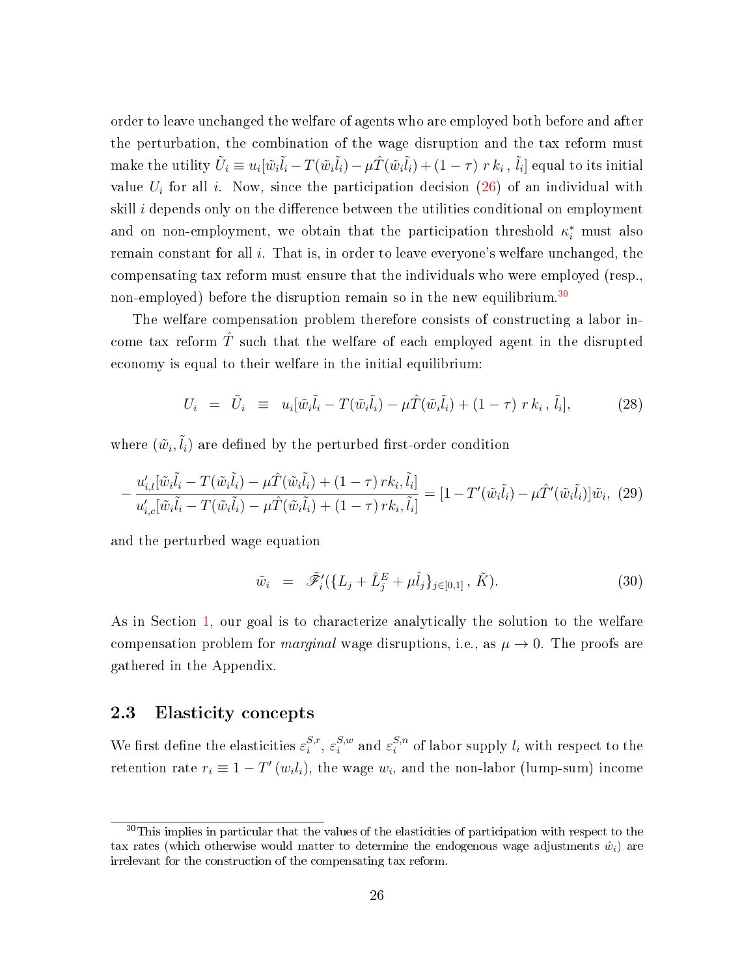order to leave unchanged the welfare of agents who are employed both before and after the perturbation, the combination of the wage disruption and the tax reform must make the utility  $\tilde U_i\equiv u_i[\tilde w_i\tilde l_i-T(\tilde w_i\tilde l_i)-\mu\hat T(\tilde w_i\tilde l_i)+(1-\tau) \;r\,k_i$  ,  $\tilde l_i]$  equal to its initial value  $U_i$  for all i. Now, since the participation decision [\(26\)](#page-24-0) of an individual with skill  $i$  depends only on the difference between the utilities conditional on employment and on non-employment, we obtain that the participation threshold  $\kappa_i^*$  must also remain constant for all  $i$ . That is, in order to leave everyone's welfare unchanged, the compensating tax reform must ensure that the individuals who were employed (resp., non-employed) before the disruption remain so in the new equilibrium.<sup>[30](#page-0-0)</sup>

The welfare compensation problem therefore consists of constructing a labor income tax reform  $\hat{T}$  such that the welfare of each employed agent in the disrupted economy is equal to their welfare in the initial equilibrium:

<span id="page-26-1"></span>
$$
U_i = \tilde{U}_i \equiv u_i[\tilde{w}_i\tilde{l}_i - T(\tilde{w}_i\tilde{l}_i) - \mu \hat{T}(\tilde{w}_i\tilde{l}_i) + (1 - \tau) \ r \ k_i, \tilde{l}_i], \tag{28}
$$

where  $(\tilde{w}_i, \tilde{l}_i)$  are defined by the perturbed first-order condition

$$
-\frac{u'_{i,l}[\tilde{w}_i\tilde{l}_i - T(\tilde{w}_i\tilde{l}_i) - \mu \hat{T}(\tilde{w}_i\tilde{l}_i) + (1 - \tau) \, r k_i, \tilde{l}_i]}{u'_{i,c}[\tilde{w}_i\tilde{l}_i - T(\tilde{w}_i\tilde{l}_i) - \mu \hat{T}(\tilde{w}_i\tilde{l}_i) + (1 - \tau) \, r k_i, \tilde{l}_i]} = [1 - T'(\tilde{w}_i\tilde{l}_i) - \mu \hat{T}'(\tilde{w}_i\tilde{l}_i)]\tilde{w}_i, \tag{29}
$$

and the perturbed wage equation

<span id="page-26-0"></span>
$$
\tilde{w}_i = \tilde{\mathscr{F}}'_i(\{L_j + \hat{L}_j^E + \mu \hat{l}_j\}_{j \in [0,1]}, \tilde{K}). \tag{30}
$$

As in Section [1,](#page-6-0) our goal is to characterize analytically the solution to the welfare compensation problem for *marginal* wage disruptions, i.e., as  $\mu \to 0$ . The proofs are gathered in the Appendix.

### 2.3 Elasticity concepts

We first define the elasticities  $\varepsilon_i^{S,r}$  $s,r \in \mathcal{S},w$ <br>i  $s_i$  $_{i}^{S,w}$  and  $\varepsilon_i^{S,n}$  $i_i^{S,n}$  of labor supply  $l_i$  with respect to the retention rate  $r_i \equiv 1 - T'(w_i l_i)$ , the wage  $w_i$ , and the non-labor (lump-sum) income

<sup>&</sup>lt;sup>30</sup>This implies in particular that the values of the elasticities of participation with respect to the tax rates (which otherwise would matter to determine the endogenous wage adjustments  $\hat{w}_i$ ) are irrelevant for the construction of the compensating tax reform.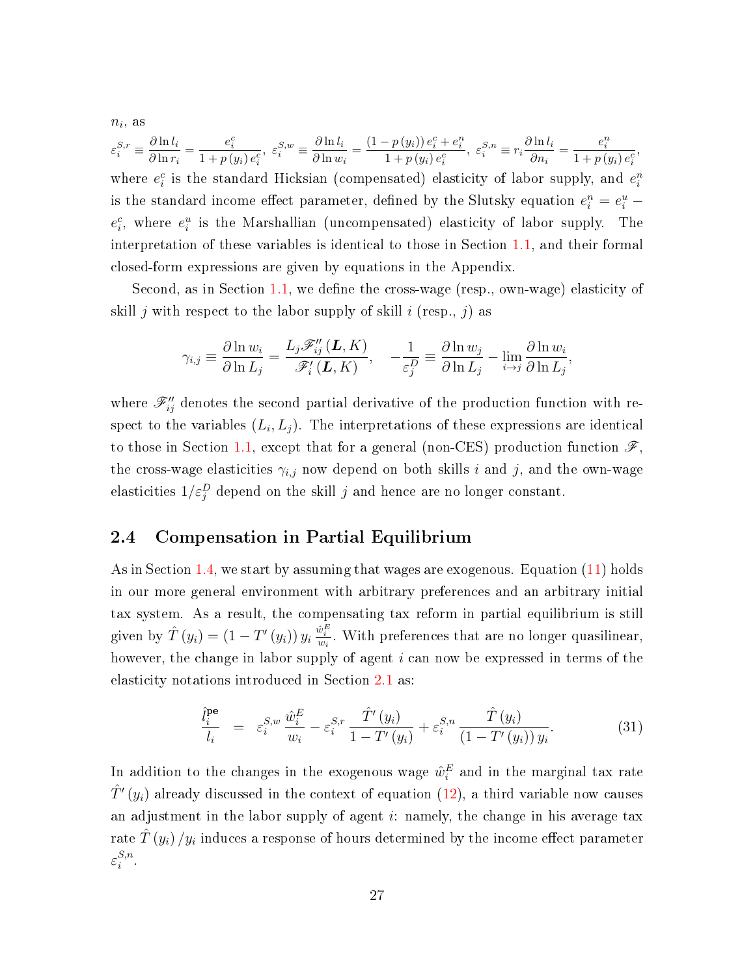$n_i$ , as

$$
\varepsilon_i^{S,r} \equiv \frac{\partial \ln l_i}{\partial \ln r_i} = \frac{e_i^c}{1 + p(y_i)e_i^c}, \ \varepsilon_i^{S,w} \equiv \frac{\partial \ln l_i}{\partial \ln w_i} = \frac{(1 - p(y_i))e_i^c + e_i^n}{1 + p(y_i)e_i^c}, \ \varepsilon_i^{S,n} \equiv r_i \frac{\partial \ln l_i}{\partial n_i} = \frac{e_i^n}{1 + p(y_i)e_i^c},
$$
 where  $e_i^c$  is the standard Hicksian (compensated) elasticity of labor supply, and  $e_i^n$  is the standard income effect parameter, defined by the Slutsky equation  $e_i^n = e_i^u - e_i^c$ , where  $e_i^u$  is the Marshallian (uncompensated) elasticity of labor supply. The interpretation of these variables is identical to those in Section 1.1, and their formal closed-form expressions are given by equations in the Appendix.

Second, as in Section [1.1,](#page-6-1) we define the cross-wage (resp., own-wage) elasticity of skill j with respect to the labor supply of skill i (resp., j) as

$$
\gamma_{i,j} \equiv \frac{\partial \ln w_i}{\partial \ln L_j} = \frac{L_j \mathscr{F}_{ij}''(\mathbf{L}, K)}{\mathscr{F}_{i}'(\mathbf{L}, K)}, \quad -\frac{1}{\varepsilon_j^D} \equiv \frac{\partial \ln w_j}{\partial \ln L_j} - \lim_{i \to j} \frac{\partial \ln w_i}{\partial \ln L_j},
$$

where  $\mathscr{F}''_{ij}$  denotes the second partial derivative of the production function with respect to the variables  $(L_i, L_j)$ . The interpretations of these expressions are identical to those in Section [1.1,](#page-6-1) except that for a general (non-CES) production function  $\mathscr{F}$ , the cross-wage elasticities  $\gamma_{i,j}$  now depend on both skills i and j, and the own-wage elasticities  $1/\varepsilon_j^D$  depend on the skill  $j$  and hence are no longer constant.

### <span id="page-27-0"></span>2.4 Compensation in Partial Equilibrium

As in Section [1.4,](#page-11-0) we start by assuming that wages are exogenous. Equation [\(11\)](#page-12-1) holds in our more general environment with arbitrary preferences and an arbitrary initial tax system. As a result, the compensating tax reform in partial equilibrium is still given by  $\hat{T}(y_i) = (1 - T'(y_i)) y_i \frac{\hat{w}_i^E}{w_i}$ . With preferences that are no longer quasilinear, however, the change in labor supply of agent i can now be expressed in terms of the elasticity notations introduced in Section [2.1](#page-23-1) as:

<span id="page-27-1"></span>
$$
\frac{\hat{l}_{i}^{\mathbf{pe}}}{l_{i}} = \varepsilon_{i}^{S,w} \frac{\hat{w}_{i}^{E}}{w_{i}} - \varepsilon_{i}^{S,r} \frac{\hat{T}'(y_{i})}{1 - T'(y_{i})} + \varepsilon_{i}^{S,n} \frac{\hat{T}(y_{i})}{(1 - T'(y_{i})) y_{i}}.
$$
\n(31)

In addition to the changes in the exogenous wage  $\hat{w}_i^E$  and in the marginal tax rate  $\hat T'\left(y_i\right)$  already discussed in the context of equation [\(12\)](#page-12-0), a third variable now causes an adjustment in the labor supply of agent  $i$ : namely, the change in his average tax rate  $\hat{T}\left(y_{i}\right)/y_{i}$  induces a response of hours determined by the income effect parameter  $\varepsilon^{S,n}_i$  $\frac{s,n}{i}$ .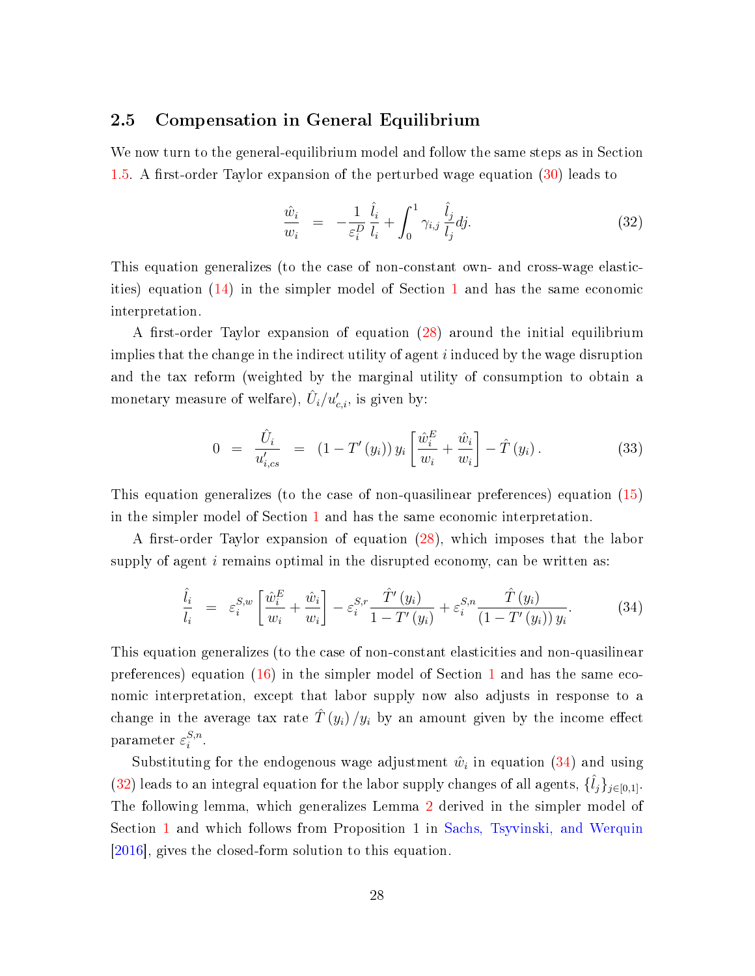### 2.5 Compensation in General Equilibrium

We now turn to the general-equilibrium model and follow the same steps as in Section [1.5.](#page-13-1) A first-order Taylor expansion of the perturbed wage equation  $(30)$  leads to

<span id="page-28-1"></span>
$$
\frac{\hat{w}_i}{w_i} = -\frac{1}{\varepsilon_i^D} \frac{\hat{l}_i}{l_i} + \int_0^1 \gamma_{i,j} \frac{\hat{l}_j}{l_j} dj.
$$
\n(32)

This equation generalizes (to the case of non-constant own- and cross-wage elasticities) equation [\(14\)](#page-14-0) in the simpler model of Section [1](#page-6-0) and has the same economic interpretation.

A first-order Taylor expansion of equation  $(28)$  around the initial equilibrium implies that the change in the indirect utility of agent  $i$  induced by the wage disruption and the tax reform (weighted by the marginal utility of consumption to obtain a monetary measure of welfare),  $\hat{U}_i / u'_{c,i},$  is given by:

<span id="page-28-2"></span>
$$
0 = \frac{\hat{U}_i}{u'_{i,cs}} = (1 - T'(y_i)) y_i \left[ \frac{\hat{w}_i^E}{w_i} + \frac{\hat{w}_i}{w_i} \right] - \hat{T}(y_i). \tag{33}
$$

This equation generalizes (to the case of non-quasilinear preferences) equation [\(15\)](#page-14-1) in the simpler model of Section [1](#page-6-0) and has the same economic interpretation.

A first-order Taylor expansion of equation  $(28)$ , which imposes that the labor supply of agent  $i$  remains optimal in the disrupted economy, can be written as:

<span id="page-28-0"></span>
$$
\frac{\hat{l}_i}{l_i} = \varepsilon_i^{S,w} \left[ \frac{\hat{w}_i^E}{w_i} + \frac{\hat{w}_i}{w_i} \right] - \varepsilon_i^{S,r} \frac{\hat{T}'(y_i)}{1 - T'(y_i)} + \varepsilon_i^{S,n} \frac{\hat{T}(y_i)}{(1 - T'(y_i)) y_i}.
$$
(34)

This equation generalizes (to the case of non-constant elasticities and non-quasilinear preferences) equation  $(16)$  in the simpler model of Section [1](#page-6-0) and has the same economic interpretation, except that labor supply now also adjusts in response to a change in the average tax rate  $\hat{T}(y_i)/y_i$  by an amount given by the income effect parameter  $\varepsilon_i^{S,n}$  $\frac{s,n}{i}$ .

Substituting for the endogenous wage adjustment  $\hat{w}_i$  in equation [\(34\)](#page-28-0) and using [\(32\)](#page-28-1) leads to an integral equation for the labor supply changes of all agents,  $\{\hat{l}_j\}_{j\in[0,1]}$ . The following lemma, which generalizes Lemma [2](#page-29-0) derived in the simpler model of Section [1](#page-6-0) and which follows from Proposition 1 in [Sachs, Tsyvinski, and Werquin](#page-38-4) [\[2016\]](#page-38-4), gives the closed-form solution to this equation.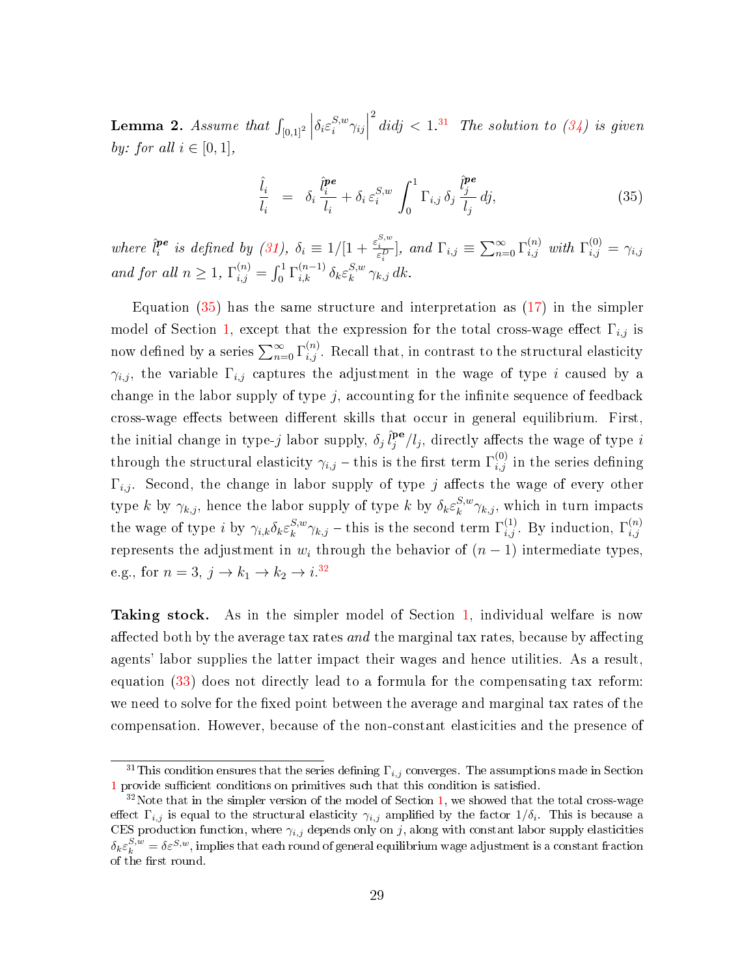<span id="page-29-0"></span> ${\bf Lemma~2.}$   ${\it Assume~that~} \int_{[0,1]^2}$  $\begin{array}{c} \begin{array}{c} \begin{array}{c} \end{array} \\ \begin{array}{c} \end{array} \end{array} \end{array}$  $\delta_i\varepsilon_i^{S,w}$  $\left| \sum_{i=1}^{S,w} \gamma_{ij} \right|$  $\int^2\,di d j\, <\, 1^{.31}$  $\int^2\,di d j\, <\, 1^{.31}$  $\int^2\,di d j\, <\, 1^{.31}$  The solution to [\(34\)](#page-28-0) is given by: for all  $i \in [0, 1]$ ,

<span id="page-29-1"></span>
$$
\frac{\hat{l}_i}{l_i} = \delta_i \frac{\hat{l}_i^{pe}}{l_i} + \delta_i \varepsilon_i^{S,w} \int_0^1 \Gamma_{i,j} \delta_j \frac{\hat{l}_j^{pe}}{l_j} dj,
$$
\n(35)

where  $\hat{l}^{pe}_i$  $\sum_{i=1}^{n}$  is defined by [\(31\)](#page-27-1),  $\delta_i \equiv 1/[1 + \frac{\varepsilon_i^{S,w}}{\varepsilon_i^D}]$ , and  $\Gamma_{i,j} \equiv \sum_{n=0}^{\infty} \Gamma_{i,j}^{(n)}$  with  $\Gamma_{i,j}^{(0)} = \gamma_{i,j}$ i and for all  $n \geq 1$ ,  $\Gamma_{i,j}^{(n)} = \int_0^1 \Gamma_{i,k}^{(n-1)} \delta_k \varepsilon_k^{S,w}$  $_k^{S,w}$   $\gamma_{k,j}$  dk.

Equation  $(35)$  has the same structure and interpretation as  $(17)$  in the simpler model of Section [1,](#page-6-0) except that the expression for the total cross-wage effect  $\Gamma_{i,j}$  is now defined by a series  $\sum_{n=0}^{\infty} \Gamma_{i,j}^{(n)}$ . Recall that, in contrast to the structural elasticity  $\gamma_{i,j}$ , the variable  $\Gamma_{i,j}$  captures the adjustment in the wage of type i caused by a change in the labor supply of type  $j$ , accounting for the infinite sequence of feedback cross-wage effects between different skills that occur in general equilibrium. First, the initial change in type-j labor supply,  $\delta_j \, \hat{l}^{\mathbf{pe}}_j$  $j^{\mathbf{pe}}/l_j$ , directly affects the wage of type  $i$ through the structural elasticity  $\gamma_{i,j}$  – this is the first term  $\Gamma_{i,j}^{(0)}$  in the series defining  $\Gamma_{i,j}$ . Second, the change in labor supply of type j affects the wage of every other type k by  $\gamma_{k,j}$ , hence the labor supply of type k by  $\delta_k \varepsilon_k^{S,w}$  $k^{S,w}\gamma_{k,j}$ , which in turn impacts the wage of type *i* by  $\gamma_{i,k} \delta_k \varepsilon_k^{S,w}$  $\int_k^{S,w} \gamma_{k,j}$  – this is the second term  $\Gamma_{i,j}^{(1)}$ . By induction,  $\Gamma_{i,j}^{(n)}$ i,j represents the adjustment in  $w_i$  through the behavior of  $(n-1)$  intermediate types, e.g., for  $n=3$ ,  $j \rightarrow k_1 \rightarrow k_2 \rightarrow i^{32}$  $j \rightarrow k_1 \rightarrow k_2 \rightarrow i^{32}$  $j \rightarrow k_1 \rightarrow k_2 \rightarrow i^{32}$ 

Taking stock. As in the simpler model of Section [1,](#page-6-0) individual welfare is now affected both by the average tax rates and the marginal tax rates, because by affecting agents' labor supplies the latter impact their wages and hence utilities. As a result, equation [\(33\)](#page-28-2) does not directly lead to a formula for the compensating tax reform: we need to solve for the fixed point between the average and marginal tax rates of the compensation. However, because of the non-constant elasticities and the presence of

<sup>&</sup>lt;sup>31</sup>This condition ensures that the series defining  $\Gamma_{i,j}$  converges. The assumptions made in Section [1](#page-6-0) provide sufficient conditions on primitives such that this condition is satisfied.

 $32\text{Note that in the simpler version of the model of Section 1, we showed that the total cross-wage$  $32\text{Note that in the simpler version of the model of Section 1, we showed that the total cross-wage$  $32\text{Note that in the simpler version of the model of Section 1, we showed that the total cross-wage$ effect  $\Gamma_{i,j}$  is equal to the structural elasticity  $\gamma_{i,j}$  amplified by the factor  $1/\delta_i$ . This is because a CES production function, where  $\gamma_{i,j}$  depends only on j, along with constant labor supply elasticities  $\delta_k \varepsilon_k^{S,w} = \delta \varepsilon^{S,w}$ , implies that each round of general equilibrium wage adjustment is a constant fraction of the first round.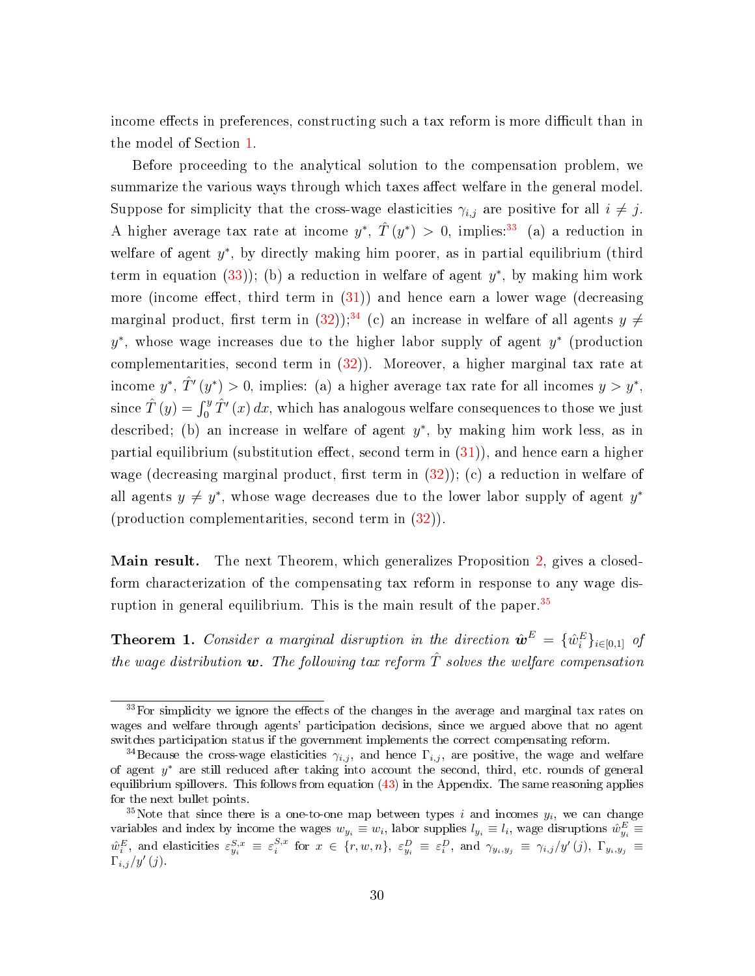income effects in preferences, constructing such a tax reform is more difficult than in the model of Section [1.](#page-6-0)

Before proceeding to the analytical solution to the compensation problem, we summarize the various ways through which taxes affect welfare in the general model. Suppose for simplicity that the cross-wage elasticities  $\gamma_{i,j}$  are positive for all  $i \neq j$ . A higher average tax rate at income  $y^*$ ,  $\hat{T}(y^*) > 0$ , implies:<sup>[33](#page-0-0)</sup> (a) a reduction in welfare of agent  $y^*$ , by directly making him poorer, as in partial equilibrium (third term in equation  $(33)$ ); (b) a reduction in welfare of agent  $y^*$ , by making him work more (income effect, third term in  $(31)$ ) and hence earn a lower wage (decreasing marginal product, first term in [\(32\)](#page-28-1));<sup>[34](#page-0-0)</sup> (c) an increase in welfare of all agents  $y \neq$  $y^*$ , whose wage increases due to the higher labor supply of agent  $y^*$  (production complementarities, second term in  $(32)$ ). Moreover, a higher marginal tax rate at income  $y^*$ ,  $\hat{T}'(y^*) > 0$ , implies: (a) a higher average tax rate for all incomes  $y > y^*$ , since  $\hat{T}\left(y\right)=\int_{0}^{y}\hat{T}'\left(x\right)dx,$  which has analogous welfare consequences to those we just described; (b) an increase in welfare of agent  $y^*$ , by making him work less, as in partial equilibrium (substitution effect, second term in  $(31)$ ), and hence earn a higher wage (decreasing marginal product, first term in  $(32)$ ); (c) a reduction in welfare of all agents  $y \neq y^*$ , whose wage decreases due to the lower labor supply of agent  $y^*$ (production complementarities, second term in [\(32\)](#page-28-1)).

Main result. The next Theorem, which generalizes Proposition [2,](#page-17-1) gives a closedform characterization of the compensating tax reform in response to any wage disruption in general equilibrium. This is the main result of the paper. $35$ 

<span id="page-30-0"></span>**Theorem 1.** Consider a marginal disruption in the direction  $\hat{\boldsymbol{w}}^E = \{\hat{w}_i^E\}_{i \in [0,1]}$  of the wage distribution  $w$ . The following tax reform  $\hat{T}$  solves the welfare compensation

 $33$ For simplicity we ignore the effects of the changes in the average and marginal tax rates on wages and welfare through agents' participation decisions, since we argued above that no agent switches participation status if the government implements the correct compensating reform.

<sup>&</sup>lt;sup>34</sup>Because the cross-wage elasticities  $\gamma_{i,j}$ , and hence  $\Gamma_{i,j}$ , are positive, the wage and welfare of agent y <sup>∗</sup> are still reduced after taking into account the second, third, etc. rounds of general equilibrium spillovers. This follows from equation [\(43\)](#page-47-1) in the Appendix. The same reasoning applies for the next bullet points.

<sup>&</sup>lt;sup>35</sup>Note that since there is a one-to-one map between types i and incomes  $y_i$ , we can change variables and index by income the wages  $w_{y_i} \equiv w_i$ , labor supplies  $l_{y_i} \equiv l_i$ , wage disruptions  $\hat{w}_{y_i}^E \equiv$  $\hat{w}_i^E$ , and elasticities  $\varepsilon_{y_i}^{S,x} \equiv \varepsilon_i^{S,x}$  for  $x \in \{r, w, n\}$ ,  $\varepsilon_{y_i}^D \equiv \varepsilon_i^D$ , and  $\gamma_{y_i, y_j} \equiv \gamma_{i,j}/y'(j)$ ,  $\Gamma_{y_i, y_j} \equiv$  $\Gamma_{i,j}/y'\left(j\right)$ .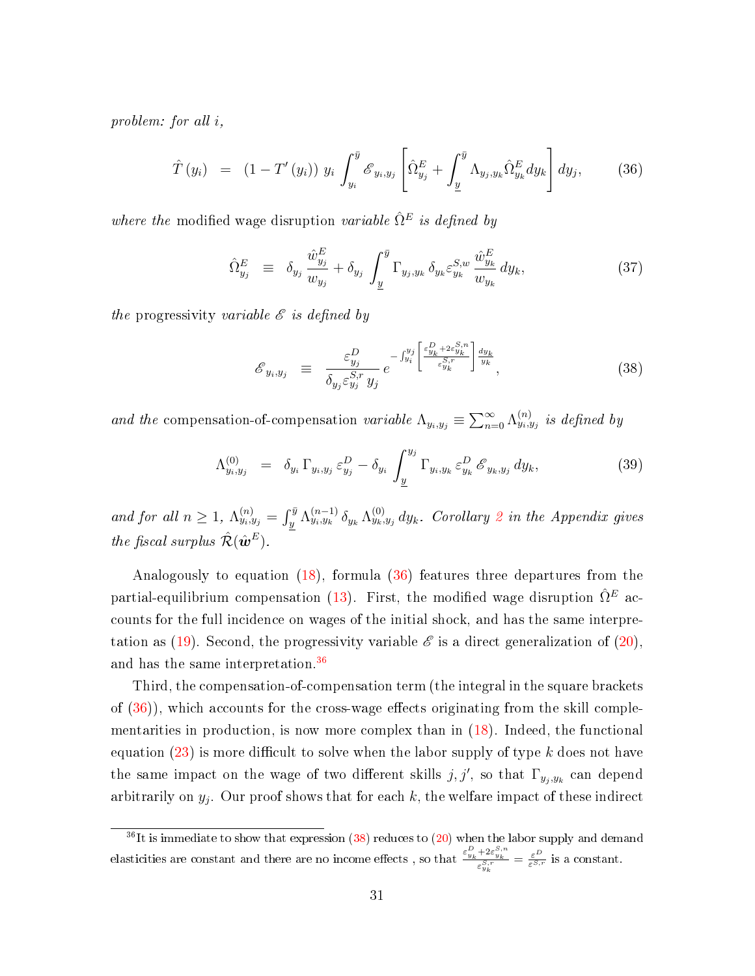problem: for all i,

<span id="page-31-0"></span>
$$
\hat{T}(y_i) = (1 - T'(y_i)) y_i \int_{y_i}^{\bar{y}} \mathcal{E}_{y_i, y_j} \left[ \hat{\Omega}_{y_j}^E + \int_{\underline{y}}^{\bar{y}} \Lambda_{y_j, y_k} \hat{\Omega}_{y_k}^E dy_k \right] dy_j, \quad (36)
$$

where the modified wage disruption variable  $\hat{\Omega}^E$  is defined by

$$
\hat{\Omega}_{y_j}^E \equiv \delta_{y_j} \frac{\hat{w}_{y_j}^E}{w_{y_j}} + \delta_{y_j} \int_{\underline{y}}^{\overline{y}} \Gamma_{y_j, y_k} \delta_{y_k} \varepsilon_{y_k}^{S, w} \frac{\hat{w}_{y_k}^E}{w_{y_k}} dy_k, \tag{37}
$$

the progressivity variable  $\mathscr E$  is defined by

<span id="page-31-1"></span>
$$
\mathcal{E}_{y_i, y_j} \equiv \frac{\varepsilon_{y_j}^D}{\delta_{y_j} \varepsilon_{y_j}^{S, r} y_j} e^{-\int_{y_i}^{y_j} \left[ \frac{\varepsilon_{y_k}^D + 2\varepsilon_{y_k}^{S, n}}{\varepsilon_{y_k}^{S, r}} \right] \frac{dy_k}{y_k}}, \tag{38}
$$

and the compensation-of-compensation variable  $\Lambda_{y_i, y_j} \equiv \sum_{n=0}^{\infty} \Lambda_{y_i, y_j}^{(n)}$  is defined by

<span id="page-31-2"></span>
$$
\Lambda_{y_i, y_j}^{(0)} = \delta_{y_i} \Gamma_{y_i, y_j} \varepsilon_{y_j}^D - \delta_{y_i} \int_{\underline{y}}^{y_j} \Gamma_{y_i, y_k} \varepsilon_{y_k}^D \mathscr{E}_{y_k, y_j} dy_k, \qquad (39)
$$

and for all  $n \geq 1$ ,  $\Lambda_{y_i,y_j}^{(n)} = \int_y^{\bar{y}} \Lambda_{y_i,y_k}^{(n-1)} \delta_{y_k} \Lambda_{y_k,y_j}^{(0)} dy_k$ . Corollary [2](#page-50-0) in the Appendix gives the fiscal surplus  $\hat{\mathcal{R}}(\hat{\boldsymbol{\omega}}^E)$ .

Analogously to equation [\(18\)](#page-17-0), formula [\(36\)](#page-31-0) features three departures from the partial-equilibrium compensation [\(13\)](#page-13-2). First, the modified wage disruption  $\hat{\Omega}^E$  accounts for the full incidence on wages of the initial shock, and has the same interpre-tation as [\(19\)](#page-17-2). Second, the progressivity variable  $\mathscr E$  is a direct generalization of [\(20\)](#page-17-3), and has the same interpretation.[36](#page-0-0)

Third, the compensation-of-compensation term (the integral in the square brackets of  $(36)$ , which accounts for the cross-wage effects originating from the skill complementarities in production, is now more complex than in [\(18\)](#page-17-0). Indeed, the functional equation  $(23)$  is more difficult to solve when the labor supply of type k does not have the same impact on the wage of two different skills  $j, j'$ , so that  $\Gamma_{y_j, y_k}$  can depend arbitrarily on  $y_j$ . Our proof shows that for each k, the welfare impact of these indirect

 $36$ It is immediate to show that expression [\(38\)](#page-31-1) reduces to [\(20\)](#page-17-3) when the labor supply and demand elasticities are constant and there are no income effects, so that  $\frac{\varepsilon_{y_k}^D + 2\varepsilon_{y_k}^{S,n}}{2S,r}$  $\frac{+2\varepsilon_{y_k}^{\omega_{y_k}}}{\varepsilon_{y_k}^{S,r}} = \frac{\varepsilon^D}{\varepsilon^{S,r}}$  is a constant.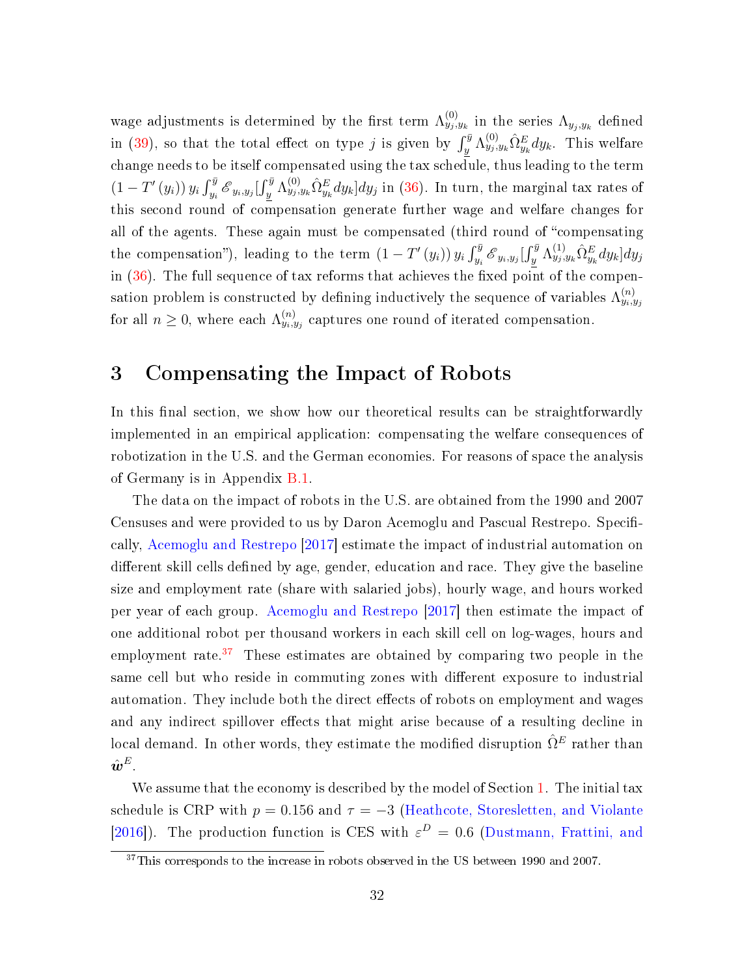wage adjustments is determined by the first term  $\Lambda_{y_j, y_k}^{(0)}$  in the series  $\Lambda_{y_j, y_k}$  defined in [\(39\)](#page-31-2), so that the total effect on type j is given by  $\int_y^{\bar{y}} \Lambda_{y_j, y_k}^{(0)} \hat{\Omega}_{y_k}^E dy_k$ . This welfare change needs to be itself compensated using the tax schedule, thus leading to the term  $(1-T'(y_i)) y_i \int_{y_i}^{\bar{y}} \mathscr{E}_{y_i,y_j}[\int_y^{\bar{y}} \Lambda_{y_j,y_k}^{(0)} \hat{\Omega}_{y_k}^E dy_k] dy_j$  in [\(36\)](#page-31-0). In turn, the marginal tax rates of this second round of compensation generate further wage and welfare changes for all of the agents. These again must be compensated (third round of "compensating the compensation"), leading to the term  $(1-T'(y_i)) y_i \int_{y_i}^{\bar{y}} \mathcal{E}_{y_i,y_j}[\int_y^{\bar{y}} \Lambda_{y_j,y_k}^{(1)} \hat{\Omega}_{y_k}^E dy_k] dy_j$ in  $(36)$ . The full sequence of tax reforms that achieves the fixed point of the compensation problem is constructed by defining inductively the sequence of variables  $\Lambda_{y_i,y_j}^{(n)}$ for all  $n \geq 0$ , where each  $\Lambda_{y_i, y_j}^{(n)}$  captures one round of iterated compensation.

# <span id="page-32-0"></span>3 Compensating the Impact of Robots

In this final section, we show how our theoretical results can be straightforwardly implemented in an empirical application: compensating the welfare consequences of robotization in the U.S. and the German economies. For reasons of space the analysis of Germany is in Appendix [B.1.](#page-56-1)

The data on the impact of robots in the U.S. are obtained from the 1990 and 2007 Censuses and were provided to us by Daron Acemoglu and Pascual Restrepo. Specifically, [Acemoglu and Restrepo](#page-36-0) [\[2017\]](#page-36-0) estimate the impact of industrial automation on different skill cells defined by age, gender, education and race. They give the baseline size and employment rate (share with salaried jobs), hourly wage, and hours worked per year of each group. [Acemoglu and Restrepo](#page-36-0) [\[2017\]](#page-36-0) then estimate the impact of one additional robot per thousand workers in each skill cell on log-wages, hours and employment rate.<sup>[37](#page-0-0)</sup> These estimates are obtained by comparing two people in the same cell but who reside in commuting zones with different exposure to industrial automation. They include both the direct effects of robots on employment and wages and any indirect spillover effects that might arise because of a resulting decline in local demand. In other words, they estimate the modified disruption  $\hat{\Omega}^E$  rather than  $\hat{\bm{w}}^E.$ 

We assume that the economy is described by the model of Section [1.](#page-6-0) The initial tax schedule is CRP with  $p = 0.156$  and  $\tau = -3$  [\(Heathcote, Storesletten, and Violante](#page-37-10) [\[2016\]](#page-37-10)). The production function is CES with  $\varepsilon^D = 0.6$  [\(Dustmann, Frattini, and](#page-37-11)

<sup>&</sup>lt;sup>37</sup>[This corresponds to the increase in robots observed in the US between 1990 and 2007.](#page-37-11)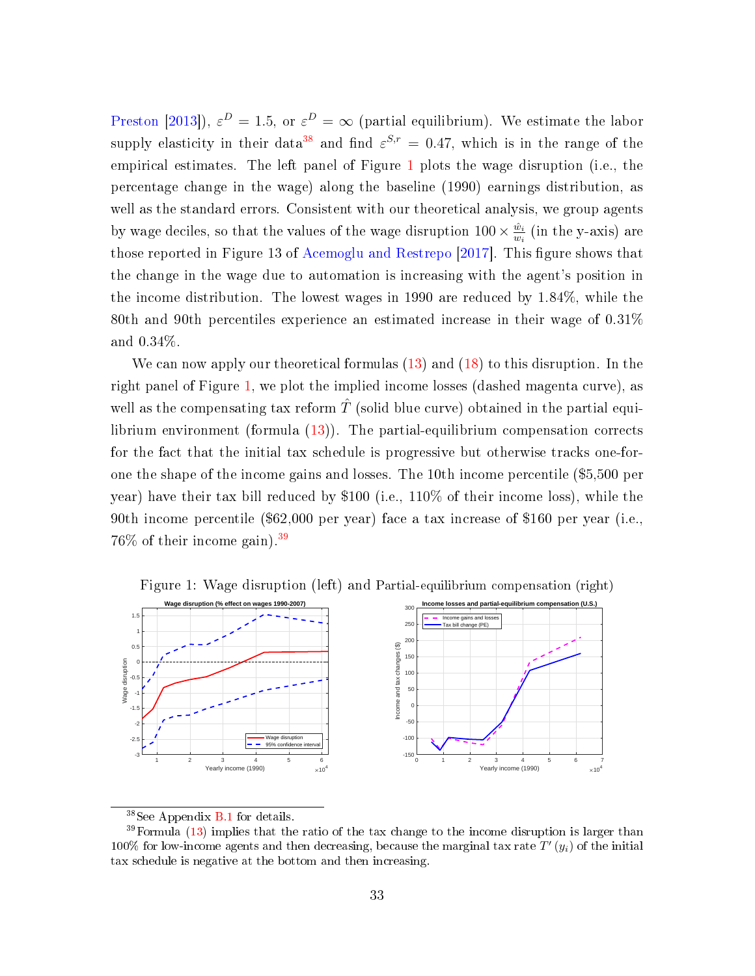[Preston](#page-37-11) [\[2013\]](#page-37-11)),  $\varepsilon^D = 1.5$ , or  $\varepsilon^D = \infty$  (partial equilibrium). We estimate the labor supply elasticity in their data<sup>[38](#page-0-0)</sup> and find  $\varepsilon^{S,r} = 0.47$ , which is in the range of the empirical estimates. The left panel of Figure [1](#page-33-0) plots the wage disruption (i.e., the percentage change in the wage) along the baseline (1990) earnings distribution, as well as the standard errors. Consistent with our theoretical analysis, we group agents by wage deciles, so that the values of the wage disruption  $100 \times \frac{\hat{w}_i}{w_i}$  $\frac{\bar{w}_i}{w_i}$  (in the y-axis) are those reported in Figure 13 of [Acemoglu and Restrepo](#page-36-0) [\[2017\]](#page-36-0). This figure shows that the change in the wage due to automation is increasing with the agent's position in the income distribution. The lowest wages in 1990 are reduced by 1.84%, while the 80th and 90th percentiles experience an estimated increase in their wage of 0.31% and 0.34%.

We can now apply our theoretical formulas [\(13\)](#page-13-2) and [\(18\)](#page-17-0) to this disruption. In the right panel of Figure [1,](#page-33-0) we plot the implied income losses (dashed magenta curve), as well as the compensating tax reform  $\hat{T}$  (solid blue curve) obtained in the partial equilibrium environment (formula [\(13\)](#page-13-2)). The partial-equilibrium compensation corrects for the fact that the initial tax schedule is progressive but otherwise tracks one-forone the shape of the income gains and losses. The 10th income percentile (\$5,500 per year) have their tax bill reduced by \$100 (i.e., 110% of their income loss), while the 90th income percentile (\$62,000 per year) face a tax increase of \$160 per year (i.e., 76\% of their income gain).<sup>[39](#page-0-0)</sup>



<span id="page-33-0"></span>Figure 1: Wage disruption (left) and Partial-equilibrium compensation (right)

<sup>38</sup>See Appendix [B.1](#page-56-1) for details.

 $39$  Formula [\(13\)](#page-13-2) implies that the ratio of the tax change to the income disruption is larger than 100% for low-income agents and then decreasing, because the marginal tax rate  $T'(y_i)$  of the initial tax schedule is negative at the bottom and then increasing.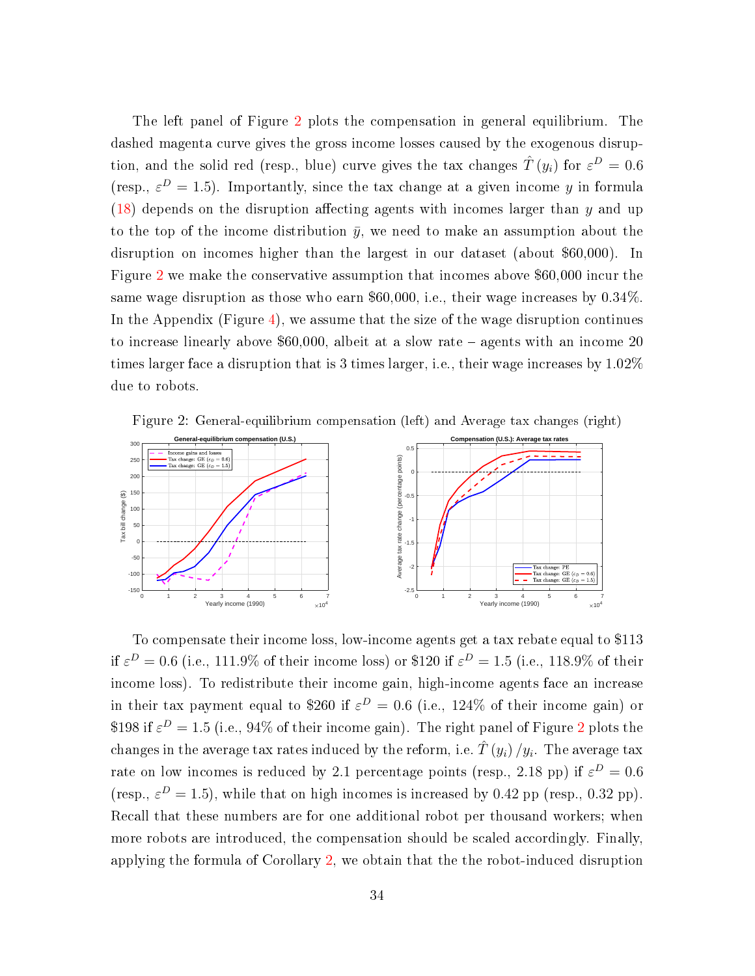The left panel of Figure [2](#page-34-0) plots the compensation in general equilibrium. The dashed magenta curve gives the gross income losses caused by the exogenous disruption, and the solid red (resp., blue) curve gives the tax changes  $\hat{T}(y_i)$  for  $\varepsilon^D = 0.6$ (resp.,  $\varepsilon^D = 1.5$ ). Importantly, since the tax change at a given income y in formula  $(18)$  depends on the disruption affecting agents with incomes larger than y and up to the top of the income distribution  $\bar{y}$ , we need to make an assumption about the disruption on incomes higher than the largest in our dataset (about \$60,000). In Figure [2](#page-34-0) we make the conservative assumption that incomes above \$60,000 incur the same wage disruption as those who earn \$60,000, i.e., their wage increases by 0.34%. In the Appendix (Figure [4\)](#page-59-0), we assume that the size of the wage disruption continues to increase linearly above \$60,000, albeit at a slow rate agents with an income 20 times larger face a disruption that is 3 times larger, i.e., their wage increases by 1.02% due to robots.

<span id="page-34-0"></span>



To compensate their income loss, low-income agents get a tax rebate equal to \$113 if  $\varepsilon^D=0.6$  (i.e., 111.9% of their income loss) or \$120 if  $\varepsilon^D=1.5$  (i.e., 118.9% of their income loss). To redistribute their income gain, high-income agents face an increase in their tax payment equal to \$260 if  $\varepsilon^D = 0.6$  (i.e., 124% of their income gain) or \$198 if  $\varepsilon^D = 1.5$  (i.e., 94% of their income gain). The right panel of Figure [2](#page-34-0) plots the changes in the average tax rates induced by the reform, i.e.  $\hat T\left(y_i\right)/y_i.$  The average tax rate on low incomes is reduced by 2.1 percentage points (resp., 2.18 pp) if  $\varepsilon^D = 0.6$ (resp.,  $\varepsilon^D = 1.5$ ), while that on high incomes is increased by 0.42 pp (resp., 0.32 pp). Recall that these numbers are for one additional robot per thousand workers; when more robots are introduced, the compensation should be scaled accordingly. Finally, applying the formula of Corollary [2,](#page-50-0) we obtain that the the robot-induced disruption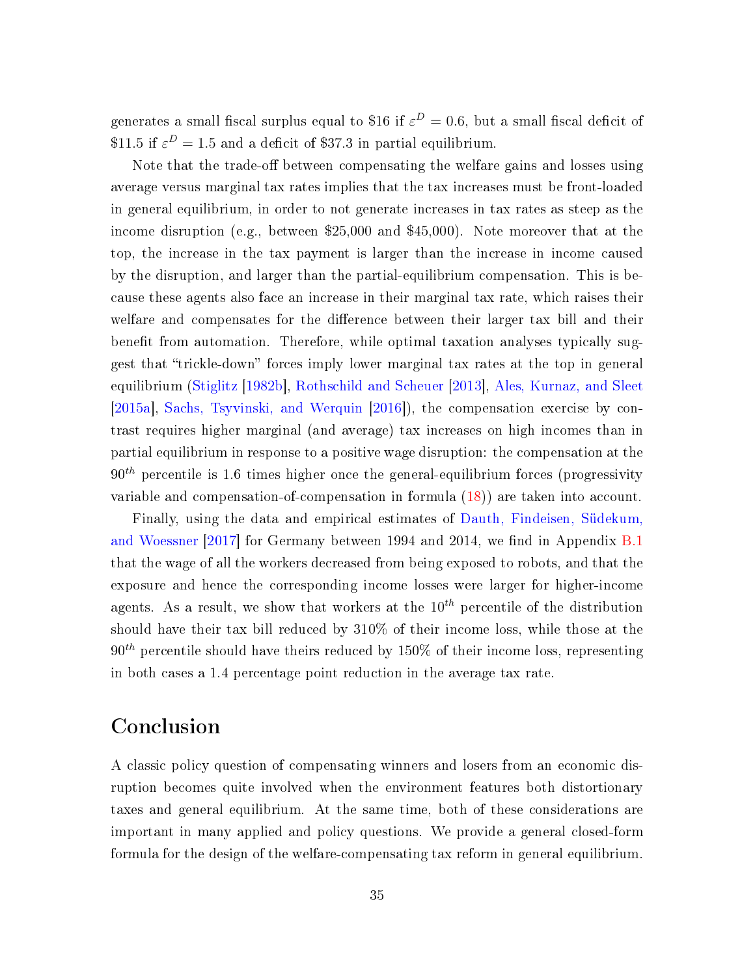generates a small fiscal surplus equal to \$16 if  $\varepsilon^D=0.6,$  but a small fiscal deficit of \$11.5 if  $\varepsilon^D = 1.5$  and a deficit of \$37.3 in partial equilibrium.

Note that the trade-off between compensating the welfare gains and losses using average versus marginal tax rates implies that the tax increases must be front-loaded in general equilibrium, in order to not generate increases in tax rates as steep as the income disruption (e.g., between \$25,000 and \$45,000). Note moreover that at the top, the increase in the tax payment is larger than the increase in income caused by the disruption, and larger than the partial-equilibrium compensation. This is because these agents also face an increase in their marginal tax rate, which raises their welfare and compensates for the difference between their larger tax bill and their benefit from automation. Therefore, while optimal taxation analyses typically suggest that "trickle-down" forces imply lower marginal tax rates at the top in general equilibrium [\(Stiglitz](#page-39-2) [\[1982b\]](#page-39-2), [Rothschild and Scheuer](#page-38-1) [\[2013\]](#page-38-1), [Ales, Kurnaz, and Sleet](#page-36-3) [\[2015a\]](#page-36-3), [Sachs, Tsyvinski, and Werquin](#page-38-4) [\[2016\]](#page-38-4)), the compensation exercise by contrast requires higher marginal (and average) tax increases on high incomes than in partial equilibrium in response to a positive wage disruption: the compensation at the  $90<sup>th</sup>$  percentile is 1.6 times higher once the general-equilibrium forces (progressivity variable and compensation-of-compensation in formula [\(18\)](#page-17-0)) are taken into account.

Finally, using the data and empirical estimates of [Dauth, Findeisen, Südekum,](#page-36-5) [and Woessner](#page-36-5)  $[2017]$  for Germany between 1994 and 2014, we find in Appendix [B.1](#page-56-1) that the wage of all the workers decreased from being exposed to robots, and that the exposure and hence the corresponding income losses were larger for higher-income agents. As a result, we show that workers at the  $10^{th}$  percentile of the distribution should have their tax bill reduced by 310% of their income loss, while those at the  $90<sup>th</sup>$  percentile should have theirs reduced by 150% of their income loss, representing in both cases a 1.4 percentage point reduction in the average tax rate.

### Conclusion

A classic policy question of compensating winners and losers from an economic disruption becomes quite involved when the environment features both distortionary taxes and general equilibrium. At the same time, both of these considerations are important in many applied and policy questions. We provide a general closed-form formula for the design of the welfare-compensating tax reform in general equilibrium.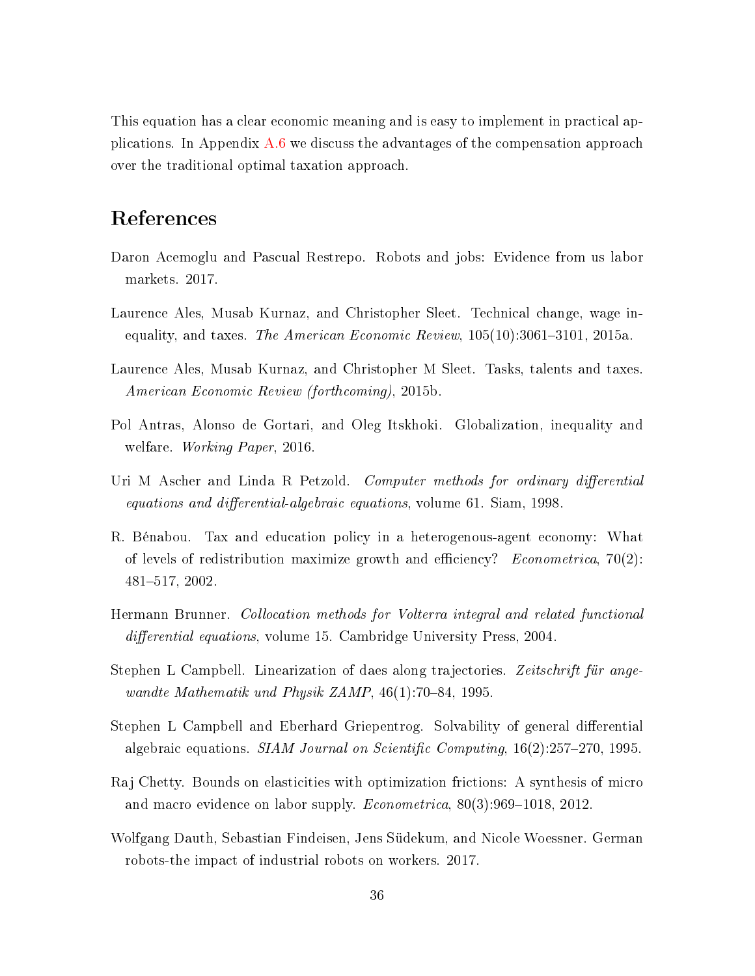This equation has a clear economic meaning and is easy to implement in practical applications. In Appendix [A.6](#page-56-0) we discuss the advantages of the compensation approach over the traditional optimal taxation approach.

## References

- <span id="page-36-0"></span>Daron Acemoglu and Pascual Restrepo. Robots and jobs: Evidence from us labor markets. 2017.
- <span id="page-36-3"></span>Laurence Ales, Musab Kurnaz, and Christopher Sleet. Technical change, wage inequality, and taxes. The American Economic Review,  $105(10):3061-3101$ ,  $2015a$ .
- <span id="page-36-4"></span>Laurence Ales, Musab Kurnaz, and Christopher M Sleet. Tasks, talents and taxes. American Economic Review (forthcoming), 2015b.
- <span id="page-36-1"></span>Pol Antras, Alonso de Gortari, and Oleg Itskhoki. Globalization, inequality and welfare. Working Paper, 2016.
- <span id="page-36-6"></span>Uri M Ascher and Linda R Petzold. Computer methods for ordinary differential equations and differential-algebraic equations, volume 61. Siam,  $1998$ .
- <span id="page-36-2"></span>R. Bénabou. Tax and education policy in a heterogenous-agent economy: What of levels of redistribution maximize growth and efficiency? *Econometrica*, 70(2): 481517, 2002.
- <span id="page-36-7"></span>Hermann Brunner. Collocation methods for Volterra integral and related functional differential equations, volume 15. Cambridge University Press, 2004.
- <span id="page-36-8"></span>Stephen L Campbell. Linearization of daes along trajectories. Zeitschrift für angewandte Mathematik und Physik ZAMP,  $46(1)$ :70-84, 1995.
- <span id="page-36-9"></span>Stephen L Campbell and Eberhard Griepentrog. Solvability of general differential algebraic equations. SIAM Journal on Scientific Computing,  $16(2):257-270$ , 1995.
- <span id="page-36-10"></span>Raj Chetty. Bounds on elasticities with optimization frictions: A synthesis of micro and macro evidence on labor supply. *Econometrica*,  $80(3):969-1018$ , 2012.
- <span id="page-36-5"></span>Wolfgang Dauth, Sebastian Findeisen, Jens Südekum, and Nicole Woessner. German robots-the impact of industrial robots on workers. 2017.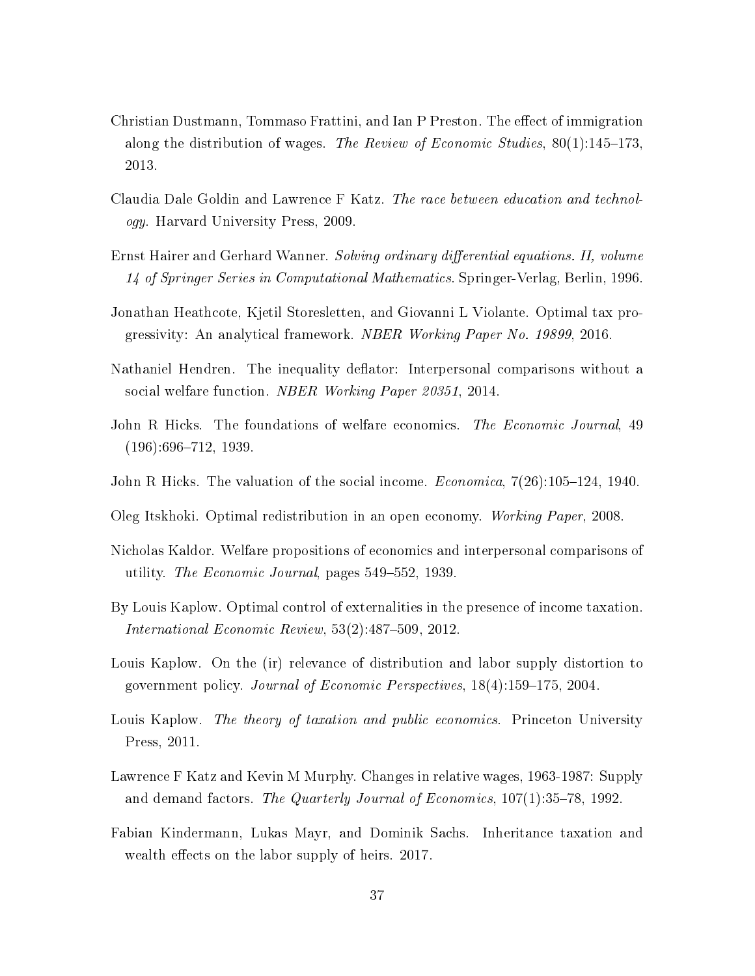- <span id="page-37-11"></span>Christian Dustmann, Tommaso Frattini, and Ian P Preston. The effect of immigration along the distribution of wages. The Review of Economic Studies,  $80(1):145-173$ , 2013.
- <span id="page-37-4"></span>Claudia Dale Goldin and Lawrence F Katz. The race between education and technology. Harvard University Press, 2009.
- <span id="page-37-12"></span>Ernst Hairer and Gerhard Wanner. Solving ordinary differential equations. II, volume 14 of Springer Series in Computational Mathematics. Springer-Verlag, Berlin, 1996.
- <span id="page-37-10"></span>Jonathan Heathcote, Kjetil Storesletten, and Giovanni L Violante. Optimal tax progressivity: An analytical framework. NBER Working Paper No. 19899, 2016.
- <span id="page-37-7"></span>Nathaniel Hendren. The inequality deflator: Interpersonal comparisons without a social welfare function. NBER Working Paper 20351, 2014.
- <span id="page-37-1"></span>John R Hicks. The foundations of welfare economics. The Economic Journal, 49  $(196):696-712, 1939.$
- <span id="page-37-2"></span>John R Hicks. The valuation of the social income. *Economica*,  $7(26):105-124$ , 1940.
- <span id="page-37-9"></span>Oleg Itskhoki. Optimal redistribution in an open economy. Working Paper, 2008.
- <span id="page-37-0"></span>Nicholas Kaldor. Welfare propositions of economics and interpersonal comparisons of utility. The Economic Journal, pages 549–552, 1939.
- <span id="page-37-5"></span>By Louis Kaplow. Optimal control of externalities in the presence of income taxation. International Economic Review,  $53(2):487-509$ ,  $2012$ .
- <span id="page-37-6"></span>Louis Kaplow. On the (ir) relevance of distribution and labor supply distortion to government policy. *Journal of Economic Perspectives*,  $18(4)$ :159-175, 2004.
- <span id="page-37-8"></span>Louis Kaplow. The theory of taxation and public economics. Princeton University Press, 2011.
- <span id="page-37-3"></span>Lawrence F Katz and Kevin M Murphy. Changes in relative wages, 1963-1987: Supply and demand factors. The Quarterly Journal of Economics,  $107(1):35-78$ , 1992.
- <span id="page-37-13"></span>Fabian Kindermann, Lukas Mayr, and Dominik Sachs. Inheritance taxation and wealth effects on the labor supply of heirs. 2017.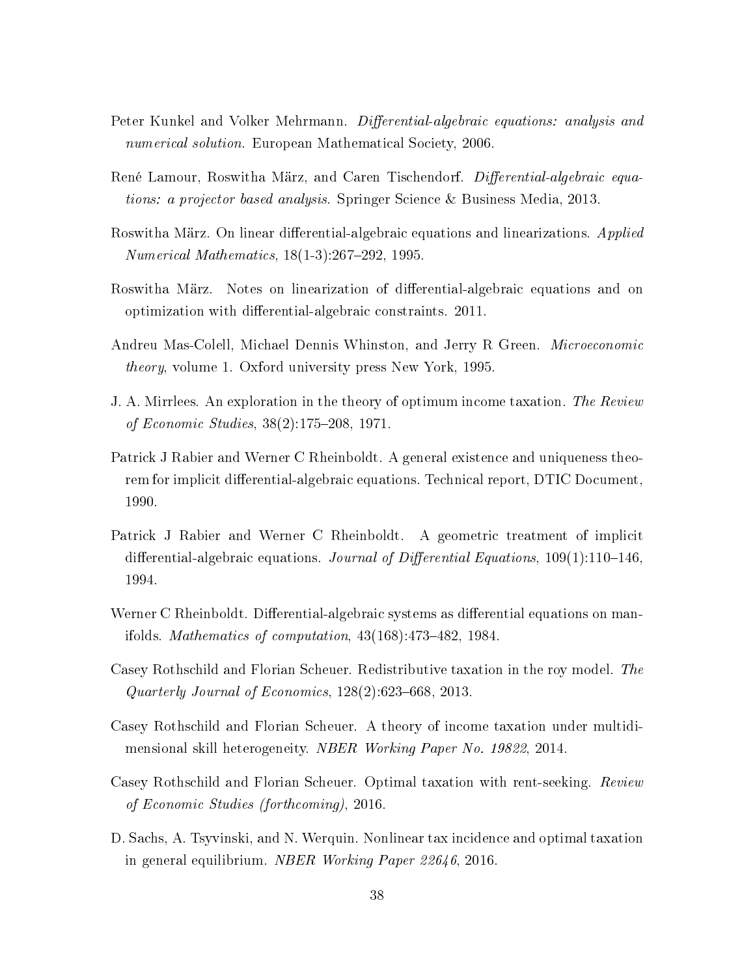- <span id="page-38-6"></span>Peter Kunkel and Volker Mehrmann. Differential-algebraic equations: analysis and numerical solution. European Mathematical Society, 2006.
- <span id="page-38-8"></span>René Lamour, Roswitha März, and Caren Tischendorf. *Differential-algebraic equa*tions: a projector based analysis. Springer Science & Business Media, 2013.
- <span id="page-38-12"></span>Roswitha März. On linear differential-algebraic equations and linearizations. Applied *Numerical Mathematics*,  $18(1-3):267-292$ ,  $1995$ .
- <span id="page-38-11"></span>Roswitha März. Notes on linearization of differential-algebraic equations and on optimization with differential-algebraic constraints. 2011.
- <span id="page-38-5"></span>Andreu Mas-Colell, Michael Dennis Whinston, and Jerry R Green. Microeconomic theory, volume 1. Oxford university press New York, 1995.
- <span id="page-38-0"></span>J. A. Mirrlees. An exploration in the theory of optimum income taxation. The Review of Economic Studies, 38(2):175-208, 1971.
- <span id="page-38-9"></span>Patrick J Rabier and Werner C Rheinboldt. A general existence and uniqueness theorem for implicit differential-algebraic equations. Technical report, DTIC Document, 1990.
- <span id="page-38-10"></span>Patrick J Rabier and Werner C Rheinboldt. A geometric treatment of implicit differential-algebraic equations. Journal of Differential Equations,  $109(1):110-146$ , 1994.
- <span id="page-38-7"></span>Werner C Rheinboldt. Differential-algebraic systems as differential equations on manifolds. Mathematics of computation,  $43(168):473-482$ , 1984.
- <span id="page-38-1"></span>Casey Rothschild and Florian Scheuer. Redistributive taxation in the roy model. The Quarterly Journal of Economics,  $128(2):623-668$ ,  $2013$ .
- <span id="page-38-2"></span>Casey Rothschild and Florian Scheuer. A theory of income taxation under multidimensional skill heterogeneity. NBER Working Paper No. 19822, 2014.
- <span id="page-38-3"></span>Casey Rothschild and Florian Scheuer. Optimal taxation with rent-seeking. Review of Economic Studies (forthcoming), 2016.
- <span id="page-38-4"></span>D. Sachs, A. Tsyvinski, and N. Werquin. Nonlinear tax incidence and optimal taxation in general equilibrium. NBER Working Paper 22646, 2016.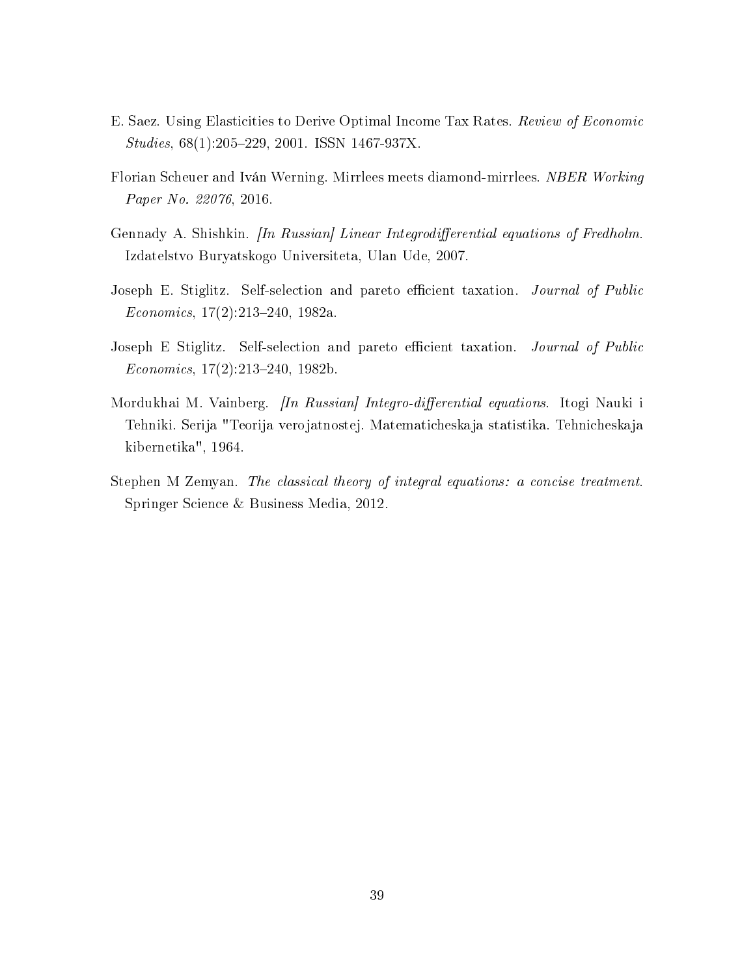- <span id="page-39-5"></span>E. Saez. Using Elasticities to Derive Optimal Income Tax Rates. Review of Economic Studies, 68(1):205-229, 2001. ISSN 1467-937X.
- <span id="page-39-1"></span>Florian Scheuer and Iván Werning. Mirrlees meets diamond-mirrlees. NBER Working Paper No. 22076, 2016.
- <span id="page-39-4"></span>Gennady A. Shishkin. *[In Russian] Linear Integrodifferential equations of Fredholm.* Izdatelstvo Buryatskogo Universiteta, Ulan Ude, 2007.
- <span id="page-39-0"></span>Joseph E. Stiglitz. Self-selection and pareto efficient taxation. Journal of Public  $Economics, 17(2):213-240, 1982a.$
- <span id="page-39-2"></span>Joseph E Stiglitz. Self-selection and pareto efficient taxation. Journal of Public  $Economics, 17(2):213-240, 1982b.$
- <span id="page-39-3"></span>Mordukhai M. Vainberg. *[In Russian] Integro-differential equations*. Itogi Nauki i Tehniki. Serija "Teorija verojatnostej. Matematicheskaja statistika. Tehnicheskaja kibernetika", 1964.
- <span id="page-39-6"></span>Stephen M Zemyan. The classical theory of integral equations: a concise treatment. Springer Science & Business Media, 2012.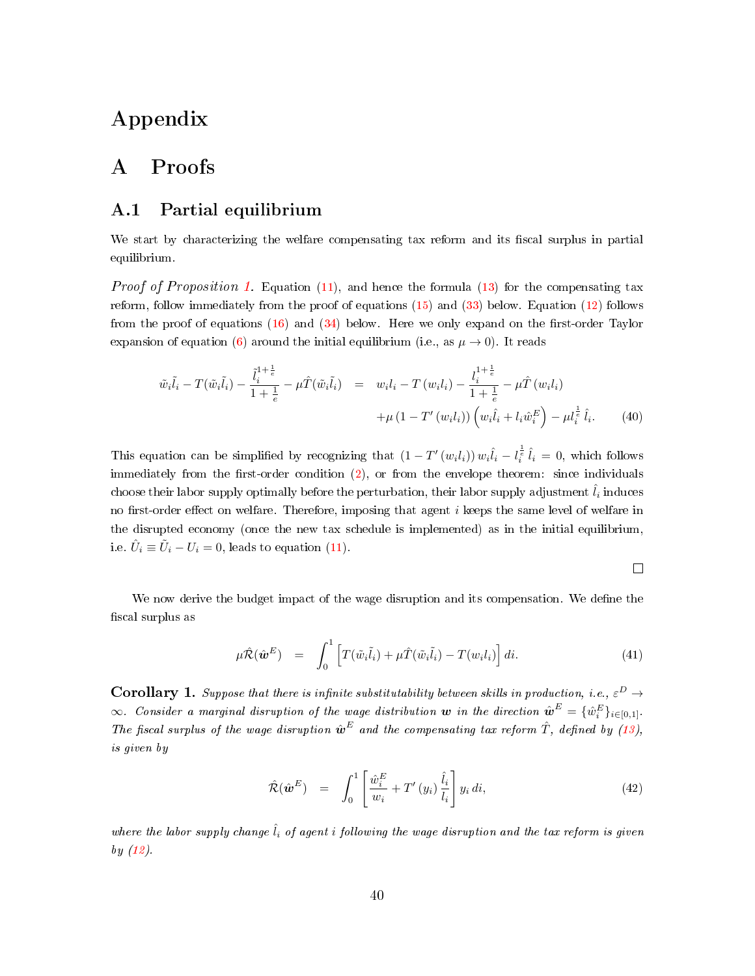## Appendix

## A Proofs

### A.1 Partial equilibrium

We start by characterizing the welfare compensating tax reform and its fiscal surplus in partial equilibrium.

*Proof of Proposition [1.](#page-13-0)* Equation [\(11\)](#page-12-1), and hence the formula [\(13\)](#page-13-2) for the compensating tax reform, follow immediately from the proof of equations  $(15)$  and  $(33)$  below. Equation  $(12)$  follows from the proof of equations [\(16\)](#page-15-0) and [\(34\)](#page-28-0) below. Here we only expand on the first-order Taylor expansion of equation [\(6\)](#page-9-0) around the initial equilibrium (i.e., as  $\mu \to 0$ ). It reads

<span id="page-40-1"></span>
$$
\tilde{w}_{i}\tilde{l}_{i} - T(\tilde{w}_{i}\tilde{l}_{i}) - \frac{\tilde{l}_{i}^{1+\frac{1}{e}}}{1+\frac{1}{e}} - \mu \hat{T}(\tilde{w}_{i}\tilde{l}_{i}) = w_{i}l_{i} - T(w_{i}l_{i}) - \frac{l_{i}^{1+\frac{1}{e}}}{1+\frac{1}{e}} - \mu \hat{T}(w_{i}l_{i}) + \mu (1 - T'(w_{i}l_{i})) \left(w_{i}\hat{l}_{i} + l_{i}\hat{w}_{i}^{E}\right) - \mu l_{i}^{\frac{1}{e}} \hat{l}_{i}.
$$
\n(40)

This equation can be simplified by recognizing that  $(1-T'(w_i l_i)) w_i \hat{l}_i - l_i^{\frac{1}{e}} \hat{l}_i = 0$ , which follows immediately from the first-order condition  $(2)$ , or from the envelope theorem: since individuals choose their labor supply optimally before the perturbation, their labor supply adjustment  $\hat{l}_i$  induces no first-order effect on welfare. Therefore, imposing that agent  $i$  keeps the same level of welfare in the disrupted economy (once the new tax schedule is implemented) as in the initial equilibrium, i.e.  $\hat{U}_i \equiv \tilde{U}_i - U_i = 0$ , leads to equation [\(11\)](#page-12-1).

$$
\Box
$$

We now derive the budget impact of the wage disruption and its compensation. We define the fiscal surplus as

<span id="page-40-0"></span>
$$
\mu \hat{\mathcal{R}}(\hat{\boldsymbol{\omega}}^E) = \int_0^1 \left[ T(\tilde{w}_i \tilde{l}_i) + \mu \hat{T}(\tilde{w}_i \tilde{l}_i) - T(w_i l_i) \right] di. \tag{41}
$$

**Corollary 1.** Suppose that there is infinite substitutability between skills in production, i.e.,  $\varepsilon^D \to$  $\infty$ . Consider a marginal disruption of the wage distribution  $\bm{w}$  in the direction  $\hat{\bm{w}}^E = \{\hat{w}_i^E\}_{i \in [0,1]}$ . The fiscal surplus of the wage disruption  $\hat{\boldsymbol{w}}^E$  and the compensating tax reform  $\hat{T}$ , defined by [\(13\)](#page-13-2), is given by

<span id="page-40-2"></span>
$$
\hat{\mathcal{R}}(\hat{\boldsymbol{\omega}}^{E}) = \int_{0}^{1} \left[ \frac{\hat{w}_{i}^{E}}{w_{i}} + T'(y_{i}) \frac{\hat{l}_{i}}{l_{i}} \right] y_{i} di,
$$
\n(42)

where the labor supply change  $\hat{l}_i$  of agent i following the wage disruption and the tax reform is given by [\(12\)](#page-12-0).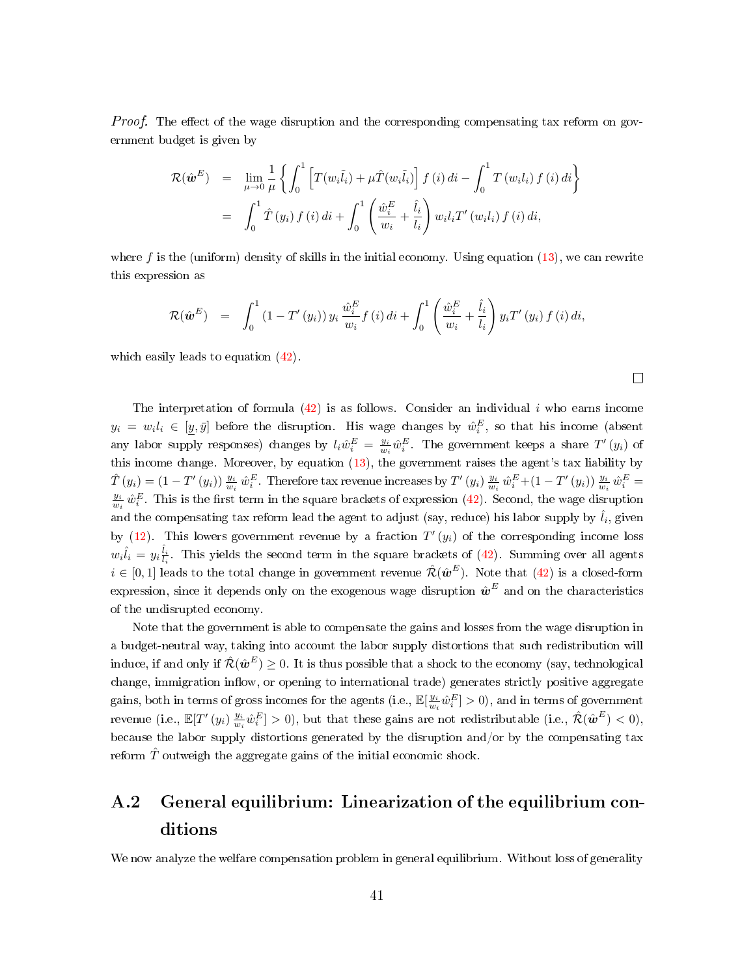*Proof.* The effect of the wage disruption and the corresponding compensating tax reform on government budget is given by

$$
\mathcal{R}(\hat{\boldsymbol{w}}^{E}) = \lim_{\mu \to 0} \frac{1}{\mu} \left\{ \int_{0}^{1} \left[ T(w_{i}\tilde{l}_{i}) + \mu \hat{T}(w_{i}\tilde{l}_{i}) \right] f(i) di - \int_{0}^{1} T(w_{i}l_{i}) f(i) di \right\}
$$
  

$$
= \int_{0}^{1} \hat{T}(y_{i}) f(i) di + \int_{0}^{1} \left( \frac{\hat{w}_{i}^{E}}{w_{i}} + \frac{\hat{l}_{i}}{l_{i}} \right) w_{i} l_{i} T'(w_{i}l_{i}) f(i) di,
$$

where f is the (uniform) density of skills in the initial economy. Using equation  $(13)$ , we can rewrite this expression as

$$
\mathcal{R}(\hat{\boldsymbol{w}}^{E}) = \int_{0}^{1} (1 - T'(y_{i})) y_{i} \frac{\hat{w}_{i}^{E}}{w_{i}} f(i) di + \int_{0}^{1} \left( \frac{\hat{w}_{i}^{E}}{w_{i}} + \frac{\hat{l}_{i}}{l_{i}} \right) y_{i} T'(y_{i}) f(i) di,
$$

 $\Box$ 

which easily leads to equation  $(42)$ .

The interpretation of formula  $(42)$  is as follows. Consider an individual i who earns income  $y_i = w_i l_i \in [y, \bar{y}]$  before the disruption. His wage changes by  $\hat{w}_i^E$ , so that his income (absent any labor supply responses) changes by  $l_i\hat{w}_i^E = \frac{y_i}{w_i}\hat{w}_i^E$ . The government keeps a share  $T'(y_i)$  of this income change. Moreover, by equation [\(13\)](#page-13-2), the government raises the agent's tax liability by  $\hat{T}(y_i) = (1 - T'(y_i)) \frac{y_i}{w_i} \hat{w}_i^E$ . Therefore tax revenue increases by  $T'(y_i) \frac{y_i}{w_i} \hat{w}_i^E + (1 - T'(y_i)) \frac{y_i}{w_i} \hat{w}_i^E =$  $\frac{y_i}{w_i} \hat{w}_i^E$ . This is the first term in the square brackets of expression [\(42\)](#page-40-2). Second, the wage disruption and the compensating tax reform lead the agent to adjust (say, reduce) his labor supply by  $\hat{l}_i$ , given by [\(12\)](#page-12-0). This lowers government revenue by a fraction  $T'(y_i)$  of the corresponding income loss  $w_i\hat{l}_i = y_i\frac{\hat{l}_i}{l_i}$ . This yields the second term in the square brackets of [\(42\)](#page-40-2). Summing over all agents  $i\in[0,1]$  leads to the total change in government revenue  $\hat{\mathcal{R}}(\hat{\bm{w}}^E)$ . Note that  $(42)$  is a closed-form expression, since it depends only on the exogenous wage disruption  $\hat{\bm{w}}^E$  and on the characteristics of the undisrupted economy.

Note that the government is able to compensate the gains and losses from the wage disruption in a budget-neutral way, taking into account the labor supply distortions that such redistribution will induce, if and only if  $\hat{\mathcal{R}}(\hat{\bm{w}}^E) \ge 0$ . It is thus possible that a shock to the economy (say, technological change, immigration inflow, or opening to international trade) generates strictly positive aggregate gains, both in terms of gross incomes for the agents (i.e.,  $\mathbb{E}[\frac{y_i}{w_i}\hat{w}_i^E]>0$ ), and in terms of government revenue (i.e.,  $\mathbb{E}[T'(y_i), \frac{y_i}{w_i}\hat{w}_i^E] > 0$ ), but that these gains are not redistributable (i.e.,  $\hat{\mathcal{R}}(\hat{\boldsymbol{w}}^E) < 0$ ), because the labor supply distortions generated by the disruption and/or by the compensating tax reform  $\hat{T}$  outweigh the aggregate gains of the initial economic shock.

# <span id="page-41-0"></span>A.2 General equilibrium: Linearization of the equilibrium conditions

We now analyze the welfare compensation problem in general equilibrium. Without loss of generality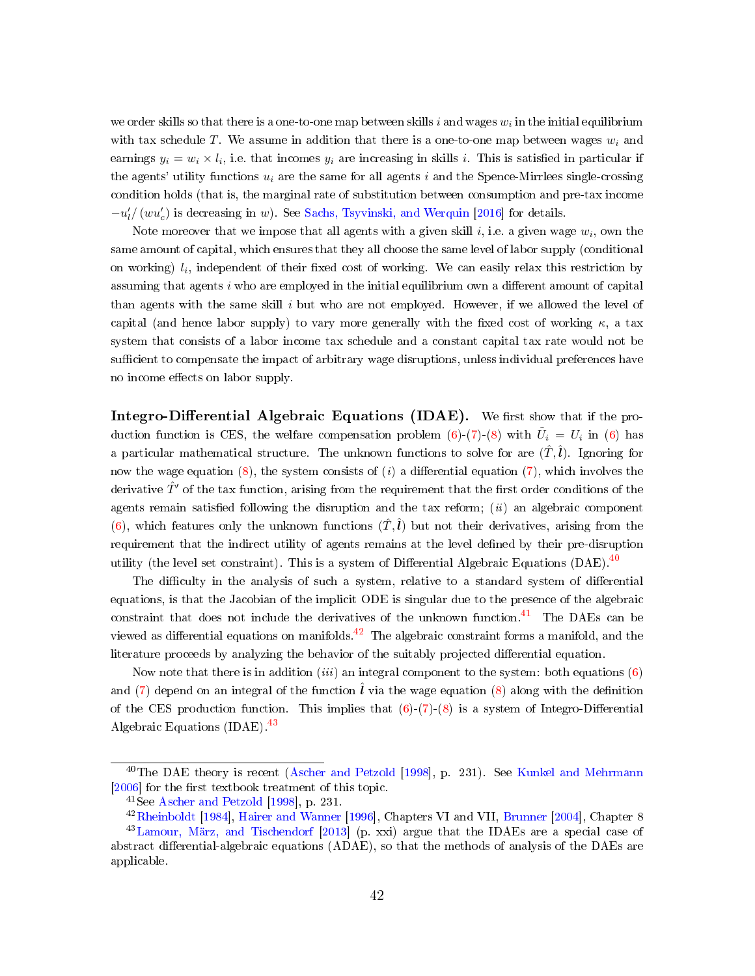we order skills so that there is a one-to-one map between skills  $i$  and wages  $w_i$  in the initial equilibrium with tax schedule T. We assume in addition that there is a one-to-one map between wages  $w_i$  and earnings  $y_i = w_i \times l_i$ , i.e. that incomes  $y_i$  are increasing in skills i. This is satisfied in particular if the agents' utility functions  $u_i$  are the same for all agents i and the Spence-Mirrlees single-crossing condition holds (that is, the marginal rate of substitution between consumption and pre-tax income  $-u'_{l}/(wu'_{c})$  is decreasing in w). See [Sachs, Tsyvinski, and Werquin](#page-38-4) [\[2016\]](#page-38-4) for details.

Note moreover that we impose that all agents with a given skill  $i$ , i.e. a given wage  $w_i$ , own the same amount of capital, which ensures that they all choose the same level of labor supply (conditional on working)  $l_i$ , independent of their fixed cost of working. We can easily relax this restriction by assuming that agents  $i$  who are employed in the initial equilibrium own a different amount of capital than agents with the same skill  $i$  but who are not employed. However, if we allowed the level of capital (and hence labor supply) to vary more generally with the fixed cost of working  $\kappa$ , a tax system that consists of a labor income tax schedule and a constant capital tax rate would not be sufficient to compensate the impact of arbitrary wage disruptions, unless individual preferences have no income effects on labor supply.

**Integro-Differential Algebraic Equations (IDAE).** We first show that if the pro-duction function is CES, the welfare compensation problem [\(6\)](#page-9-0)-[\(7\)](#page-9-1)-[\(8\)](#page-9-2) with  $\tilde{U}_i = U_i$  in (6) has a particular mathematical structure. The unknown functions to solve for are  $(\hat{T}, \hat{l})$ . Ignoring for now the wage equation [\(8\)](#page-9-2), the system consists of (*i*) a differential equation [\(7\)](#page-9-1), which involves the derivative  $\hat{T}'$  of the tax function, arising from the requirement that the first order conditions of the agents remain satisfied following the disruption and the tax reform;  $(ii)$  an algebraic component [\(6\)](#page-9-0), which features only the unknown functions  $(\hat{T}, \hat{l})$  but not their derivatives, arising from the requirement that the indirect utility of agents remains at the level dened by their pre-disruption utility (the level set constraint). This is a system of Differential Algebraic Equations (DAE).  $^{40}$  $^{40}$  $^{40}$ 

The difficulty in the analysis of such a system, relative to a standard system of differential equations, is that the Jacobian of the implicit ODE is singular due to the presence of the algebraic constraint that does not include the derivatives of the unknown function.<sup>[41](#page-0-0)</sup> The DAEs can be viewed as differential equations on manifolds.<sup>[42](#page-0-0)</sup> The algebraic constraint forms a manifold, and the literature proceeds by analyzing the behavior of the suitably projected differential equation.

Now note that there is in addition *(iii)* an integral component to the system: both equations  $(6)$ and [\(7\)](#page-9-1) depend on an integral of the function  $\hat{l}$  via the wage equation [\(8\)](#page-9-2) along with the definition of the CES production function. This implies that  $(6)-(7)-(8)$  $(6)-(7)-(8)$  $(6)-(7)-(8)$  $(6)-(7)-(8)$  $(6)-(7)-(8)$  is a system of Integro-Differential Algebraic Equations (IDAE).<sup>[43](#page-0-0)</sup>

<sup>&</sup>lt;sup>40</sup>The DAE theory is recent [\(Ascher and Petzold](#page-36-6) [\[1998\]](#page-36-6), p. 231). See [Kunkel and Mehrmann](#page-38-6) [\[2006\]](#page-38-6) for the first textbook treatment of this topic.

<sup>41</sup>See [Ascher and Petzold](#page-36-6) [\[1998\]](#page-36-6), p. 231.

<sup>42</sup>[Rheinboldt](#page-38-7) [\[1984\]](#page-38-7), [Hairer and Wanner](#page-37-12) [\[1996\]](#page-37-12), Chapters VI and VII, [Brunner](#page-36-7) [\[2004\]](#page-36-7), Chapter 8

<sup>43</sup>[Lamour, März, and Tischendorf](#page-38-8) [\[2013\]](#page-38-8) (p. xxi) argue that the IDAEs are a special case of abstract differential-algebraic equations (ADAE), so that the methods of analysis of the DAEs are applicable.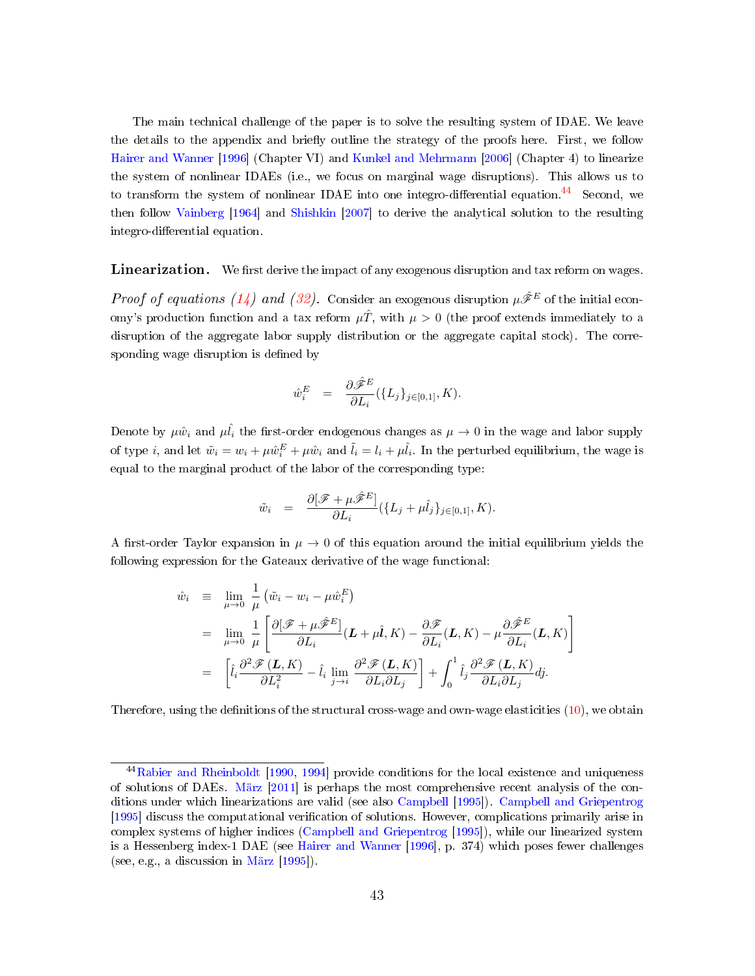The main technical challenge of the paper is to solve the resulting system of IDAE. We leave the details to the appendix and briefly outline the strategy of the proofs here. First, we follow [Hairer and Wanner](#page-37-12) [\[1996\]](#page-37-12) (Chapter VI) and [Kunkel and Mehrmann](#page-38-6) [\[2006\]](#page-38-6) (Chapter 4) to linearize the system of nonlinear IDAEs (i.e., we focus on marginal wage disruptions). This allows us to to transform the system of nonlinear IDAE into one integro-differential equation.<sup>[44](#page-0-0)</sup> Second, we then follow [Vainberg](#page-39-3) [\[1964\]](#page-39-3) and [Shishkin](#page-39-4) [\[2007\]](#page-39-4) to derive the analytical solution to the resulting integro-differential equation.

**Linearization.** We first derive the impact of any exogenous disruption and tax reform on wages.

*Proof of equations [\(14\)](#page-14-0) and [\(32\)](#page-28-1).* Consider an exogenous disruption  $\mu \hat{\mathcal{F}}^E$  of the initial economy's production function and a tax reform  $\mu\hat{T}$ , with  $\mu > 0$  (the proof extends immediately to a disruption of the aggregate labor supply distribution or the aggregate capital stock). The corresponding wage disruption is defined by

$$
\hat{w}_i^E = \frac{\partial \hat{\mathscr{F}}^E}{\partial L_i} (\{L_j\}_{j \in [0,1]}, K).
$$

Denote by  $\mu \hat{w}_i$  and  $\mu \hat{l}_i$  the first-order endogenous changes as  $\mu \to 0$  in the wage and labor supply of type *i*, and let  $\tilde{w}_i = w_i + \mu \hat{w}_i^E + \mu \hat{w}_i$  and  $\tilde{l}_i = l_i + \mu \hat{l}_i$ . In the perturbed equilibrium, the wage is equal to the marginal product of the labor of the corresponding type:

$$
\tilde{w}_i = \frac{\partial[\mathscr{F} + \mu \hat{\mathscr{F}}^E]}{\partial L_i} (\{L_j + \mu \hat{l}_j\}_{j \in [0,1]}, K).
$$

A first-order Taylor expansion in  $\mu \to 0$  of this equation around the initial equilibrium yields the following expression for the Gateaux derivative of the wage functional:

$$
\hat{w}_i \equiv \lim_{\mu \to 0} \frac{1}{\mu} \left( \tilde{w}_i - w_i - \mu \hat{w}_i^E \right)
$$
\n
$$
= \lim_{\mu \to 0} \frac{1}{\mu} \left[ \frac{\partial [\mathscr{F} + \mu \hat{\mathscr{F}}^E]}{\partial L_i} (\mathbf{L} + \mu \hat{\mathbf{l}}, K) - \frac{\partial \mathscr{F}}{\partial L_i} (\mathbf{L}, K) - \mu \frac{\partial \hat{\mathscr{F}}^E}{\partial L_i} (\mathbf{L}, K) \right]
$$
\n
$$
= \left[ \hat{i}_i \frac{\partial^2 \mathscr{F} (\mathbf{L}, K)}{\partial L_i^2} - \hat{i}_i \lim_{j \to i} \frac{\partial^2 \mathscr{F} (\mathbf{L}, K)}{\partial L_i \partial L_j} \right] + \int_0^1 \hat{i}_j \frac{\partial^2 \mathscr{F} (\mathbf{L}, K)}{\partial L_i \partial L_j} dj.
$$

Therefore, using the definitions of the structural cross-wage and own-wage elasticities  $(10)$ , we obtain

<sup>44</sup>[Rabier and Rheinboldt](#page-38-9) [\[1990,](#page-38-9) [1994\]](#page-38-10) provide conditions for the local existence and uniqueness of solutions of DAEs. [März](#page-38-11) [\[2011\]](#page-38-11) is perhaps the most comprehensive recent analysis of the conditions under which linearizations are valid (see also [Campbell](#page-36-8) [\[1995\]](#page-36-8)). [Campbell and Griepentrog](#page-36-9) [\[1995\]](#page-36-9) discuss the computational verification of solutions. However, complications primarily arise in complex systems of higher indices [\(Campbell and Griepentrog](#page-36-9) [\[1995\]](#page-36-9)), while our linearized system is a Hessenberg index-1 DAE (see [Hairer and Wanner](#page-37-12) [\[1996\]](#page-37-12), p. 374) which poses fewer challenges (see, e.g., a discussion in [März](#page-38-12) [\[1995\]](#page-38-12)).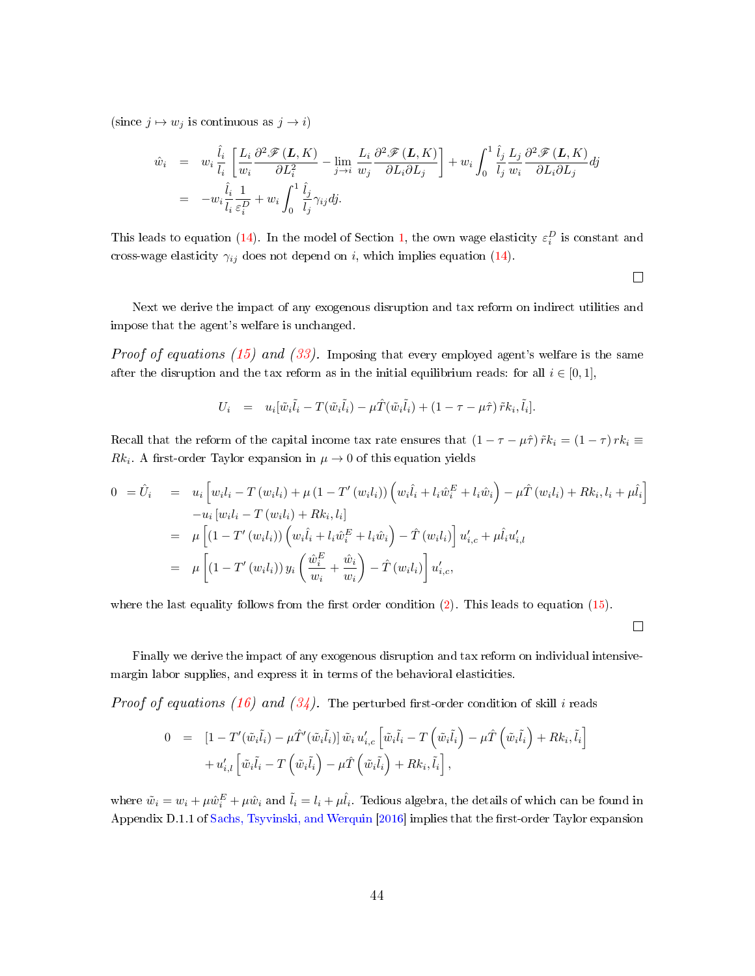(since  $j \mapsto w_j$  is continuous as  $j \to i$ )

$$
\begin{array}{rcl}\n\hat{w}_i & = & w_i \frac{\hat{l}_i}{l_i} \left[ \frac{L_i}{w_i} \frac{\partial^2 \mathcal{F}(\mathbf{L}, K)}{\partial L_i^2} - \lim_{j \to i} \frac{L_i}{w_j} \frac{\partial^2 \mathcal{F}(\mathbf{L}, K)}{\partial L_i \partial L_j} \right] + w_i \int_0^1 \frac{\hat{l}_j}{l_j} \frac{L_j}{w_i} \frac{\partial^2 \mathcal{F}(\mathbf{L}, K)}{\partial L_i \partial L_j} dj \\
& = & -w_i \frac{\hat{l}_i}{l_i} \frac{1}{\varepsilon_i^D} + w_i \int_0^1 \frac{\hat{l}_j}{l_j} \gamma_{ij} dj.\n\end{array}
$$

This leads to equation [\(14\)](#page-14-0). In the model of Section [1,](#page-6-0) the own wage elasticity  $\varepsilon_i^D$  is constant and cross-wage elasticity  $\gamma_{ij}$  does not depend on i, which implies equation [\(14\)](#page-14-0).

 $\Box$ 

Next we derive the impact of any exogenous disruption and tax reform on indirect utilities and impose that the agent's welfare is unchanged.

*Proof of equations [\(15\)](#page-14-1) and [\(33\)](#page-28-2).* Imposing that every employed agent's welfare is the same after the disruption and the tax reform as in the initial equilibrium reads: for all  $i \in [0,1]$ ,

$$
U_i = u_i[\tilde{w}_i\tilde{l}_i - T(\tilde{w}_i\tilde{l}_i) - \mu \hat{T}(\tilde{w}_i\tilde{l}_i) + (1 - \tau - \mu \hat{\tau}) \tilde{r} k_i, \tilde{l}_i].
$$

Recall that the reform of the capital income tax rate ensures that  $(1 - \tau - \mu \hat{\tau}) \tilde{r} k_i = (1 - \tau) r k_i \equiv$  $Rk_i$ . A first-order Taylor expansion in  $\mu \to 0$  of this equation yields

$$
0 = \hat{U}_i = u_i \left[ w_i l_i - T (w_i l_i) + \mu (1 - T' (w_i l_i)) \left( w_i \hat{l}_i + l_i \hat{w}_i^E + l_i \hat{w}_i \right) - \mu \hat{T} (w_i l_i) + R k_i, l_i + \mu \hat{l}_i \right]
$$
  
\n
$$
-u_i \left[ w_i l_i - T (w_i l_i) + R k_i, l_i \right]
$$
  
\n
$$
= \mu \left[ (1 - T' (w_i l_i)) \left( w_i \hat{l}_i + l_i \hat{w}_i^E + l_i \hat{w}_i \right) - \hat{T} (w_i l_i) \right] u'_{i,c} + \mu \hat{l}_i u'_{i,l}
$$
  
\n
$$
= \mu \left[ (1 - T' (w_i l_i)) y_i \left( \frac{\hat{w}_i^E}{w_i} + \frac{\hat{w}_i}{w_i} \right) - \hat{T} (w_i l_i) \right] u'_{i,c},
$$

where the last equality follows from the first order condition  $(2)$ . This leads to equation  $(15)$ .

 $\Box$ 

Finally we derive the impact of any exogenous disruption and tax reform on individual intensivemargin labor supplies, and express it in terms of the behavioral elasticities.

*Proof of equations [\(16\)](#page-15-0) and [\(34\)](#page-28-0)*. The perturbed first-order condition of skill i reads

$$
0 = [1 - T'(\tilde{w}_i \tilde{l}_i) - \mu \hat{T}'(\tilde{w}_i \tilde{l}_i)] \tilde{w}_i u'_{i,c} \left[ \tilde{w}_i \tilde{l}_i - T(\tilde{w}_i \tilde{l}_i) - \mu \hat{T}(\tilde{w}_i \tilde{l}_i) + Rk_i, \tilde{l}_i \right] + u'_{i,l} \left[ \tilde{w}_i \tilde{l}_i - T(\tilde{w}_i \tilde{l}_i) - \mu \hat{T}(\tilde{w}_i \tilde{l}_i) + Rk_i, \tilde{l}_i \right],
$$

where  $\tilde{w}_i = w_i + \mu \hat{w}_i^E + \mu \hat{w}_i$  and  $\tilde{l}_i = l_i + \mu \hat{l}_i$ . Tedious algebra, the details of which can be found in Appendix D.1.1 of [Sachs, Tsyvinski, and Werquin](#page-38-4) [\[2016\]](#page-38-4) implies that the first-order Taylor expansion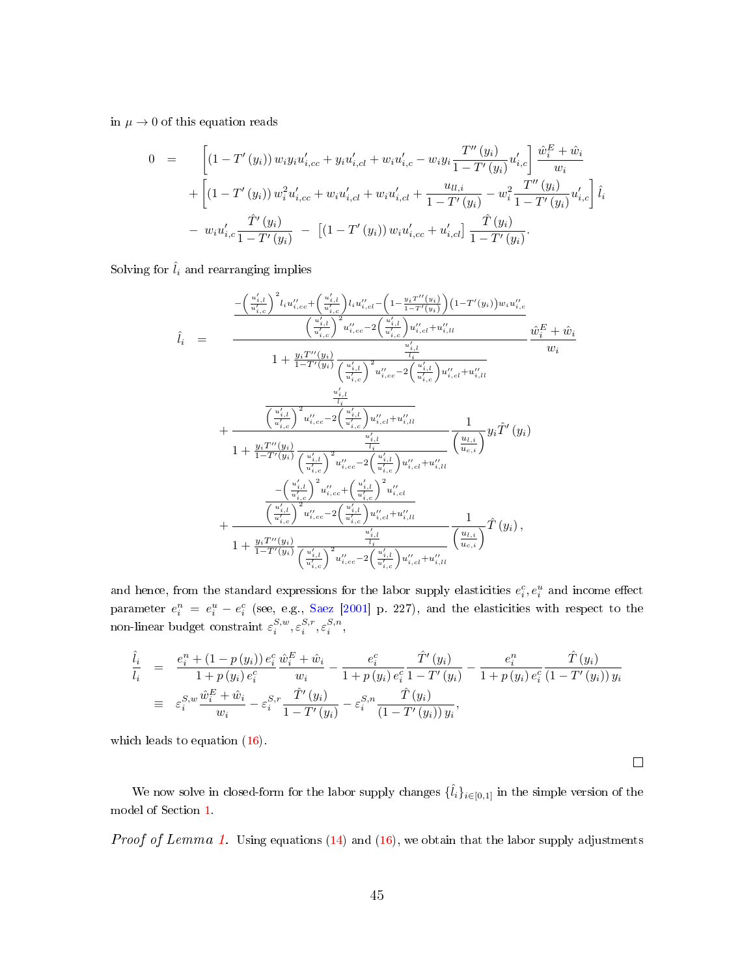in  $\mu \to 0$  of this equation reads

$$
0 = \left[ (1 - T'(y_i)) w_i y_i u'_{i, cc} + y_i u'_{i, cl} + w_i u'_{i, c} - w_i y_i \frac{T''(y_i)}{1 - T'(y_i)} u'_{i, c} \right] \frac{\hat{w}_i^E + \hat{w}_i}{w_i}
$$
  
+ 
$$
\left[ (1 - T'(y_i)) w_i^2 u'_{i, cc} + w_i u'_{i, cl} + w_i u'_{i, cl} + \frac{u_{l, i}}{1 - T'(y_i)} - w_i^2 \frac{T''(y_i)}{1 - T'(y_i)} u'_{i, c} \right] \hat{l}_i
$$
  
- 
$$
w_i u'_{i, c} \frac{\hat{T}'(y_i)}{1 - T'(y_i)} - \left[ (1 - T'(y_i)) w_i u'_{i, cc} + u'_{i, cl} \right] \frac{\hat{T}(y_i)}{1 - T'(y_i)}.
$$

Solving for  $\hat{l}_i$  and rearranging implies

$$
\hat{l}_{i} = \frac{-\left(\frac{u'_{i,l}}{u'_{i,c}}\right)^{2} l_{i} u''_{i,cc} + \left(\frac{u'_{i,l}}{u'_{i,c}}\right) l_{i} u''_{i,cl} - \left(1 - \frac{y_{i}T''(y_{i})}{1 - T'(y_{i})}\right) (1 - T'(y_{i})) w_{i} u''_{i,c}}{\left(\frac{u'_{i,l}}{u'_{i,c}}\right)^{2} u''_{i,cc} - 2\left(\frac{u'_{i,l}}{u'_{i,c}}\right) u''_{i,cl} + u''_{i,ll}} \frac{\hat{w}_{i}^{E} + \hat{w}_{i}}{w_{i}}
$$
\n
$$
\hat{l}_{i} = \frac{\frac{y_{i}T''(y_{i})}{1 - T'(y_{i})} \frac{u'_{i,l}}{\left(\frac{u'_{i,l}}{u'_{i,c}}\right)^{2} u''_{i,cc} - 2\left(\frac{u'_{i,l}}{u'_{i,c}}\right) u''_{i,cl} + u''_{i,ll}}{w_{i}}
$$
\n
$$
\frac{u''_{i,l}}{u''_{i,l}}
$$
\n
$$
+ \frac{\frac{u'_{i,l}}{\left(\frac{u'_{i,l}}{u'_{i,c}}\right)^{2} u''_{i,cc} - 2\left(\frac{u'_{i,l}}{u'_{i,c}}\right) u''_{i,cl} + u''_{i,ll}}{\frac{u'_{i,l}}{u_{i,c}}\right)^{2} u''_{i,cl} + u''_{i,ll}}}{1 + \frac{y_{i}T''(y_{i})}{1 - T'(y_{i})} \frac{\left(\frac{u'_{i,l}}{u'_{i,c}}\right)^{2} u''_{i,cc} - 2\left(\frac{u'_{i,l}}{u'_{i,c}}\right) u''_{i,cl} + u''_{i,ll}}{\left(\frac{u'_{i,l}}{u'_{i,c}}\right)^{2} u''_{i,cl} + u''_{i,ll}} \frac{1}{\left(\frac{u_{i,l}}{u_{i,c}}\right)^{2} u''_{i,cc} - 2\left(\frac{u'_{i,l}}{u'_{i,c}}\right) u''_{i,cl} + u''_{i,ll}}}{\left(\frac{u'_{i,l}}{u'_{i,c}}\right)^{2} u''_{i,cc} - 2\left(\frac{u'_{i,l}}{u'
$$

and hence, from the standard expressions for the labor supply elasticities  $e_i^c, e_i^u$  and income effect parameter  $e_i^n = e_i^u - e_i^c$  (see, e.g., [Saez](#page-39-5) [\[2001\]](#page-39-5) p. 227), and the elasticities with respect to the non-linear budget constraint  $\varepsilon_i^{S,w}, \varepsilon_i^{S,r}, \varepsilon_i^{S,n}$ ,

$$
\begin{array}{rcl}\n\hat{l}_i & = & \frac{e_i^n + (1 - p(y_i)) e_i^c}{1 + p(y_i) e_i^c} \frac{\hat{w}_i^E + \hat{w}_i}{w_i} - \frac{e_i^c}{1 + p(y_i) e_i^c} \frac{\hat{T}'(y_i)}{1 - T'(y_i)} - \frac{e_i^n}{1 + p(y_i) e_i^c} \frac{\hat{T}(y_i)}{(1 - T'(y_i)) y_i} \\
& \equiv & \varepsilon_i^{S, w} \frac{\hat{w}_i^E + \hat{w}_i}{w_i} - \varepsilon_i^{S, r} \frac{\hat{T}'(y_i)}{1 - T'(y_i)} - \varepsilon_i^{S, n} \frac{\hat{T}(y_i)}{(1 - T'(y_i)) y_i},\n\end{array}
$$

which leads to equation  $(16)$ .

We now solve in closed-form for the labor supply changes  $\{\hat{l}_i\}_{i\in[0,1]}$  in the simple version of the model of Section [1.](#page-6-0)

 $\Box$ 

Proof of Lemma [1.](#page-15-2) Using equations [\(14\)](#page-14-0) and [\(16\)](#page-15-0), we obtain that the labor supply adjustments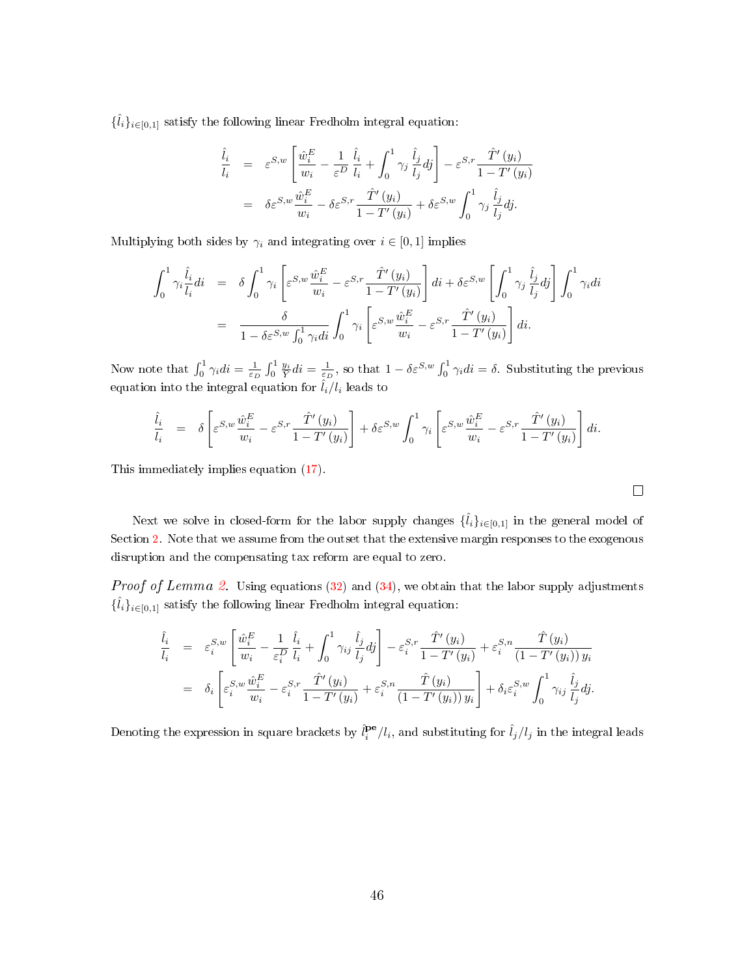${\{\hat{l}_i\}}_{i\in[0,1]}$  satisfy the following linear Fredholm integral equation:

$$
\begin{array}{rcl}\n\hat{l}_i &=& \varepsilon^{S,w} \left[ \frac{\hat{w}_i^E}{w_i} - \frac{1}{\varepsilon^D} \frac{\hat{l}_i}{l_i} + \int_0^1 \gamma_j \frac{\hat{l}_j}{l_j} dj \right] - \varepsilon^{S,r} \frac{\hat{T}'}{1 - T'}(y_i) \\
&=& \delta \varepsilon^{S,w} \frac{\hat{w}_i^E}{w_i} - \delta \varepsilon^{S,r} \frac{\hat{T}'}{1 - T'}(y_i) + \delta \varepsilon^{S,w} \int_0^1 \gamma_j \frac{\hat{l}_j}{l_j} dj.\n\end{array}
$$

Multiplying both sides by  $\gamma_i$  and integrating over  $i \in [0, 1]$  implies

$$
\int_0^1 \gamma_i \frac{\hat{l}_i}{l_i} di = \delta \int_0^1 \gamma_i \left[ \varepsilon^{S,w} \frac{\hat{w}_i^E}{w_i} - \varepsilon^{S,r} \frac{\hat{T}'(y_i)}{1 - T'(y_i)} \right] di + \delta \varepsilon^{S,w} \left[ \int_0^1 \gamma_j \frac{\hat{l}_j}{l_j} dj \right] \int_0^1 \gamma_i di
$$

$$
= \frac{\delta}{1 - \delta \varepsilon^{S,w} \int_0^1 \gamma_i di} \int_0^1 \gamma_i \left[ \varepsilon^{S,w} \frac{\hat{w}_i^E}{w_i} - \varepsilon^{S,r} \frac{\hat{T}'(y_i)}{1 - T'(y_i)} \right] di.
$$

Now note that  $\int_0^1 \gamma_i di = \frac{1}{\varepsilon_D} \int_0^1 \frac{y_i}{\bar{Y}} di = \frac{1}{\varepsilon_D}$ , so that  $1 - \delta \varepsilon^{S,w} \int_0^1 \gamma_i di = \delta$ . Substituting the previous equation into the integral equation for  $\hat{l}_i/l_i$  leads to

$$
\frac{\hat{l}_i}{l_i} = \delta \left[ \varepsilon^{S,w} \frac{\hat{w}_i^E}{w_i} - \varepsilon^{S,r} \frac{\hat{T}'(y_i)}{1 - T'(y_i)} \right] + \delta \varepsilon^{S,w} \int_0^1 \gamma_i \left[ \varepsilon^{S,w} \frac{\hat{w}_i^E}{w_i} - \varepsilon^{S,r} \frac{\hat{T}'(y_i)}{1 - T'(y_i)} \right] di.
$$

This immediately implies equation [\(17\)](#page-15-1).

Next we solve in closed-form for the labor supply changes  $\{\hat{l}_i\}_{i\in[0,1]}$  in the general model of Section [2.](#page-23-0) Note that we assume from the outset that the extensive margin responses to the exogenous disruption and the compensating tax reform are equal to zero.

*Proof of Lemma [2.](#page-29-0)* Using equations [\(32\)](#page-28-1) and [\(34\)](#page-28-0), we obtain that the labor supply adjustments  ${\{\hat{l}_i\}}_{i\in[0,1]}$  satisfy the following linear Fredholm integral equation:

$$
\begin{split}\n\hat{l}_i &= \varepsilon_i^{S,w} \left[ \frac{\hat{w}_i^E}{w_i} - \frac{1}{\varepsilon_i^D} \frac{\hat{l}_i}{l_i} + \int_0^1 \gamma_{ij} \frac{\hat{l}_j}{l_j} dj \right] - \varepsilon_i^{S,r} \frac{\hat{T}'(y_i)}{1 - T'(y_i)} + \varepsilon_i^{S,n} \frac{\hat{T}(y_i)}{(1 - T'(y_i)) y_i} \\
&= \delta_i \left[ \varepsilon_i^{S,w} \frac{\hat{w}_i^E}{w_i} - \varepsilon_i^{S,r} \frac{\hat{T}'(y_i)}{1 - T'(y_i)} + \varepsilon_i^{S,n} \frac{\hat{T}(y_i)}{(1 - T'(y_i)) y_i} \right] + \delta_i \varepsilon_i^{S,w} \int_0^1 \gamma_{ij} \frac{\hat{l}_j}{l_j} dj.\n\end{split}
$$

Denoting the expression in square brackets by  $\hat{l}_i^{\text{pe}}/l_i$ , and substituting for  $\hat{l}_j/l_j$  in the integral leads

$$
\Box
$$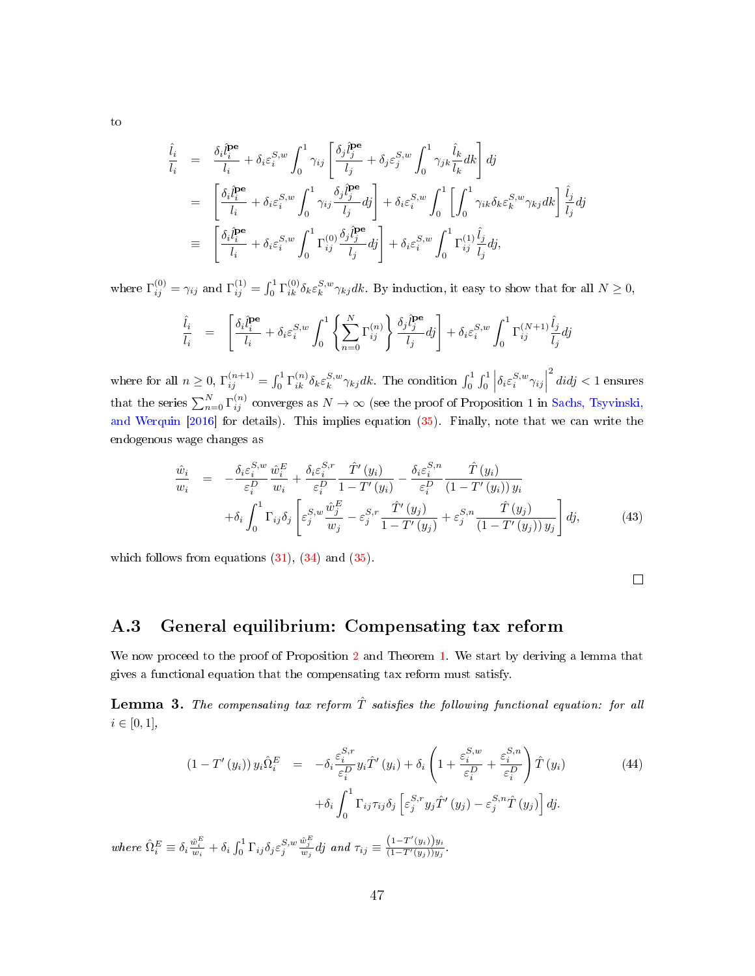$$
\begin{split}\n\hat{i}_{i} &= \frac{\delta_{i}\hat{l}_{i}^{\text{pe}}}{l_{i}} + \delta_{i}\varepsilon_{i}^{S,w} \int_{0}^{1} \gamma_{ij} \left[ \frac{\delta_{j}\hat{l}_{j}^{\text{pe}}}{l_{j}} + \delta_{j}\varepsilon_{j}^{S,w} \int_{0}^{1} \gamma_{jk} \frac{\hat{l}_{k}}{l_{k}} dk \right] dj \\
&= \left[ \frac{\delta_{i}\hat{l}_{i}^{\text{pe}}}{l_{i}} + \delta_{i}\varepsilon_{i}^{S,w} \int_{0}^{1} \gamma_{ij} \frac{\delta_{j}\hat{l}_{j}^{\text{pe}}}{l_{j}} dj \right] + \delta_{i}\varepsilon_{i}^{S,w} \int_{0}^{1} \left[ \int_{0}^{1} \gamma_{ik} \delta_{k}\varepsilon_{k}^{S,w} \gamma_{kj} dk \right] \frac{\hat{l}_{j}}{l_{j}} dj \\
&\equiv \left[ \frac{\delta_{i}\hat{l}_{i}^{\text{pe}}}{l_{i}} + \delta_{i}\varepsilon_{i}^{S,w} \int_{0}^{1} \Gamma_{ij}^{(0)} \frac{\delta_{j}\hat{l}_{j}^{\text{pe}}}{l_{j}} dj \right] + \delta_{i}\varepsilon_{i}^{S,w} \int_{0}^{1} \Gamma_{ij}^{(1)} \frac{\hat{l}_{j}}{l_{j}} dj,\n\end{split}
$$

where  $\Gamma_{ij}^{(0)} = \gamma_{ij}$  and  $\Gamma_{ij}^{(1)} = \int_0^1 \Gamma_{ik}^{(0)} \delta_k \varepsilon_k^{S,w} \gamma_{kj} dk$ . By induction, it easy to show that for all  $N \ge 0$ ,

$$
\frac{\hat{l}_i}{l_i} = \left[ \frac{\delta_i \hat{l}_i^{\mathbf{pe}}}{l_i} + \delta_i \varepsilon_i^{S,w} \int_0^1 \left\{ \sum_{n=0}^N \Gamma_{ij}^{(n)} \right\} \frac{\delta_j \hat{l}_j^{\mathbf{pe}}}{l_j} dj \right] + \delta_i \varepsilon_i^{S,w} \int_0^1 \Gamma_{ij}^{(N+1)} \frac{\hat{l}_j}{l_j} dj
$$

where for all  $n \geq 0$ ,  $\Gamma_{ij}^{(n+1)} = \int_0^1 \Gamma_{ik}^{(n)} \delta_k \varepsilon_k^{S,w} \gamma_{kj} dk$ . The condition  $\int_0^1 \int_0^1 \left| \delta_i \varepsilon_i^{S,w} \gamma_{ij} \right|$  $\overset{2}{d}idj < 1$  ensures that the series  $\sum_{n=0}^{N} \Gamma_{ij}^{(n)}$  converges as  $N \to \infty$  (see the proof of Proposition 1 in [Sachs, Tsyvinski,](#page-38-4) [and Werquin](#page-38-4) [\[2016\]](#page-38-4) for details). This implies equation [\(35\)](#page-29-1). Finally, note that we can write the endogenous wage changes as

<span id="page-47-1"></span>
$$
\frac{\hat{w}_i}{w_i} = -\frac{\delta_i \varepsilon_i^{S,w}}{\varepsilon_i^D} \frac{\hat{w}_i^E}{w_i} + \frac{\delta_i \varepsilon_i^{S,r}}{\varepsilon_i^D} \frac{\hat{T}'(y_i)}{1 - T'(y_i)} - \frac{\delta_i \varepsilon_i^{S,n}}{\varepsilon_i^D} \frac{\hat{T}(y_i)}{(1 - T'(y_i)) y_i} \n+ \delta_i \int_0^1 \Gamma_{ij} \delta_j \left[ \varepsilon_j^{S,w} \frac{\hat{w}_j^E}{w_j} - \varepsilon_j^{S,r} \frac{\hat{T}'(y_j)}{1 - T'(y_j)} + \varepsilon_j^{S,n} \frac{\hat{T}(y_j)}{(1 - T'(y_j)) y_j} \right] dj,
$$
\n(43)

which follows from equations [\(31\)](#page-27-1), [\(34\)](#page-28-0) and [\(35\)](#page-29-1).

 $\Box$ 

### A.3 General equilibrium: Compensating tax reform

We now proceed to the proof of Proposition [2](#page-17-1) and Theorem [1.](#page-30-0) We start by deriving a lemma that gives a functional equation that the compensating tax reform must satisfy.

<span id="page-47-0"></span>**Lemma 3.** The compensating tax reform  $\hat{T}$  satisfies the following functional equation: for all  $i \in [0, 1],$ 

<span id="page-47-2"></span>
$$
(1 - T'(y_i)) y_i \hat{\Omega}_i^E = -\delta_i \frac{\varepsilon_i^{S,r}}{\varepsilon_i^D} y_i \hat{T}'(y_i) + \delta_i \left( 1 + \frac{\varepsilon_i^{S,w}}{\varepsilon_i^D} + \frac{\varepsilon_i^{S,n}}{\varepsilon_i^D} \right) \hat{T}(y_i)
$$
(44)  
+ 
$$
\delta_i \int_0^1 \Gamma_{ij} \tau_{ij} \delta_j \left[ \varepsilon_j^{S,r} y_j \hat{T}'(y_j) - \varepsilon_j^{S,n} \hat{T}(y_j) \right] dj.
$$

where  $\hat{\Omega}_{i}^{E} \equiv \delta_{i} \frac{\hat{w}_{i}^{E}}{w_{i}} + \delta_{i} \int_{0}^{1} \Gamma_{ij} \delta_{j} \varepsilon_{j}^{S,w}$  $\frac{\hat{w}_j^E}{w_j}$ dj and  $\tau_{ij} \equiv \frac{(1-T'(y_i))y_i}{(1-T'(y_j))y_j}$  $\frac{(1-T'(y_i))y_i}{(1-T'(y_j))y_j}.$ 

to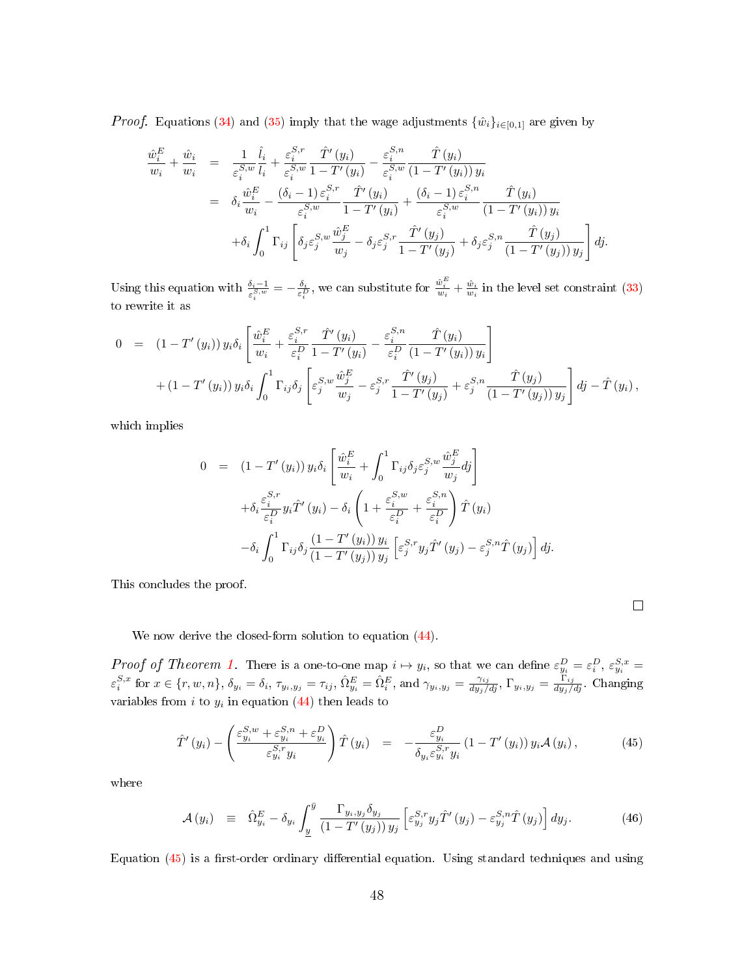*Proof.* Equations [\(34\)](#page-28-0) and [\(35\)](#page-29-1) imply that the wage adjustments  $\{\hat{w}_i\}_{i\in[0,1]}$  are given by

$$
\frac{\hat{w}_{i}^{E}}{w_{i}} + \frac{\hat{w}_{i}}{w_{i}} = \frac{1}{\varepsilon_{i}^{S,w}} \frac{\hat{l}_{i}}{l_{i}} + \frac{\varepsilon_{i}^{S,r}}{\varepsilon_{i}^{S,w}} \frac{\hat{T}'(y_{i})}{1 - T'(y_{i})} - \frac{\varepsilon_{i}^{S,n}}{\varepsilon_{i}^{S,w}} \frac{\hat{T}(y_{i})}{(1 - T'(y_{i})) y_{i}} \n= \delta_{i} \frac{\hat{w}_{i}^{E}}{w_{i}} - \frac{(\delta_{i} - 1) \varepsilon_{i}^{S,r}}{\varepsilon_{i}^{S,w}} \frac{\hat{T}'(y_{i})}{1 - T'(y_{i})} + \frac{(\delta_{i} - 1) \varepsilon_{i}^{S,n}}{\varepsilon_{i}^{S,w}} \frac{\hat{T}(y_{i})}{(1 - T'(y_{i})) y_{i}} \n+ \delta_{i} \int_{0}^{1} \Gamma_{ij} \left[ \delta_{j} \varepsilon_{j}^{S,w} \frac{\hat{w}_{j}^{E}}{w_{j}} - \delta_{j} \varepsilon_{j}^{S,r} \frac{\hat{T}'(y_{j})}{1 - T'(y_{j})} + \delta_{j} \varepsilon_{j}^{S,n} \frac{\hat{T}(y_{j})}{(1 - T'(y_{j})) y_{j}} \right] dy.
$$

Using this equation with  $\frac{\delta_i-1}{\varepsilon_i^{S,w}}=-\frac{\delta_i}{\varepsilon_i^D}$ , we can substitute for  $\frac{\hat{w}_i^E}{w_i}+\frac{\hat{w}_i}{w_i}$  in the level set constraint [\(33\)](#page-28-2) to rewrite it as

$$
0 = (1 - T'(y_i)) y_i \delta_i \left[ \frac{\hat{w}_i^E}{w_i} + \frac{\varepsilon_i^{S,r}}{\varepsilon_i^D} \frac{\hat{T}'(y_i)}{1 - T'(y_i)} - \frac{\varepsilon_i^{S,n}}{\varepsilon_i^D} \frac{\hat{T}(y_i)}{(1 - T'(y_i)) y_i} \right] + (1 - T'(y_i)) y_i \delta_i \int_0^1 \Gamma_{ij} \delta_j \left[ \varepsilon_j^{S,w} \frac{\hat{w}_j^E}{w_j} - \varepsilon_j^{S,r} \frac{\hat{T}'(y_j)}{1 - T'(y_j)} + \varepsilon_j^{S,n} \frac{\hat{T}(y_j)}{(1 - T'(y_j)) y_j} \right] dj - \hat{T}(y_i),
$$

which implies

$$
0 = (1 - T'(y_i)) y_i \delta_i \left[ \frac{\hat{w}_i^E}{w_i} + \int_0^1 \Gamma_{ij} \delta_j \varepsilon_j^{S,w} \frac{\hat{w}_j^E}{w_j} dj \right]
$$
  
+ 
$$
\delta_i \frac{\varepsilon_i^{S,r}}{\varepsilon_i^D} y_i \hat{T}'(y_i) - \delta_i \left( 1 + \frac{\varepsilon_i^{S,w}}{\varepsilon_i^D} + \frac{\varepsilon_i^{S,n}}{\varepsilon_i^D} \right) \hat{T}(y_i)
$$
  
- 
$$
\delta_i \int_0^1 \Gamma_{ij} \delta_j \frac{(1 - T'(y_i)) y_i}{(1 - T'(y_j)) y_j} \left[ \varepsilon_j^{S,r} y_j \hat{T}'(y_j) - \varepsilon_j^{S,n} \hat{T}(y_j) \right] dj.
$$

This concludes the proof.

We now derive the closed-form solution to equation  $(44)$ .

*Proof of Theorem [1.](#page-30-0)* There is a one-to-one map  $i \mapsto y_i$ , so that we can define  $\varepsilon_{y_i}^D = \varepsilon_i^D$ ,  $\varepsilon_{y_i}^{S,x} =$  $\varepsilon_i^{S,x}$  for  $x \in \{r, w, n\}$ ,  $\delta_{y_i} = \delta_i$ ,  $\tau_{y_i, y_j} = \tau_{ij}$ ,  $\hat{\Omega}_{y_i}^E = \hat{\Omega}_i^E$ , and  $\gamma_{y_i, y_j} = \frac{\gamma_{ij}}{dy_j/dj}$ ,  $\Gamma_{y_i, y_j} = \frac{\Gamma_{ij}}{dy_j/dj}$ . Changing variables from  $i$  to  $y_i$  in equation [\(44\)](#page-47-2) then leads to

<span id="page-48-0"></span>
$$
\hat{T}'(y_i) - \left(\frac{\varepsilon_{y_i}^{S,w} + \varepsilon_{y_i}^{S,n} + \varepsilon_{y_i}^D}{\varepsilon_{y_i}^{S,r} y_i}\right) \hat{T}(y_i) = -\frac{\varepsilon_{y_i}^D}{\delta_{y_i} \varepsilon_{y_i}^{S,r} y_i} (1 - T'(y_i)) y_i \mathcal{A}(y_i), \tag{45}
$$

where

$$
\mathcal{A}(y_i) \equiv \hat{\Omega}_{y_i}^E - \delta_{y_i} \int_{\underline{y}}^{\bar{y}} \frac{\Gamma_{y_i, y_j} \delta_{y_j}}{(1 - T'(y_j)) y_j} \left[ \varepsilon_{y_j}^{S,r} y_j \hat{T}'(y_j) - \varepsilon_{y_j}^{S,n} \hat{T}(y_j) \right] dy_j. \tag{46}
$$

Equation  $(45)$  is a first-order ordinary differential equation. Using standard techniques and using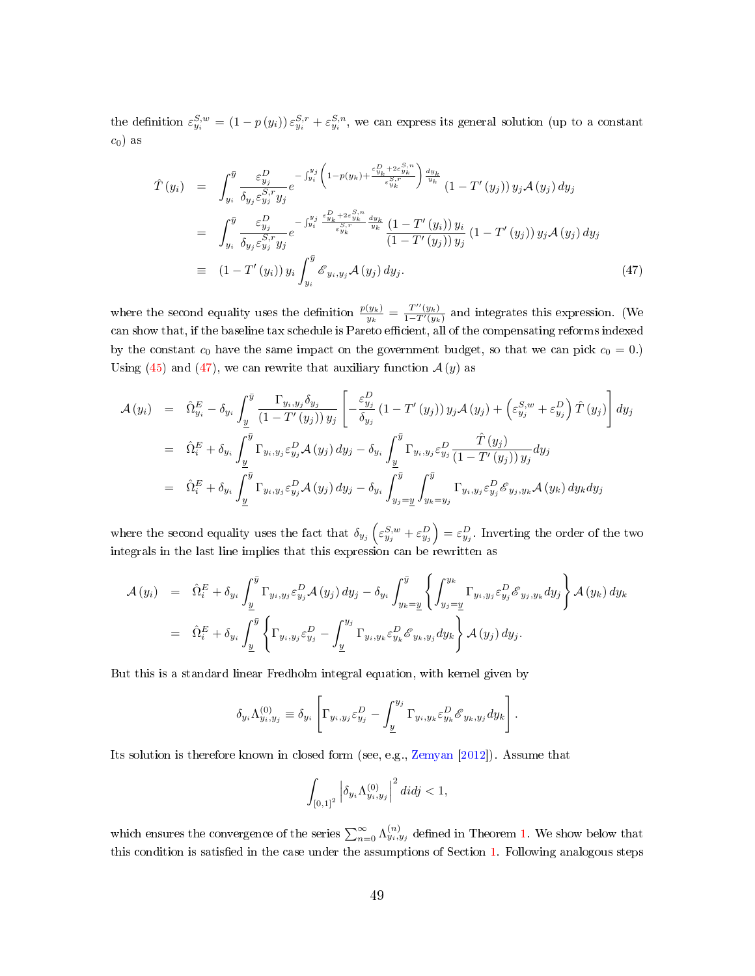the definition  $\varepsilon_{y_i}^{S,w} = (1-p(y_i))\varepsilon_{y_i}^{S,r} + \varepsilon_{y_i}^{S,n}$ , we can express its general solution (up to a constant  $c_0$ ) as

<span id="page-49-0"></span>
$$
\hat{T}(y_i) = \int_{y_i}^{\bar{y}} \frac{\varepsilon_{y_j}^D}{\delta_{y_j} \varepsilon_{y_j}^{S,r} y_j} e^{-\int_{y_i}^{y_j} \left(1 - p(y_k) + \frac{\varepsilon_{y_k}^D + 2\varepsilon_{y_k}^{S,n}}{\varepsilon_{y_k}^{S,r}}\right) \frac{dy_k}{y_k}} (1 - T'(y_j)) y_j \mathcal{A}(y_j) dy_j
$$
\n
$$
= \int_{y_i}^{\bar{y}} \frac{\varepsilon_{y_j}^D}{\delta_{y_j} \varepsilon_{y_j}^{S,r} y_j} e^{-\int_{y_i}^{y_j} \frac{\varepsilon_{y_k}^D + 2\varepsilon_{y_k}^{S,n}}{\varepsilon_{y_k}^{S,r}} \frac{dy_k}{y_k}} \frac{(1 - T'(y_i)) y_i}{(1 - T'(y_j)) y_j} (1 - T'(y_j)) y_j \mathcal{A}(y_j) dy_j
$$
\n
$$
= (1 - T'(y_i)) y_i \int_{y_i}^{\bar{y}} \mathcal{E}_{y_i, y_j} \mathcal{A}(y_j) dy_j.
$$
\n(47)

where the second equality uses the definition  $\frac{p(y_k)}{y_k} = \frac{T''(y_k)}{1-T'(y_k)}$  $\frac{1-(y_k)}{1-T'(y_k)}$  and integrates this expression. (We can show that, if the baseline tax schedule is Pareto efficient, all of the compensating reforms indexed by the constant  $c_0$  have the same impact on the government budget, so that we can pick  $c_0 = 0$ .) Using [\(45\)](#page-48-0) and [\(47\)](#page-49-0), we can rewrite that auxiliary function  $A(y)$  as

$$
\mathcal{A}(y_i) = \hat{\Omega}_{y_i}^E - \delta_{y_i} \int_{\underline{y}}^{\overline{y}} \frac{\Gamma_{y_i, y_j} \delta_{y_j}}{(1 - T'(y_j)) y_j} \left[ -\frac{\varepsilon_{y_j}^D}{\delta_{y_j}} (1 - T'(y_j)) y_j \mathcal{A}(y_j) + \left(\varepsilon_{y_j}^{S,w} + \varepsilon_{y_j}^D\right) \hat{T}(y_j) \right] dy_j
$$
  
\n
$$
= \hat{\Omega}_{i}^E + \delta_{y_i} \int_{\underline{y}}^{\overline{y}} \Gamma_{y_i, y_j} \varepsilon_{y_j}^D \mathcal{A}(y_j) dy_j - \delta_{y_i} \int_{\underline{y}}^{\overline{y}} \Gamma_{y_i, y_j} \varepsilon_{y_j}^D \frac{\hat{T}(y_j)}{(1 - T'(y_j)) y_j} dy_j
$$
  
\n
$$
= \hat{\Omega}_{i}^E + \delta_{y_i} \int_{\underline{y}}^{\overline{y}} \Gamma_{y_i, y_j} \varepsilon_{y_j}^D \mathcal{A}(y_j) dy_j - \delta_{y_i} \int_{y_j = \underline{y}}^{\overline{y}} \int_{y_k = y_j}^{\overline{y}} \Gamma_{y_i, y_j} \varepsilon_{y_j}^D \mathcal{E}_{y_j, y_k} \mathcal{A}(y_k) dy_k dy_j
$$

where the second equality uses the fact that  $\delta_{y_j}\left(\varepsilon_{y_j}^{S,w}+\varepsilon_{y_j}^D\right)=\varepsilon_{y_j}^D.$  Inverting the order of the two integrals in the last line implies that this expression can be rewritten as

$$
\mathcal{A}(y_i) = \hat{\Omega}_i^E + \delta_{y_i} \int_{\underline{y}}^{\overline{y}} \Gamma_{y_i, y_j} \varepsilon_{y_j}^D \mathcal{A}(y_j) dy_j - \delta_{y_i} \int_{y_k = \underline{y}}^{\overline{y}} \left\{ \int_{y_j = \underline{y}}^{y_k} \Gamma_{y_i, y_j} \varepsilon_{y_j}^D \mathcal{E}_{y_j, y_k} dy_j \right\} \mathcal{A}(y_k) dy_k
$$
  
=  $\hat{\Omega}_i^E + \delta_{y_i} \int_{\underline{y}}^{\overline{y}} \left\{ \Gamma_{y_i, y_j} \varepsilon_{y_j}^D - \int_{\underline{y}}^{y_j} \Gamma_{y_i, y_k} \varepsilon_{y_k}^D \mathcal{E}_{y_k, y_j} dy_k \right\} \mathcal{A}(y_j) dy_j.$ 

But this is a standard linear Fredholm integral equation, with kernel given by

$$
\delta_{y_i} \Lambda^{(0)}_{y_i, y_j} \equiv \delta_{y_i} \left[ \Gamma_{y_i, y_j} \varepsilon_{y_j}^D - \int_{\underline{y}}^{y_j} \Gamma_{y_i, y_k} \varepsilon_{y_k}^D \mathscr{E}_{y_k, y_j} dy_k \right].
$$

Its solution is therefore known in closed form (see, e.g., [Zemyan](#page-39-6) [\[2012\]](#page-39-6)). Assume that

$$
\int_{[0,1]^2} \left| \delta_{y_i} \Lambda^{(0)}_{y_i, y_j} \right|^2 dtdj < 1,
$$

which ensures the convergence of the series  $\sum_{n=0}^{\infty} \Lambda_{y_i, y_j}^{(n)}$  defined in Theorem [1.](#page-30-0) We show below that this condition is satisfied in the case under the assumptions of Section [1.](#page-6-0) Following analogous steps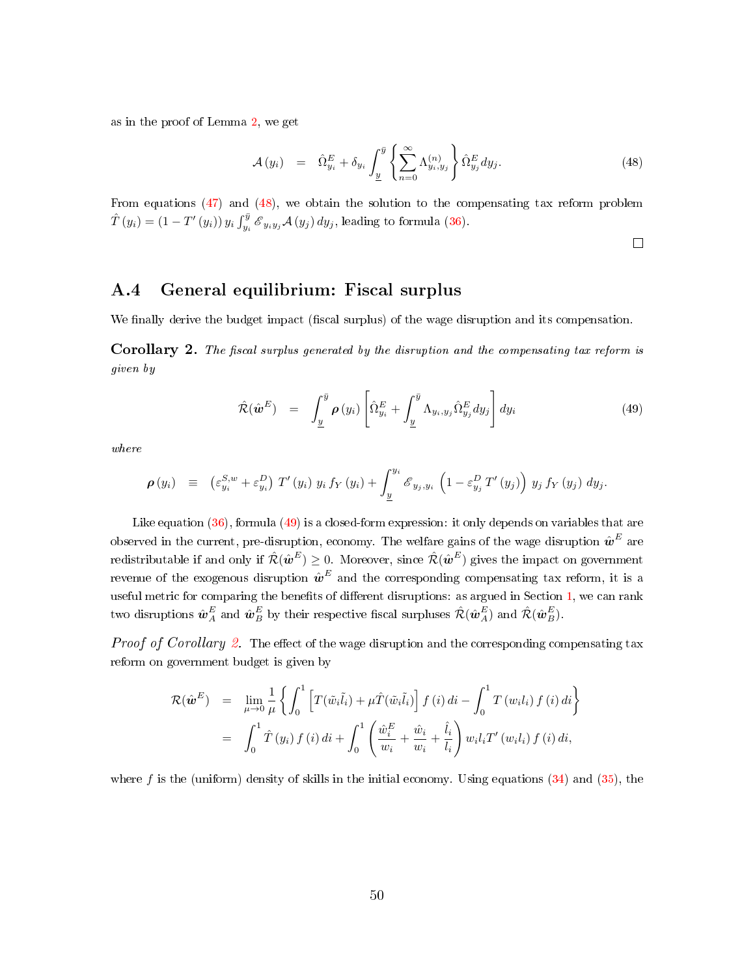as in the proof of Lemma [2,](#page-29-0) we get

<span id="page-50-1"></span>
$$
\mathcal{A}(y_i) = \hat{\Omega}_{y_i}^E + \delta_{y_i} \int_{\underline{y}}^{\overline{y}} \left\{ \sum_{n=0}^{\infty} \Lambda_{y_i, y_j}^{(n)} \right\} \hat{\Omega}_{y_j}^E dy_j.
$$
\n(48)

From equations [\(47\)](#page-49-0) and [\(48\)](#page-50-1), we obtain the solution to the compensating tax reform problem  $\hat{T}(y_i) = (1 - T'(y_i)) y_i \int_{y_i}^{\bar{y}} \mathcal{E}_{y_i y_j} \mathcal{A}(y_j) dy_j$ , leading to formula [\(36\)](#page-31-0).

 $\Box$ 

### A.4 General equilibrium: Fiscal surplus

We finally derive the budget impact (fiscal surplus) of the wage disruption and its compensation.

<span id="page-50-0"></span>**Corollary 2.** The fiscal surplus generated by the disruption and the compensating tax reform is given by

<span id="page-50-2"></span>
$$
\hat{\mathcal{R}}(\hat{\boldsymbol{\omega}}^{E}) = \int_{\underline{y}}^{\bar{y}} \boldsymbol{\rho}(y_i) \left[ \hat{\Omega}_{y_i}^{E} + \int_{\underline{y}}^{\bar{y}} \Lambda_{y_i, y_j} \hat{\Omega}_{y_j}^{E} dy_j \right] dy_i
$$
\n(49)

where

$$
\boldsymbol{\rho}(y_i) \ \equiv \ \left( \varepsilon_{y_i}^{S,w} + \varepsilon_{y_i}^{D} \right) \, T'(y_i) \, y_i \, f_Y(y_i) + \int_{\underline{y}}^{y_i} \mathscr{E}_{y_j, y_i} \, \left( 1 - \varepsilon_{y_j}^{D} \, T'(y_j) \right) \, y_j \, f_Y(y_j) \, dy_j.
$$

Like equation [\(36\)](#page-31-0), formula [\(49\)](#page-50-2) is a closed-form expression: it only depends on variables that are observed in the current, pre-disruption, economy. The welfare gains of the wage disruption  $\hat{\bm{w}}^E$  are redistributable if and only if  $\hat{\cal R}(\hat{\bm w}^E) \ge 0$ . Moreover, since  $\hat{\cal R}(\hat{\bm w}^E)$  gives the impact on government revenue of the exogenous disruption  $\hat{\bm{w}}^E$  and the corresponding compensating tax reform, it is a useful metric for comparing the benefits of different disruptions: as argued in Section [1,](#page-6-0) we can rank two disruptions  $\hat{\bm{w}}_A^E$  and  $\hat{\bm{w}}_B^E$  by their respective fiscal surpluses  $\hat{\mathcal{R}}(\hat{\bm{w}}_A^E)$  and  $\hat{\mathcal{R}}(\hat{\bm{w}}_B^E)$ .

*Proof of Corollary [2.](#page-50-0)* The effect of the wage disruption and the corresponding compensating tax reform on government budget is given by

$$
\mathcal{R}(\hat{\boldsymbol{w}}^{E}) = \lim_{\mu \to 0} \frac{1}{\mu} \left\{ \int_{0}^{1} \left[ T(\tilde{w}_{i}\tilde{l}_{i}) + \mu \hat{T}(\tilde{w}_{i}\tilde{l}_{i}) \right] f(i) di - \int_{0}^{1} T(w_{i}l_{i}) f(i) di \right\}
$$
  

$$
= \int_{0}^{1} \hat{T}(y_{i}) f(i) di + \int_{0}^{1} \left( \frac{\hat{w}_{i}^{E}}{w_{i}} + \frac{\hat{w}_{i}}{w_{i}} + \frac{\hat{l}_{i}}{l_{i}} \right) w_{i} l_{i} T'(w_{i}l_{i}) f(i) di,
$$

where f is the (uniform) density of skills in the initial economy. Using equations  $(34)$  and  $(35)$ , the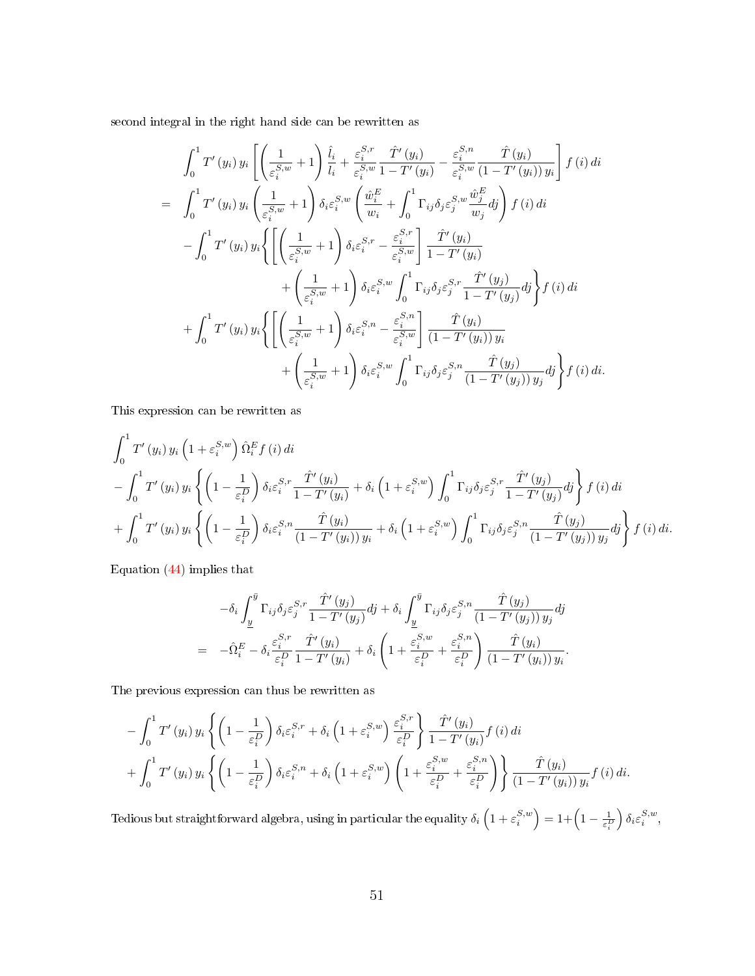second integral in the right hand side can be rewritten as

$$
\int_{0}^{1} T'(y_{i}) y_{i} \left[ \left( \frac{1}{\varepsilon_{i}^{S,w}} + 1 \right) \frac{\hat{l}_{i}}{l_{i}} + \frac{\varepsilon_{i}^{S,r}}{\varepsilon_{i}^{S,w}} \frac{\hat{T}'(y_{i})}{1 - T'(y_{i})} - \frac{\varepsilon_{i}^{S,n}}{\varepsilon_{i}^{S,w}} \frac{\hat{T}(y_{i})}{(1 - T'(y_{i})) y_{i}} \right] f(i) di
$$
  
\n
$$
= \int_{0}^{1} T'(y_{i}) y_{i} \left( \frac{1}{\varepsilon_{i}^{S,w}} + 1 \right) \delta_{i} \varepsilon_{i}^{S,w} \left( \frac{\hat{w}_{i}^{E}}{w_{i}} + \int_{0}^{1} \Gamma_{ij} \delta_{j} \varepsilon_{j}^{S,w} \frac{\hat{w}_{j}^{E}}{w_{j}} dy \right) f(i) di
$$
  
\n
$$
- \int_{0}^{1} T'(y_{i}) y_{i} \left\{ \left[ \left( \frac{1}{\varepsilon_{i}^{S,w}} + 1 \right) \delta_{i} \varepsilon_{i}^{S,r} - \frac{\varepsilon_{i}^{S,r}}{\varepsilon_{i}^{S,w}} \right] \frac{\hat{T}'(y_{i})}{1 - T'(y_{i})} + \left( \frac{1}{\varepsilon_{i}^{S,w}} + 1 \right) \delta_{i} \varepsilon_{i}^{S,w} \int_{0}^{1} \Gamma_{ij} \delta_{j} \varepsilon_{j}^{S,r} \frac{\hat{T}'(y_{j})}{1 - T'(y_{j})} dj \right\} f(i) di
$$
  
\n
$$
+ \int_{0}^{1} T'(y_{i}) y_{i} \left\{ \left[ \left( \frac{1}{\varepsilon_{i}^{S,w}} + 1 \right) \delta_{i} \varepsilon_{i}^{S,n} - \frac{\varepsilon_{i}^{S,n}}{\varepsilon_{i}^{S,w}} \right] \frac{\hat{T}(y_{i})}{(1 - T'(y_{i})) y_{i}} + \left( \frac{1}{\varepsilon_{i}^{S,w}} + 1 \right) \delta_{i} \varepsilon_{i}^{S,w} \int_{0}^{1} \Gamma_{ij} \delta_{j} \varepsilon_{j}^{S,n} \frac{\hat{T}(y_{j})}{(1 - T'(y_{j})) y
$$

This expression can be rewritten as

$$
\int_{0}^{1} T'(y_i) y_i \left(1 + \varepsilon_i^{S,w} \right) \hat{\Omega}_i^E f(i) \, di
$$
\n
$$
- \int_{0}^{1} T'(y_i) y_i \left\{ \left(1 - \frac{1}{\varepsilon_i^D} \right) \delta_i \varepsilon_i^{S,r} \frac{\hat{T}'(y_i)}{1 - T'(y_i)} + \delta_i \left(1 + \varepsilon_i^{S,w} \right) \int_{0}^{1} \Gamma_{ij} \delta_j \varepsilon_j^{S,r} \frac{\hat{T}'(y_j)}{1 - T'(y_j)} dy \right\} f(i) \, di
$$
\n
$$
+ \int_{0}^{1} T'(y_i) y_i \left\{ \left(1 - \frac{1}{\varepsilon_i^D} \right) \delta_i \varepsilon_i^{S,n} \frac{\hat{T}(y_i)}{(1 - T'(y_i)) y_i} + \delta_i \left(1 + \varepsilon_i^{S,w} \right) \int_{0}^{1} \Gamma_{ij} \delta_j \varepsilon_j^{S,n} \frac{\hat{T}(y_j)}{(1 - T'(y_j)) y_j} dy \right\} f(i) \, di.
$$

Equation [\(44\)](#page-47-2) implies that

$$
-\delta_i \int_{\underline{y}}^{\overline{y}} \Gamma_{ij} \delta_j \varepsilon_j^{S,r} \frac{\hat{T}'(y_j)}{1 - T'(y_j)} dj + \delta_i \int_{\underline{y}}^{\overline{y}} \Gamma_{ij} \delta_j \varepsilon_j^{S,n} \frac{\hat{T}(y_j)}{(1 - T'(y_j)) y_j} dj
$$
  

$$
= -\hat{\Omega}_i^E - \delta_i \frac{\varepsilon_i^{S,r}}{\varepsilon_i^D} \frac{\hat{T}'(y_i)}{1 - T'(y_i)} + \delta_i \left(1 + \frac{\varepsilon_i^{S,w}}{\varepsilon_i^D} + \frac{\varepsilon_i^{S,n}}{\varepsilon_i^D}\right) \frac{\hat{T}(y_i)}{(1 - T'(y_i)) y_i}.
$$

The previous expression can thus be rewritten as

$$
-\int_0^1 T'(y_i) y_i \left\{ \left(1 - \frac{1}{\varepsilon_i^D}\right) \delta_i \varepsilon_i^{S,r} + \delta_i \left(1 + \varepsilon_i^{S,w}\right) \frac{\varepsilon_i^{S,r}}{\varepsilon_i^D} \right\} \frac{\hat{T}'(y_i)}{1 - T'(y_i)} f(i) di + \int_0^1 T'(y_i) y_i \left\{ \left(1 - \frac{1}{\varepsilon_i^D}\right) \delta_i \varepsilon_i^{S,n} + \delta_i \left(1 + \varepsilon_i^{S,w}\right) \left(1 + \frac{\varepsilon_i^{S,w}}{\varepsilon_i^D} + \frac{\varepsilon_i^{S,n}}{\varepsilon_i^D}\right) \right\} \frac{\hat{T}(y_i)}{(1 - T'(y_i)) y_i} f(i) di.
$$

Tedious but straightforward algebra, using in particular the equality  $\delta_i\left(1+\varepsilon_i^{S,w}\right)=1+\left(1-\frac{1}{\varepsilon_i^D}\right)$  $\Big) \delta_i \varepsilon_i^{S,w},$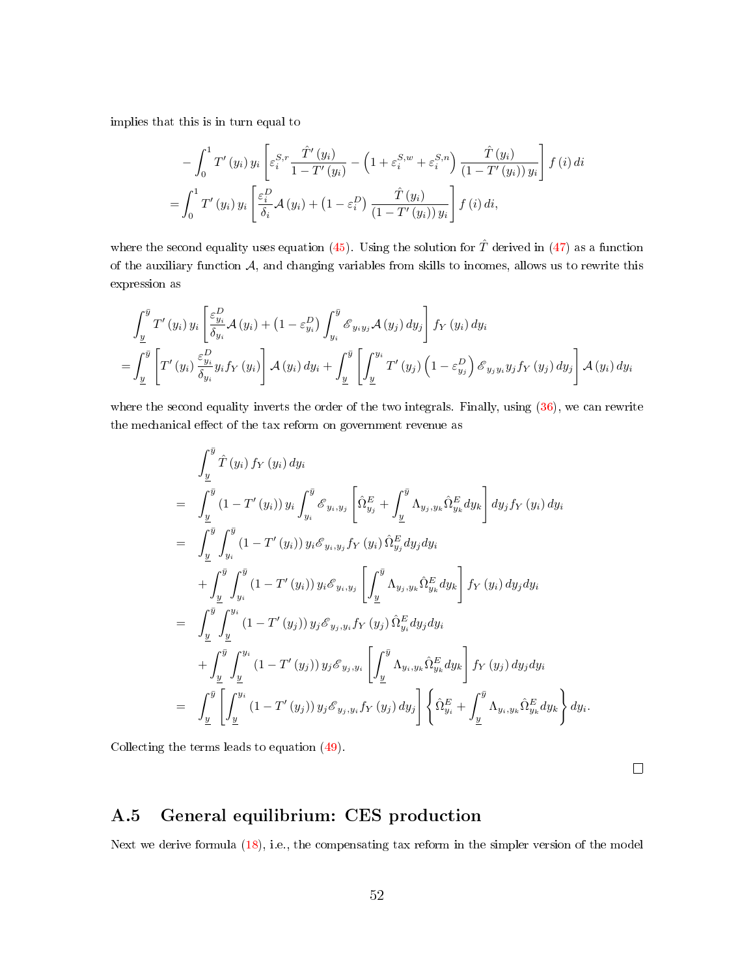implies that this is in turn equal to

$$
-\int_0^1 T'(y_i) y_i \left[ \varepsilon_i^{S,r} \frac{\hat{T}'(y_i)}{1 - T'(y_i)} - \left( 1 + \varepsilon_i^{S,w} + \varepsilon_i^{S,n} \right) \frac{\hat{T}(y_i)}{(1 - T'(y_i)) y_i} \right] f(i) di
$$
  

$$
= \int_0^1 T'(y_i) y_i \left[ \frac{\varepsilon_i^D}{\delta_i} \mathcal{A}(y_i) + \left( 1 - \varepsilon_i^D \right) \frac{\hat{T}(y_i)}{(1 - T'(y_i)) y_i} \right] f(i) di,
$$

where the second equality uses equation [\(45\)](#page-48-0). Using the solution for  $\hat{T}$  derived in [\(47\)](#page-49-0) as a function of the auxiliary function  $A$ , and changing variables from skills to incomes, allows us to rewrite this expression as

$$
\int_{\underline{y}}^{\overline{y}} T'(y_i) y_i \left[ \frac{\varepsilon_{y_i}^D}{\delta_{y_i}} \mathcal{A}(y_i) + (1 - \varepsilon_{y_i}^D) \int_{y_i}^{\overline{y}} \mathcal{E}_{y_i y_j} \mathcal{A}(y_j) dy_j \right] f_Y(y_i) dy_i
$$
\n
$$
= \int_{\underline{y}}^{\overline{y}} \left[ T'(y_i) \frac{\varepsilon_{y_i}^D}{\delta_{y_i}} y_i f_Y(y_i) \right] \mathcal{A}(y_i) dy_i + \int_{\underline{y}}^{\overline{y}} \left[ \int_{\underline{y}}^{y_i} T'(y_j) \left( 1 - \varepsilon_{y_j}^D \right) \mathcal{E}_{y_j y_i} y_j f_Y(y_j) dy_j \right] \mathcal{A}(y_i) dy_i
$$

where the second equality inverts the order of the two integrals. Finally, using  $(36)$ , we can rewrite the mechanical effect of the tax reform on government revenue as

$$
\int_{\frac{y}{2}}^{\bar{y}} \hat{T}(y_i) f_Y(y_i) dy_i
$$
\n
$$
= \int_{\frac{y}{2}}^{\bar{y}} (1 - T'(y_i)) y_i \int_{y_i}^{\bar{y}} \mathcal{E}_{y_i, y_j} \left[ \hat{\Omega}_{y_j}^{E} + \int_{\frac{y}{2}}^{\bar{y}} \Lambda_{y_j, y_k} \hat{\Omega}_{y_k}^{E} dy_k \right] dy_j f_Y(y_i) dy_i
$$
\n
$$
= \int_{\frac{y}{2}}^{\bar{y}} \int_{y_i}^{\bar{y}} (1 - T'(y_i)) y_i \mathcal{E}_{y_i, y_j} f_Y(y_i) \hat{\Omega}_{y_j}^{E} dy_j dy_i
$$
\n
$$
+ \int_{\frac{y}{2}}^{\bar{y}} \int_{y_i}^{\bar{y}} (1 - T'(y_i)) y_i \mathcal{E}_{y_i, y_j} \left[ \int_{\frac{y}{2}}^{\bar{y}} \Lambda_{y_j, y_k} \hat{\Omega}_{y_k}^{E} dy_k \right] f_Y(y_i) dy_j dy_i
$$
\n
$$
= \int_{\frac{y}{2}}^{\bar{y}} \int_{\frac{y}{2}}^{y_i} (1 - T'(y_j)) y_j \mathcal{E}_{y_j, y_i} f_Y(y_j) \hat{\Omega}_{y_i}^{E} dy_j dy_i
$$
\n
$$
+ \int_{\frac{y}{2}}^{\bar{y}} \int_{\frac{y}{2}}^{y_i} (1 - T'(y_j)) y_j \mathcal{E}_{y_j, y_i} \left[ \int_{\frac{y}{2}}^{\bar{y}} \Lambda_{y_i, y_k} \hat{\Omega}_{y_k}^{E} dy_k \right] f_Y(y_j) dy_j dy_i
$$
\n
$$
= \int_{\frac{y}{2}}^{\bar{y}} \left[ \int_{\frac{y}{2}}^{y_i} (1 - T'(y_j)) y_j \mathcal{E}_{y_j, y_i} f_Y(y_j) dy_j \right] \left\{ \hat{\Omega}_{y_i}^{E} + \int_{\frac{y}{2}}^{\bar{y}} \Lambda_{y_i, y_k} \hat{\Omega}_{y_k}^{E} dy_k \right\} dy_i.
$$

Collecting the terms leads to equation [\(49\)](#page-50-2).

 $\Box$ 

### A.5 General equilibrium: CES production

Next we derive formula  $(18)$ , i.e., the compensating tax reform in the simpler version of the model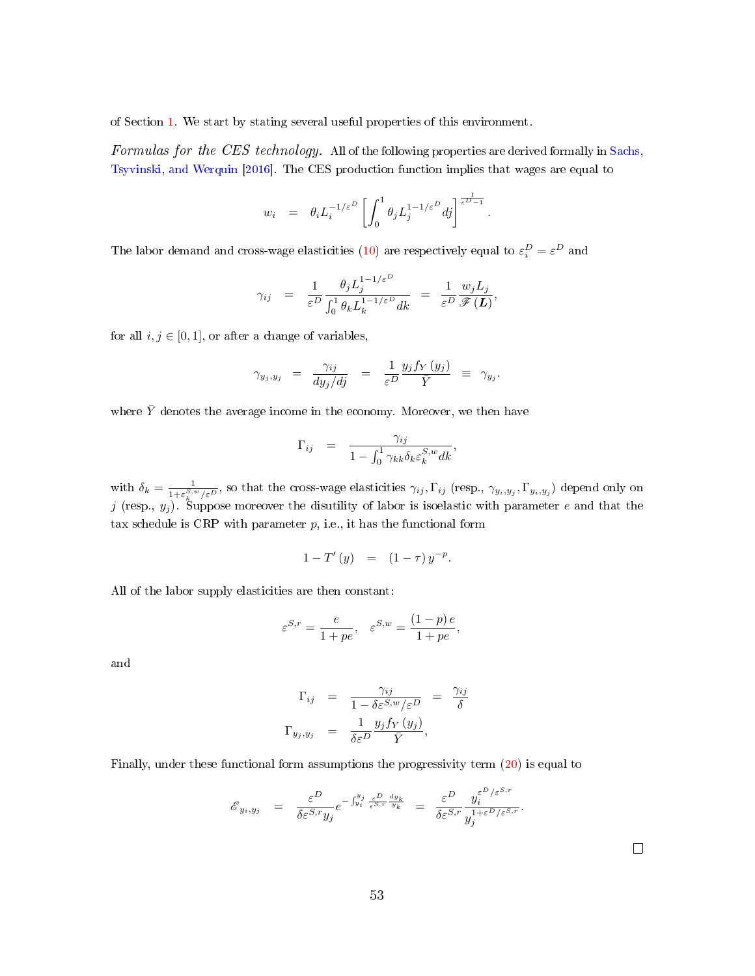of Section [1.](#page-6-0) We start by stating several useful properties of this environment.

Formulas for the CES technology. All of the following properties are derived formally in [Sachs,](#page-38-4) [Tsyvinski, and Werquin](#page-38-4) [\[2016\]](#page-38-4). The CES production function implies that wages are equal to

$$
w_i = \theta_i L_i^{-1/\varepsilon^D} \left[ \int_0^1 \theta_j L_j^{1-1/\varepsilon^D} dj \right]^{\frac{1}{\varepsilon^D - 1}}.
$$

The labor demand and cross-wage elasticities [\(10\)](#page-11-1) are respectively equal to  $\varepsilon_i^D = \varepsilon^D$  and

$$
\gamma_{ij} = \frac{1}{\varepsilon^D} \frac{\theta_j L_j^{1-1/\varepsilon^D}}{\int_0^1 \theta_k L_k^{1-1/\varepsilon^D} dk} = \frac{1}{\varepsilon^D} \frac{w_j L_j}{\mathscr{F}(\boldsymbol{L})},
$$

for all  $i, j \in [0, 1]$ , or after a change of variables,

$$
\gamma_{y_j,y_j} = \frac{\gamma_{ij}}{dy_j/dj} = \frac{1}{\varepsilon^D} \frac{y_j f_Y(y_j)}{\bar{Y}} \equiv \gamma_{y_j}.
$$

where  $\bar{Y}$  denotes the average income in the economy. Moreover, we then have

$$
\Gamma_{ij} = \frac{\gamma_{ij}}{1 - \int_0^1 \gamma_{kk} \delta_k \varepsilon_k^{S,w} dk},
$$

with  $\delta_k = \frac{1}{1+\epsilon^{S,i}}$  $\frac{1}{1+\varepsilon_k^{S,w}/\varepsilon^D}$ , so that the cross-wage elasticities  $\gamma_{ij}$ ,  $\Gamma_{ij}$  (resp.,  $\gamma_{y_i,y_j}$ ,  $\Gamma_{y_i,y_j}$ ) depend only on  $j$  (resp.,  $y_j$ ). Suppose moreover the disutility of labor is isoelastic with parameter  $e$  and that the tax schedule is CRP with parameter  $p$ , i.e., it has the functional form

$$
1 - T'(y) = (1 - \tau) y^{-p}.
$$

All of the labor supply elasticities are then constant:

$$
\varepsilon^{S,r} = \frac{e}{1 + pe}, \quad \varepsilon^{S,w} = \frac{(1 - p)e}{1 + pe},
$$

and

$$
\Gamma_{ij} = \frac{\gamma_{ij}}{1 - \delta \varepsilon^{S,w}/\varepsilon^D} = \frac{\gamma_{ij}}{\delta}
$$
  

$$
\Gamma_{y_j, y_j} = \frac{1}{\delta \varepsilon^D} \frac{y_j f_Y(y_j)}{\bar{Y}},
$$

Finally, under these functional form assumptions the progressivity term [\(20\)](#page-17-3) is equal to

$$
\mathcal{E}_{y_i, y_j} = \frac{\varepsilon^D}{\delta \varepsilon^{S,r} y_j} e^{-\int_{y_i}^{y_j} \frac{\varepsilon^D}{\varepsilon^{S,r}} \frac{dy_k}{y_k}} = \frac{\varepsilon^D}{\delta \varepsilon^{S,r}} \frac{y_i^{\varepsilon^{D/\varepsilon^{S,r}}}}{y_j^{1+\varepsilon^{D/\varepsilon^{S,r}}}}.
$$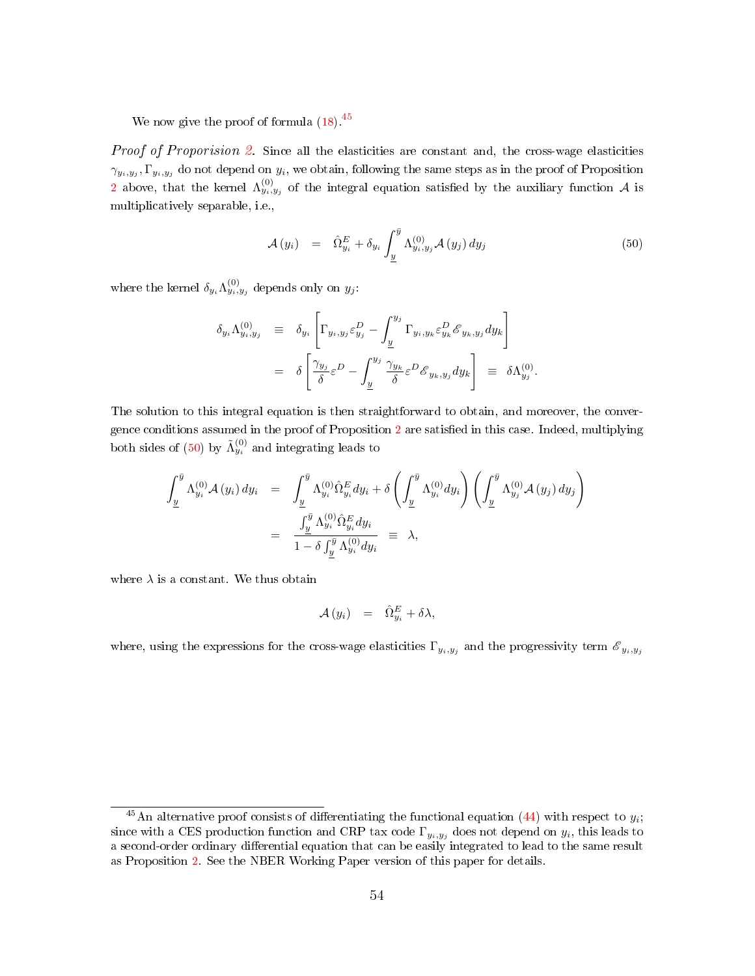We now give the proof of formula  $(18)$ .<sup>[45](#page-0-0)</sup>

*Proof of Proporision [2.](#page-17-1)* Since all the elasticities are constant and, the cross-wage elasticities  $\gamma_{y_i,y_j}, \Gamma_{y_i,y_j}$  do not depend on  $y_i$ , we obtain, following the same steps as in the proof of Proposition [2](#page-17-1) above, that the kernel  $\Lambda_{y_i,y_j}^{(0)}$  of the integral equation satisfied by the auxiliary function  $\mathcal A$  is multiplicatively separable, i.e.,

<span id="page-54-0"></span>
$$
\mathcal{A}(y_i) = \hat{\Omega}_{y_i}^E + \delta_{y_i} \int_{\underline{y}}^{\overline{y}} \Lambda_{y_i, y_j}^{(0)} \mathcal{A}(y_j) dy_j \tag{50}
$$

where the kernel  $\delta_{y_i} \Lambda^{(0)}_{y_i, y_j}$  depends only on  $y_j$ :

$$
\delta_{y_i} \Lambda_{y_i, y_j}^{(0)} \equiv \delta_{y_i} \left[ \Gamma_{y_i, y_j} \varepsilon_{y_j}^D - \int_{\underline{y}}^{y_j} \Gamma_{y_i, y_k} \varepsilon_{y_k}^D \mathscr{E}_{y_k, y_j} dy_k \right]
$$
  

$$
= \delta \left[ \frac{\gamma_{y_j}}{\delta} \varepsilon^D - \int_{\underline{y}}^{y_j} \frac{\gamma_{y_k}}{\delta} \varepsilon^D \mathscr{E}_{y_k, y_j} dy_k \right] \equiv \delta \Lambda_{y_j}^{(0)}.
$$

The solution to this integral equation is then straightforward to obtain, and moreover, the conver-gence conditions assumed in the proof of Proposition [2](#page-17-1) are satisfied in this case. Indeed, multiplying both sides of [\(50\)](#page-54-0) by  $\tilde{\Lambda}_{y_i}^{(0)}$  and integrating leads to

$$
\int_{\underline{y}}^{\overline{y}} \Lambda_{y_i}^{(0)} \mathcal{A}(y_i) dy_i = \int_{\underline{y}}^{\overline{y}} \Lambda_{y_i}^{(0)} \hat{\Omega}_{y_i}^E dy_i + \delta \left( \int_{\underline{y}}^{\overline{y}} \Lambda_{y_i}^{(0)} dy_i \right) \left( \int_{\underline{y}}^{\overline{y}} \Lambda_{y_j}^{(0)} \mathcal{A}(y_j) dy_j \right)
$$
  

$$
= \frac{\int_{\underline{y}}^{\overline{y}} \Lambda_{y_i}^{(0)} \hat{\Omega}_{y_i}^E dy_i}{1 - \delta \int_{\overline{y}}^{\overline{y}} \Lambda_{y_i}^{(0)} dy_i} \equiv \lambda,
$$

where  $\lambda$  is a constant. We thus obtain

$$
\mathcal{A} (y_i) = \hat{\Omega}_{y_i}^E + \delta \lambda,
$$

where, using the expressions for the cross-wage elasticities  $\Gamma_{y_i,y_j}$  and the progressivity term  ${\mathscr E}_{y_i,y_j}$ 

<sup>&</sup>lt;sup>45</sup>An alternative proof consists of differentiating the functional equation [\(44\)](#page-47-2) with respect to  $y_i$ ; since with a CES production function and CRP tax code  $\Gamma_{y_i,y_j}$  does not depend on  $y_i$ , this leads to a second-order ordinary differential equation that can be easily integrated to lead to the same result as Proposition [2.](#page-17-1) See the NBER Working Paper version of this paper for details.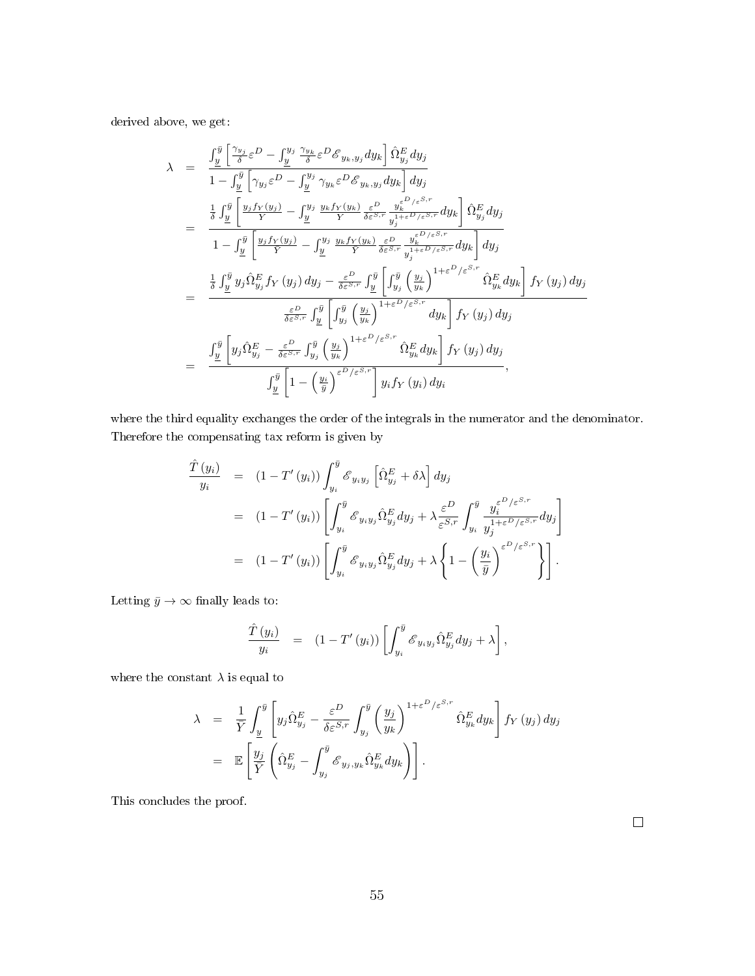derived above, we get:

$$
\lambda = \frac{\int_{y}^{\bar{y}} \left[ \frac{\gamma_{y}}{\delta} \varepsilon^{D} - \int_{\underline{y}}^{y_{j}} \frac{\gamma_{y_{k}} \varepsilon^{D} \mathcal{E}_{y_{k}, y_{j}} dy_{k} \right] \hat{\Omega}_{y_{j}}^{E} dy_{j}}{1 - \int_{\underline{y}}^{\bar{y}} \left[ \gamma_{y_{j}} \varepsilon^{D} - \int_{\underline{y}}^{y_{j}} \gamma_{y_{k}} \varepsilon^{D} \mathcal{E}_{y_{k}, y_{j}} dy_{k} \right] dy_{j}}
$$
\n
$$
= \frac{\frac{1}{\delta} \int_{\underline{y}}^{\bar{y}} \left[ \frac{y_{j} f_{Y}(y_{j})}{Y} - \int_{\underline{y}}^{y_{j}} \frac{y_{k} f_{Y}(y_{k})}{Y} \frac{\varepsilon^{D}}{\delta \varepsilon^{S,r}} \frac{y_{k}^{\varepsilon^{D}/\varepsilon^{S,r}}}{y_{j}^{1+\varepsilon^{D}/\varepsilon^{S,r}}} dy_{k} \right] \hat{\Omega}_{y_{j}}^{E} dy_{j}}{1 - \int_{\underline{y}}^{\bar{y}} \left[ \frac{y_{j} f_{Y}(y_{j})}{Y} - \int_{\underline{y}}^{y_{j}} \frac{y_{k} f_{Y}(y_{k})}{Y} \frac{\varepsilon^{D}}{\delta \varepsilon^{S,r}} \frac{y_{k}^{\varepsilon^{D}/\varepsilon^{S,r}}}{y_{j}^{1+\varepsilon^{D}/\varepsilon^{S,r}}} dy_{k} \right] dy_{j}}
$$
\n
$$
= \frac{\frac{1}{\delta} \int_{\underline{y}}^{\bar{y}} y_{j} \hat{\Omega}_{y_{j}}^{E} f_{Y}(y_{j}) dy_{j} - \frac{\varepsilon^{D}}{\delta \varepsilon^{S,r}} \int_{\underline{y}}^{\bar{y}} \left[ \int_{y_{j}}^{\bar{y}} \left( \frac{y_{j}}{y_{k}} \right)^{1+\varepsilon^{D}/\varepsilon^{S,r}} dy_{k} \right] f_{Y}(y_{j}) dy_{j}}{\frac{\varepsilon^{D}}{\delta \varepsilon^{S,r}} \int_{\underline{y}}^{\bar{y}} \left[ \int_{y_{j}}^{\bar{y}} \left( \frac{y_{j}}{y_{k}} \right)^{1+\varepsilon^{D}/\varepsilon^{S,r}} dy
$$

where the third equality exchanges the order of the integrals in the numerator and the denominator. Therefore the compensating tax reform is given by

$$
\frac{\hat{T}(y_i)}{y_i} = (1 - T'(y_i)) \int_{y_i}^{\bar{y}} \mathcal{E}_{y_i y_j} \left[ \hat{\Omega}_{y_j}^E + \delta \lambda \right] dy_j
$$
\n
$$
= (1 - T'(y_i)) \left[ \int_{y_i}^{\bar{y}} \mathcal{E}_{y_i y_j} \hat{\Omega}_{y_j}^E dy_j + \lambda \frac{\varepsilon^D}{\varepsilon^{S,r}} \int_{y_i}^{\bar{y}} \frac{y_i^{\varepsilon^{D}/\varepsilon^{S,r}}}{y_j^{1+\varepsilon^{D}/\varepsilon^{S,r}}} dy_j \right]
$$
\n
$$
= (1 - T'(y_i)) \left[ \int_{y_i}^{\bar{y}} \mathcal{E}_{y_i y_j} \hat{\Omega}_{y_j}^E dy_j + \lambda \left\{ 1 - \left( \frac{y_i}{\bar{y}} \right)^{\varepsilon^{D}/\varepsilon^{S,r}} \right\} \right].
$$

Letting  $\bar{y} \to \infty$  finally leads to:

$$
\frac{\hat{T}(y_i)}{y_i} = (1 - T'(y_i)) \left[ \int_{y_i}^{\bar{y}} \mathcal{E}_{y_i y_j} \hat{\Omega}_{y_j}^E dy_j + \lambda \right],
$$

where the constant  $\lambda$  is equal to

$$
\lambda = \frac{1}{\overline{Y}} \int_{\underline{y}}^{\overline{y}} \left[ y_j \hat{\Omega}_{y_j}^E - \frac{\varepsilon^D}{\delta \varepsilon^{S,r}} \int_{y_j}^{\overline{y}} \left( \frac{y_j}{y_k} \right)^{1+\varepsilon^D/\varepsilon^{S,r}} \hat{\Omega}_{y_k}^E dy_k \right] f_Y(y_j) dy_j
$$
  
\n
$$
= \mathbb{E} \left[ \frac{y_j}{\overline{Y}} \left( \hat{\Omega}_{y_j}^E - \int_{y_j}^{\overline{y}} \mathcal{E}_{y_j, y_k} \hat{\Omega}_{y_k}^E dy_k \right) \right].
$$

This concludes the proof.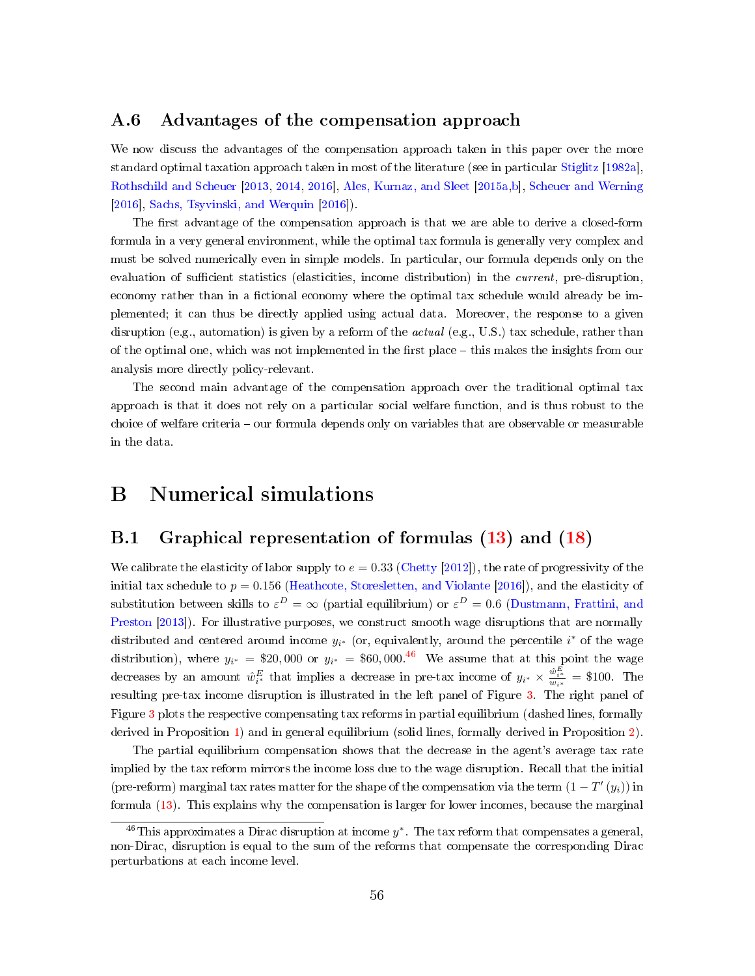#### <span id="page-56-0"></span>A.6 Advantages of the compensation approach

We now discuss the advantages of the compensation approach taken in this paper over the more standard optimal taxation approach taken in most of the literature (see in particular [Stiglitz](#page-39-0) [\[1982a\]](#page-39-0), [Rothschild and Scheuer](#page-38-1) [\[2013,](#page-38-1) [2014,](#page-38-2) [2016\]](#page-38-3), [Ales, Kurnaz, and Sleet](#page-36-3) [\[2015a](#page-36-3)[,b\]](#page-36-4), [Scheuer and Werning](#page-39-1) [\[2016\]](#page-39-1), [Sachs, Tsyvinski, and Werquin](#page-38-4) [\[2016\]](#page-38-4)).

The first advantage of the compensation approach is that we are able to derive a closed-form formula in a very general environment, while the optimal tax formula is generally very complex and must be solved numerically even in simple models. In particular, our formula depends only on the evaluation of sufficient statistics (elasticities, income distribution) in the *current*, pre-disruption, economy rather than in a fictional economy where the optimal tax schedule would already be implemented; it can thus be directly applied using actual data. Moreover, the response to a given disruption (e.g., automation) is given by a reform of the *actual* (e.g., U.S.) tax schedule, rather than of the optimal one, which was not implemented in the first place - this makes the insights from our analysis more directly policy-relevant.

The second main advantage of the compensation approach over the traditional optimal tax approach is that it does not rely on a particular social welfare function, and is thus robust to the choice of welfare criteria – our formula depends only on variables that are observable or measurable in the data.

### B Numerical simulations

### <span id="page-56-1"></span>B.1 Graphical representation of formulas [\(13\)](#page-13-2) and [\(18\)](#page-17-0)

We calibrate the elasticity of labor supply to  $e = 0.33$  [\(Chetty](#page-36-10) [\[2012\]](#page-36-10)), the rate of progressivity of the initial tax schedule to  $p = 0.156$  [\(Heathcote, Storesletten, and Violante](#page-37-10) [\[2016\]](#page-37-10)), and the elasticity of substitution between skills to  $\varepsilon^D = \infty$  (partial equilibrium) or  $\varepsilon^D = 0.6$  [\(Dustmann, Frattini, and](#page-37-11) [Preston](#page-37-11) [\[2013\]](#page-37-11)). For illustrative purposes, we construct smooth wage disruptions that are normally distributed and centered around income  $y_{i^*}$  (or, equivalently, around the percentile  $i^*$  of the wage distribution), where  $y_{i^*} = $20,000$  or  $y_{i^*} = $60,000$ .<sup>[46](#page-0-0)</sup> We assume that at this point the wage decreases by an amount  $\hat{w}_{i^*}^E$  that implies a decrease in pre-tax income of  $y_{i^*} \times \frac{\hat{w}_{i^*}^E}{w_{i^*}} = \$100$ . The resulting pre-tax income disruption is illustrated in the left panel of Figure [3.](#page-57-0) The right panel of Figure [3](#page-57-0) plots the respective compensating tax reforms in partial equilibrium (dashed lines, formally derived in Proposition [1\)](#page-13-0) and in general equilibrium (solid lines, formally derived in Proposition [2\)](#page-17-1).

The partial equilibrium compensation shows that the decrease in the agent's average tax rate implied by the tax reform mirrors the income loss due to the wage disruption. Recall that the initial (pre-reform) marginal tax rates matter for the shape of the compensation via the term  $(1-T'(y_i))$  in formula [\(13\)](#page-13-2). This explains why the compensation is larger for lower incomes, because the marginal

<sup>&</sup>lt;sup>46</sup>This approximates a Dirac disruption at income  $y^*$ . The tax reform that compensates a general, non-Dirac, disruption is equal to the sum of the reforms that compensate the corresponding Dirac perturbations at each income level.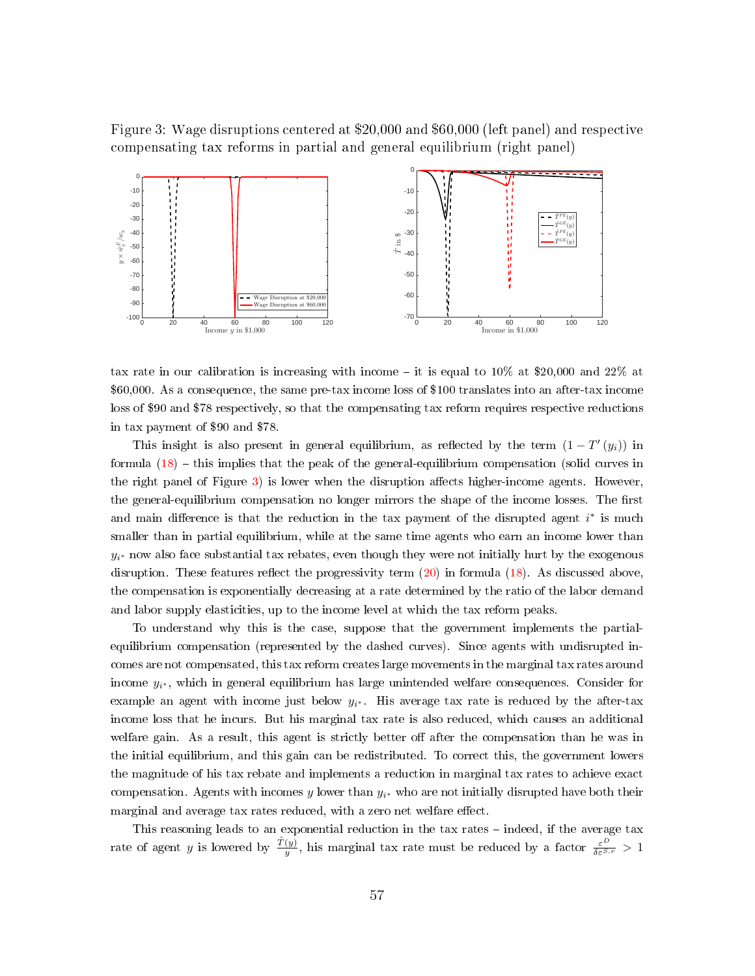<span id="page-57-0"></span>Figure 3: Wage disruptions centered at \$20,000 and \$60,000 (left panel) and respective compensating tax reforms in partial and general equilibrium (right panel)



tax rate in our calibration is increasing with income – it is equal to  $10\%$  at \$20,000 and 22% at \$60,000. As a consequence, the same pre-tax income loss of \$100 translates into an after-tax income loss of \$90 and \$78 respectively, so that the compensating tax reform requires respective reductions in tax payment of \$90 and \$78.

This insight is also present in general equilibrium, as reflected by the term  $(1 - T'(y_i))$  in formula  $(18)$  – this implies that the peak of the general-equilibrium compensation (solid curves in the right panel of Figure  $3$ ) is lower when the disruption affects higher-income agents. However, the general-equilibrium compensation no longer mirrors the shape of the income losses. The first and main difference is that the reduction in the tax payment of the disrupted agent  $i^*$  is much smaller than in partial equilibrium, while at the same time agents who earn an income lower than  $y_{i^*}$  now also face substantial tax rebates, even though they were not initially hurt by the exogenous disruption. These features reflect the progressivity term  $(20)$  in formula  $(18)$ . As discussed above, the compensation is exponentially decreasing at a rate determined by the ratio of the labor demand and labor supply elasticities, up to the income level at which the tax reform peaks.

To understand why this is the case, suppose that the government implements the partialequilibrium compensation (represented by the dashed curves). Since agents with undisrupted incomes are not compensated, this tax reform creates large movements in the marginal tax rates around income  $y_{i^*}$ , which in general equilibrium has large unintended welfare consequences. Consider for example an agent with income just below  $y_{i^*}$ . His average tax rate is reduced by the after-tax income loss that he incurs. But his marginal tax rate is also reduced, which causes an additional welfare gain. As a result, this agent is strictly better off after the compensation than he was in the initial equilibrium, and this gain can be redistributed. To correct this, the government lowers the magnitude of his tax rebate and implements a reduction in marginal tax rates to achieve exact compensation. Agents with incomes y lower than  $y_{i^*}$  who are not initially disrupted have both their marginal and average tax rates reduced, with a zero net welfare effect.

This reasoning leads to an exponential reduction in the tax rates  $-$  indeed, if the average tax rate of agent y is lowered by  $\frac{\hat{T}(y)}{y}$ , his marginal tax rate must be reduced by a factor  $\frac{\varepsilon^D}{\delta \varepsilon^{S,r}} > 1$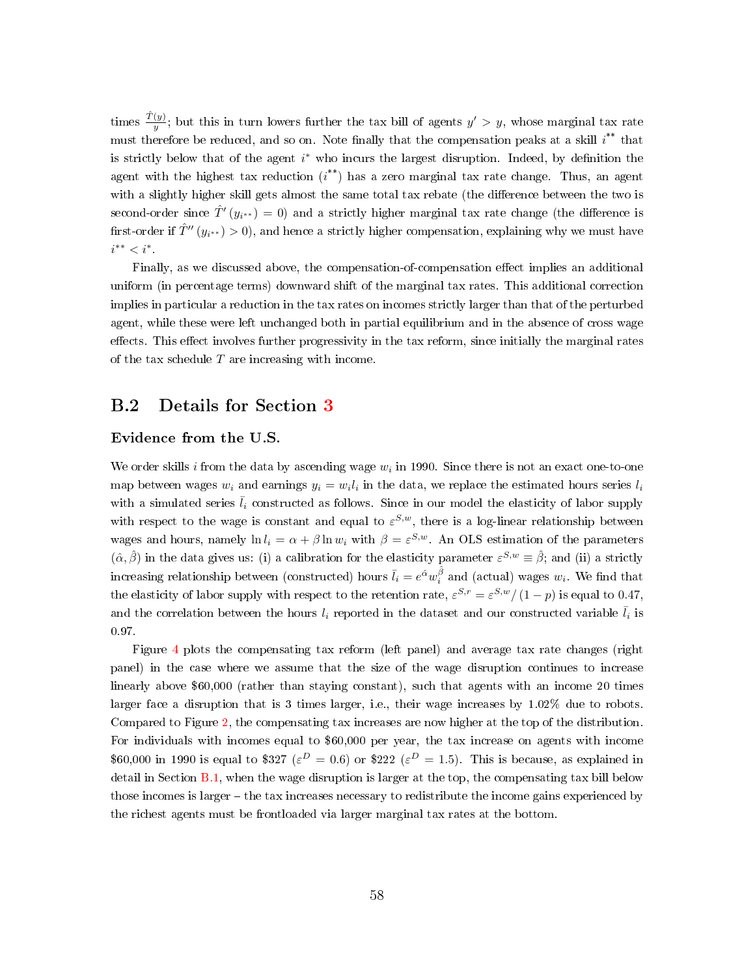times  $\frac{\hat{T}(y)}{y}$ ; but this in turn lowers further the tax bill of agents  $y' > y$ , whose marginal tax rate must therefore be reduced, and so on. Note finally that the compensation peaks at a skill  $i^{**}$  that is strictly below that of the agent i<sup>\*</sup> who incurs the largest disruption. Indeed, by definition the agent with the highest tax reduction  $(i^{**})$  has a zero marginal tax rate change. Thus, an agent with a slightly higher skill gets almost the same total tax rebate (the difference between the two is second-order since  $\hat{T}'(y_{i^{**}}) = 0$ ) and a strictly higher marginal tax rate change (the difference is first-order if  $\hat{T}''(y_{i^{**}}) > 0$ ), and hence a strictly higher compensation, explaining why we must have  $i^{**} < i^*$ .

Finally, as we discussed above, the compensation-of-compensation effect implies an additional uniform (in percentage terms) downward shift of the marginal tax rates. This additional correction implies in particular a reduction in the tax rates on incomes strictly larger than that of the perturbed agent, while these were left unchanged both in partial equilibrium and in the absence of cross wage effects. This effect involves further progressivity in the tax reform, since initially the marginal rates of the tax schedule  $T$  are increasing with income.

#### B.2 Details for Section [3](#page-32-0)

#### Evidence from the U.S.

We order skills i from the data by ascending wage  $w_i$  in 1990. Since there is not an exact one-to-one map between wages  $w_i$  and earnings  $y_i = w_i l_i$  in the data, we replace the estimated hours series  $l_i$ with a simulated series  $\bar{l}_i$  constructed as follows. Since in our model the elasticity of labor supply with respect to the wage is constant and equal to  $\varepsilon^{S,w}$ , there is a log-linear relationship between wages and hours, namely  $\ln l_i = \alpha + \beta \ln w_i$  with  $\beta = \varepsilon^{S,w}$ . An OLS estimation of the parameters  $(\hat{\alpha}, \hat{\beta})$  in the data gives us: (i) a calibration for the elasticity parameter  $\varepsilon^{S,w} \equiv \hat{\beta}$ ; and (ii) a strictly increasing relationship between (constructed) hours  $\bar{l}_i = e^{\hat{\alpha}}w^{\hat{\beta}}_i$  and (actual) wages  $w_i$ . We find that the elasticity of labor supply with respect to the retention rate,  $\varepsilon^{S,r} = \varepsilon^{S,w}/(1-p)$  is equal to 0.47, and the correlation between the hours  $l_i$  reported in the dataset and our constructed variable  $\bar{l}_i$  is 0.97.

Figure [4](#page-59-0) plots the compensating tax reform (left panel) and average tax rate changes (right panel) in the case where we assume that the size of the wage disruption continues to increase linearly above \$60,000 (rather than staying constant), such that agents with an income 20 times larger face a disruption that is 3 times larger, i.e., their wage increases by 1.02% due to robots. Compared to Figure [2,](#page-34-0) the compensating tax increases are now higher at the top of the distribution. For individuals with incomes equal to \$60,000 per year, the tax increase on agents with income \$60,000 in 1990 is equal to \$327 ( $\varepsilon^D = 0.6$ ) or \$222 ( $\varepsilon^D = 1.5$ ). This is because, as explained in detail in Section  $B.1$ , when the wage disruption is larger at the top, the compensating tax bill below those incomes is larger – the tax increases necessary to redistribute the income gains experienced by the richest agents must be frontloaded via larger marginal tax rates at the bottom.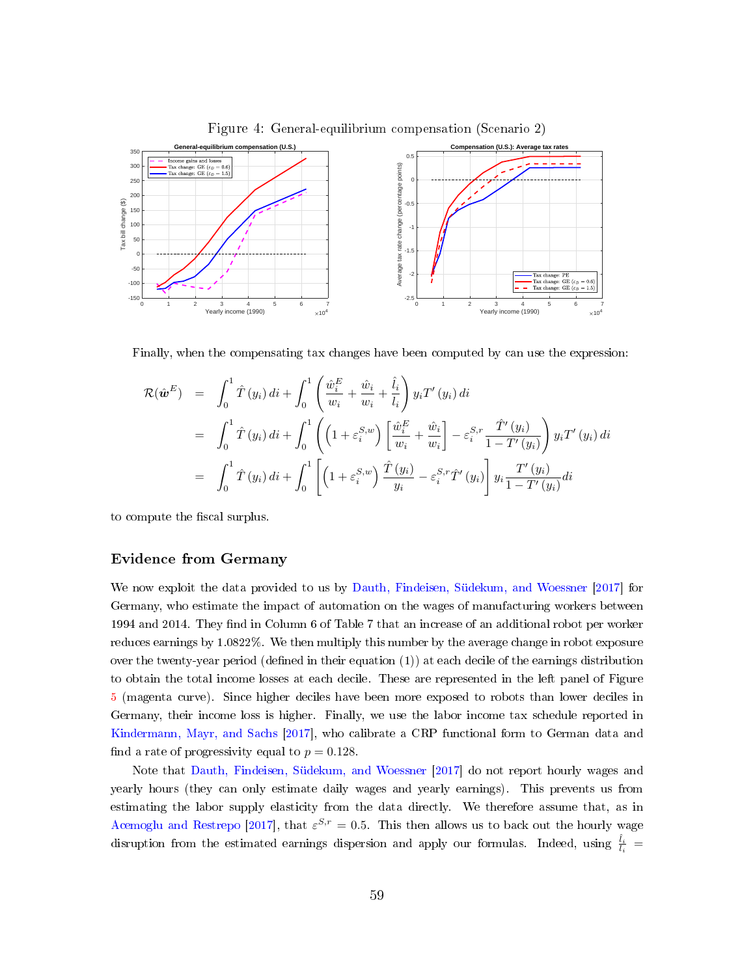

<span id="page-59-0"></span>Figure 4: General-equilibrium compensation (Scenario 2)

Finally, when the compensating tax changes have been computed by can use the expression:

$$
\mathcal{R}(\hat{\mathbf{w}}^{E}) = \int_{0}^{1} \hat{T}(y_{i}) dt + \int_{0}^{1} \left( \frac{\hat{w}_{i}^{E}}{w_{i}} + \frac{\hat{w}_{i}}{w_{i}} + \frac{\hat{l}_{i}}{l_{i}} \right) y_{i} T'(y_{i}) dt \n= \int_{0}^{1} \hat{T}(y_{i}) dt + \int_{0}^{1} \left( \left( 1 + \varepsilon_{i}^{S,w} \right) \left[ \frac{\hat{w}_{i}^{E}}{w_{i}} + \frac{\hat{w}_{i}}{w_{i}} \right] - \varepsilon_{i}^{S,r} \frac{\hat{T}'(y_{i})}{1 - T'(y_{i})} \right) y_{i} T'(y_{i}) dt \n= \int_{0}^{1} \hat{T}(y_{i}) dt + \int_{0}^{1} \left[ \left( 1 + \varepsilon_{i}^{S,w} \right) \frac{\hat{T}(y_{i})}{y_{i}} - \varepsilon_{i}^{S,r} \hat{T}'(y_{i}) \right] y_{i} \frac{T'(y_{i})}{1 - T'(y_{i})} dt
$$

to compute the fiscal surplus.

#### Evidence from Germany

We now exploit the data provided to us by [Dauth, Findeisen, Südekum, and Woessner](#page-36-5) [\[2017\]](#page-36-5) for Germany, who estimate the impact of automation on the wages of manufacturing workers between 1994 and 2014. They find in Column 6 of Table 7 that an increase of an additional robot per worker reduces earnings by 1.0822%. We then multiply this number by the average change in robot exposure over the twenty-year period (defined in their equation (1)) at each decile of the earnings distribution to obtain the total income losses at each decile. These are represented in the left panel of Figure [5](#page-60-0) (magenta curve). Since higher deciles have been more exposed to robots than lower deciles in Germany, their income loss is higher. Finally, we use the labor income tax schedule reported in [Kindermann, Mayr, and Sachs](#page-37-13) [\[2017\]](#page-37-13), who calibrate a CRP functional form to German data and find a rate of progressivity equal to  $p = 0.128$ .

Note that [Dauth, Findeisen, Südekum, and Woessner](#page-36-5) [\[2017\]](#page-36-5) do not report hourly wages and yearly hours (they can only estimate daily wages and yearly earnings). This prevents us from estimating the labor supply elasticity from the data directly. We therefore assume that, as in [Acemoglu and Restrepo](#page-36-0) [\[2017\]](#page-36-0), that  $\varepsilon^{S,r} = 0.5$ . This then allows us to back out the hourly wage disruption from the estimated earnings dispersion and apply our formulas. Indeed, using  $\frac{\hat{l}_i}{l_i}$  =